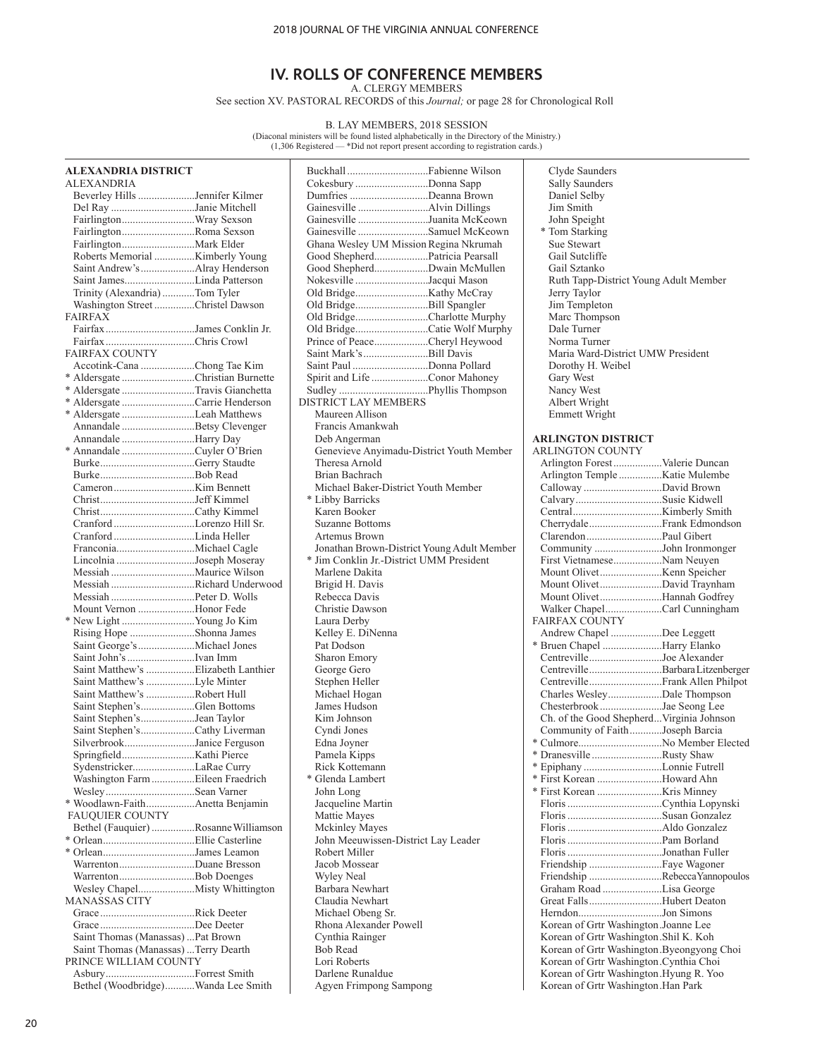### **IV. ROLLS OF CONFERENCE MEMBERS** A. CLERGY MEMBERS

See section XV. PASTORAL RECORDS of this *Journal;* or page 28 for Chronological Roll

B. LAY MEMBERS, 2018 SESSION<br>(Diaconal ministers will be found listed alphabetically in the Directory of the Ministry.)<br>(1,306 Registered — \*Did not report present according to registration cards.)

| <b>ALEXANDRIA DISTRICT</b>                       |                                                            | Clyde Saunders                               |  |
|--------------------------------------------------|------------------------------------------------------------|----------------------------------------------|--|
| ALEXANDRIA                                       | Cokesbury Donna Sapp                                       | Sally Saunders                               |  |
| Beverley Hills Jennifer Kilmer                   | Dumfries Deanna Brown                                      | Daniel Selby                                 |  |
| Del Ray Janie Mitchell                           |                                                            | Jim Smith                                    |  |
|                                                  | Gainesville Juanita McKeown                                | John Speight                                 |  |
| FairlingtonRoma Sexson                           | Gainesville Samuel McKeown                                 | * Tom Starking                               |  |
|                                                  | Ghana Wesley UM Mission Regina Nkrumah                     | Sue Stewart                                  |  |
|                                                  | Good ShepherdPatricia Pearsall                             | Gail Sutcliffe                               |  |
|                                                  | Good ShepherdDwain McMullen                                | Gail Sztanko                                 |  |
| Saint JamesLinda Patterson                       | Nokesville Jacqui Mason                                    | Ruth Tapp-District Young Adult Member        |  |
| Trinity (Alexandria) Tom Tyler                   |                                                            | Jerry Taylor                                 |  |
| Washington Street Christel Dawson                | Old BridgeBill Spangler                                    | Jim Templeton                                |  |
| <b>FAIRFAX</b>                                   | Old BridgeCharlotte Murphy                                 | Marc Thompson                                |  |
| Fairfax James Conklin Jr.                        | Old BridgeCatie Wolf Murphy                                | Dale Turner                                  |  |
|                                                  | Prince of PeaceCheryl Heywood                              | Norma Turner                                 |  |
| <b>FAIRFAX COUNTY</b>                            | Saint Mark's Bill Davis                                    | Maria Ward-District UMW President            |  |
| Accotink-Cana Chong Tae Kim                      | Saint Paul Donna Pollard                                   | Dorothy H. Weibel                            |  |
| * Aldersgate Christian Burnette                  | Spirit and Life Conor Mahoney                              | Gary West                                    |  |
| * Aldersgate Travis Gianchetta                   |                                                            | Nancy West                                   |  |
| * Aldersgate Carrie Henderson                    | DISTRICT LAY MEMBERS<br>Maureen Allison                    | Albert Wright                                |  |
| * Aldersgate Leah Matthews                       | Francis Amankwah                                           | Emmett Wright                                |  |
| Annandale Betsy Clevenger<br>Annandale Harry Day |                                                            | <b>ARLINGTON DISTRICT</b>                    |  |
|                                                  | Deb Angerman                                               | <b>ARLINGTON COUNTY</b>                      |  |
|                                                  | Genevieve Anyimadu-District Youth Member<br>Theresa Arnold |                                              |  |
|                                                  | Brian Bachrach                                             | Arlington Forest Valerie Duncan              |  |
|                                                  |                                                            |                                              |  |
|                                                  | Michael Baker-District Youth Member<br>* Libby Barricks    | Calloway David Brown<br>CalvarySusie Kidwell |  |
|                                                  | Karen Booker                                               |                                              |  |
| Cranford Lorenzo Hill Sr.                        | <b>Suzanne Bottoms</b>                                     |                                              |  |
|                                                  | Artemus Brown                                              | CherrydaleFrank Edmondson                    |  |
|                                                  | Jonathan Brown-District Young Adult Member                 | Community John Ironmonger                    |  |
| Lincolnia Joseph Moseray                         | * Jim Conklin Jr.-District UMM President                   | First VietnameseNam Neuyen                   |  |
|                                                  | Marlene Dakita                                             |                                              |  |
| Messiah Richard Underwood                        | Brigid H. Davis                                            | Mount OlivetDavid Traynham                   |  |
|                                                  | Rebecca Davis                                              | Mount OlivetHannah Godfrey                   |  |
| Mount Vernon Honor Fede                          | Christie Dawson                                            | Walker ChapelCarl Cunningham                 |  |
| * New Light Young Jo Kim                         | Laura Derby                                                | <b>FAIRFAX COUNTY</b>                        |  |
| Rising Hope Shonna James                         | Kelley E. DiNenna                                          | Andrew Chapel Dee Leggett                    |  |
|                                                  | Pat Dodson                                                 | * Bruen Chapel Harry Elanko                  |  |
|                                                  | Sharon Emory                                               | CentrevilleJoe Alexander                     |  |
| Saint Matthew's Elizabeth Lanthier               | George Gero                                                | CentrevilleBarbara Litzenberger              |  |
| Saint Matthew's Lyle Minter                      | Stephen Heller                                             |                                              |  |
| Saint Matthew's Robert Hull                      | Michael Hogan                                              | Charles WesleyDale Thompson                  |  |
| Saint Stephen'sGlen Bottoms                      | James Hudson                                               | Chesterbrook Jae Seong Lee                   |  |
| Saint Stephen'sJean Taylor                       | Kim Johnson                                                | Ch. of the Good Shepherd Virginia Johnson    |  |
| Saint Stephen'sCathy Liverman                    | Cyndi Jones                                                | Community of FaithJoseph Barcia              |  |
| SilverbrookJanice Ferguson                       | Edna Joyner                                                |                                              |  |
|                                                  | Pamela Kipps                                               | * Dranesville Rusty Shaw                     |  |
|                                                  | Rick Kottemann                                             |                                              |  |
| Washington Farm Eileen Fraedrich                 | * Glenda Lambert                                           | * First Korean Howard Ahn                    |  |
|                                                  | John Long                                                  |                                              |  |
|                                                  | Jacqueline Martin                                          |                                              |  |
| <b>FAUQUIER COUNTY</b>                           | Mattie Mayes                                               |                                              |  |
| Bethel (Fauquier) Rosanne Williamson             | <b>Mckinley Mayes</b>                                      |                                              |  |
|                                                  | John Meeuwissen-District Lay Leader                        |                                              |  |
| * OrleanJames Leamon                             | Robert Miller                                              |                                              |  |
| WarrentonDuane Bresson                           | Jacob Mossear                                              |                                              |  |
| WarrentonBob Doenges                             | <b>Wyley Neal</b>                                          | Friendship RebeccaYannopoulos                |  |
|                                                  | Barbara Newhart                                            | Graham Road Lisa George                      |  |
| <b>MANASSAS CITY</b>                             | Claudia Newhart                                            | Great FallsHubert Deaton                     |  |
|                                                  | Michael Obeng Sr.                                          | HerndonJon Simons                            |  |
| GraceDee Deeter                                  | Rhona Alexander Powell                                     | Korean of Grtr Washington.Joanne Lee         |  |
| Saint Thomas (Manassas)  Pat Brown               | Cynthia Rainger                                            | Korean of Grtr Washington.Shil K. Koh        |  |
| Saint Thomas (Manassas)  Terry Dearth            | <b>Bob Read</b>                                            | Korean of Grtr Washington.Byeongyong Choi    |  |
| PRINCE WILLIAM COUNTY                            | Lori Roberts                                               | Korean of Grtr Washington.Cynthia Choi       |  |
|                                                  | Darlene Runaldue                                           | Korean of Grtr Washington.Hyung R. Yoo       |  |
| Bethel (Woodbridge)Wanda Lee Smith               | Agyen Frimpong Sampong                                     | Korean of Grtr Washington.Han Park           |  |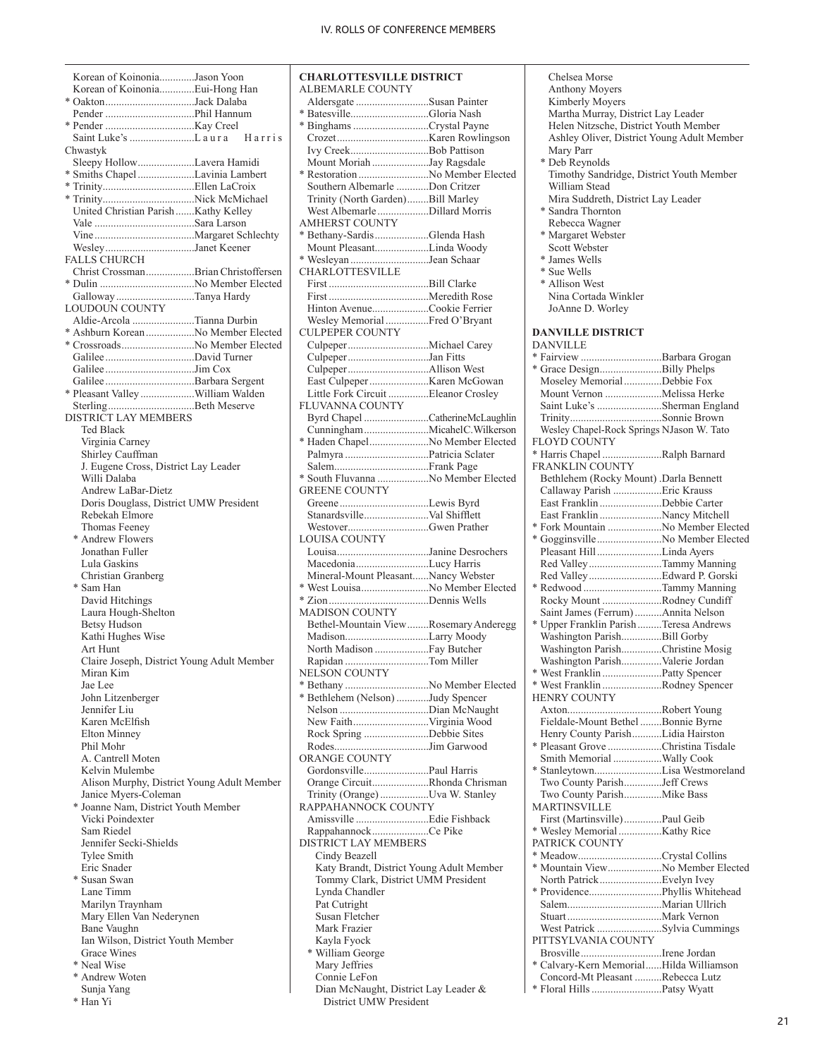|          | Korean of KoinoniaJason Yoon                        |  |
|----------|-----------------------------------------------------|--|
|          | Korean of KoinoniaEui-Hong Han                      |  |
|          | * OaktonJack Dalaba                                 |  |
|          |                                                     |  |
|          |                                                     |  |
|          | Saint Luke's L aura Harris                          |  |
| Chwastyk |                                                     |  |
|          | Sleepy HollowLavera Hamidi                          |  |
|          | * Smiths Chapel Lavinia Lambert                     |  |
|          |                                                     |  |
|          |                                                     |  |
|          | United Christian Parish  Kathy Kelley               |  |
|          |                                                     |  |
|          |                                                     |  |
|          | WesleyJanet Keener                                  |  |
|          | FALLS CHURCH<br>Christ CrossmanBrian Christoffersen |  |
|          |                                                     |  |
|          |                                                     |  |
|          | Galloway Tanya Hardy<br>LOUDOUN COUNTY              |  |
|          | Aldie-Arcola Tianna Durbin                          |  |
|          | * Ashburn Korean No Member Elected                  |  |
|          | * CrossroadsNo Member Elected                       |  |
|          |                                                     |  |
|          |                                                     |  |
|          |                                                     |  |
|          | * Pleasant Valley William Walden                    |  |
|          | SterlingBeth Meserve                                |  |
|          | <b>DISTRICT LAY MEMBERS</b>                         |  |
|          | <b>Ted Black</b>                                    |  |
|          | Virginia Carney                                     |  |
|          | Shirley Cauffman                                    |  |
|          | J. Eugene Cross, District Lay Leader                |  |
|          | Willi Dalaba                                        |  |
|          | Andrew LaBar-Dietz                                  |  |
|          | Doris Douglass, District UMW President              |  |
|          | Rebekah Elmore                                      |  |
|          | Thomas Feeney                                       |  |
|          | * Andrew Flowers                                    |  |
|          | Jonathan Fuller                                     |  |
|          | Lula Gaskins                                        |  |
|          | Christian Granberg                                  |  |
|          | * Sam Han                                           |  |
|          | David Hitchings                                     |  |
|          | Laura Hough-Shelton                                 |  |
|          | <b>Betsy Hudson</b>                                 |  |
|          | Kathi Hughes Wise                                   |  |
|          | Art Hunt                                            |  |
|          | Claire Joseph, District Young Adult Member          |  |
|          | Miran Kim                                           |  |
|          | Jae Lee                                             |  |
|          | John Litzenberger                                   |  |
|          | Jennifer Liu                                        |  |
|          | Karen McElfish                                      |  |
|          | Elton Minney                                        |  |
|          | Phil Mohr                                           |  |
|          | A. Cantrell Moten                                   |  |
|          | Kelvin Mulembe                                      |  |
|          | Alison Murphy, District Young Adult Member          |  |
|          | Janice Myers-Coleman                                |  |
|          | * Joanne Nam, District Youth Member                 |  |
|          | Vicki Poindexter                                    |  |
|          | Sam Riedel                                          |  |
|          | Jennifer Secki-Shields                              |  |
|          | Tylee Smith                                         |  |
|          | Eric Snader                                         |  |
|          | * Susan Swan                                        |  |
|          | Lane Timm                                           |  |
|          | Marilyn Traynham                                    |  |
|          | Mary Ellen Van Nederynen                            |  |
|          | Bane Vaughn                                         |  |
|          | Ian Wilson, District Youth Member<br>Grace Wines    |  |
|          | * Neal Wise                                         |  |
|          |                                                     |  |
|          | * Andrew Woten                                      |  |

| Sunja Yang |
|------------|
|------------|

\* Han Yi

**CHARLOTTESVILLE DISTRICT** ALBEMARLE COUNTY Aldersgate ...........................Susan Painter Batesville................................Gloria Nash \* Binghams............................Crystal Payne Crozet..................................Karen Rowlingson Ivy Creek.............................Bob Pattison Mount Moriah .....................Jay Ragsdale \* Restoration ..........................No Member Elected Southern Albemarle ............Don Critzer Trinity (North Garden)........Bill Marley West Albemarle...................Dillard Morris AMHERST COUNTY \* Bethany-Sardis....................Glenda Hash Mount Pleasant....................Linda Woody \* Wesleyan .............................Jean Schaar CHARLOTTESVILLE First .....................................Bill Clarke First .....................................Meredith Rose Hinton Avenue.....................Cookie Ferrier Wesley Memorial................Fred O'Bryant CULPEPER COUNTY Culpeper..............................Michael Carey Culpeper..............................Jan Fitts Culpeper..............................Allison West East Culpeper......................Karen McGowan Little Fork Circuit ...............Eleanor Crosley FLUVANNA COUNTY Byrd Chapel ........................Catherine McLaughlin Cunningham........................Micahel C. Wilkerson \* Haden Chapel......................No Member Elected Palmyra ...............................Patricia Sclater Salem...................................Frank Page \* South Fluvanna ...................No Member Elected GREENE COUNTY Greene .................................Lewis Byrd Stanardsville........................Val Shifflett Westover..............................Gwen Prather LOUISA COUNTY Louisa..................................Janine Desrochers Macedonia...........................Lucy Harris Mineral-Mount Pleasant......Nancy Webster \* West Louisa.........................No Member Elected \* Zion.....................................Dennis Wells MADISON COUNTY Bethel-Mountain View........Rosemary Anderegg Madison...............................Larry Moody North Madison ....................Fay Butcher Rapidan ...............................Tom Miller NELSON COUNTY \* Bethany ...............................No Member Elected \* Bethlehem (Nelson) ............Judy Spencer Nelson .................................Dian McNaught New Faith............................Virginia Wood Rock Spring ........................Debbie Sites Rodes...................................Jim Garwood ORANGE COUNTY Gordonsville........................Paul Harris Orange Circuit.....................Rhonda Chrisman Trinity (Orange)..................Uva W. Stanley RAPPAHANNOCK COUNTY Amissville ...........................Edie Fishback Rappahannock.....................Ce Pike DISTRICT LAY MEMBERS Cindy Beazell Katy Brandt, District Young Adult Member Tommy Clark, District UMM President Lynda Chandler Pat Cutright Susan Fletcher Mark Frazier Kayla Fyock \* William George Mary Jeffries Connie LeFon Dian McNaught, District Lay Leader & District UMW President

 Chelsea Morse Anthony Moyers Kimberly Moyers Martha Murray, District Lay Leader Helen Nitzsche, District Youth Member Ashley Oliver, District Young Adult Member Mary Parr \* Deb Reynolds Timothy Sandridge, District Youth Member William Stead Mira Suddreth, District Lay Leader \* Sandra Thornton Rebecca Wagner \* Margaret Webster Scott Webster \* James Wells \* Sue Wells \* Allison West Nina Cortada Winkler JoAnne D. Worley **DANVILLE DISTRICT DANVILLE** \* Fairview ..............................Barbara Grogan \* Grace Design.......................Billy Phelps Moseley Memorial..............Debbie Fox Mount Vernon .....................Melissa Herke Saint Luke's ........................Sherman England Trinity..................................Sonnie Brown Wesley Chapel-Rock Springs NJason W. Tato FLOYD COUNTY \* Harris Chapel ......................Ralph Barnard FRANKLIN COUNTY Bethlehem (Rocky Mount) .Darla Bennett Callaway Parish ..................Eric Krauss East Franklin .......................Debbie Carter East Franklin .......................Nancy Mitchell \* Fork Mountain ....................No Member Elected \* Gogginsville........................No Member Elected Pleasant Hill........................Linda Ayers Red Valley...........................Tammy Manning Red Valley...........................Edward P. Gorski \* Redwood .............................Tammy Manning Rocky Mount ......................Rodney Cundiff Saint James (Ferrum)..........Annita Nelson \* Upper Franklin Parish.........Teresa Andrews Washington Parish...............Bill Gorby Washington Parish...............Christine Mosig Washington Parish...............Valerie Jordan \* West Franklin ......................Patty Spencer \* West Franklin ......................Rodney Spencer HENRY COUNTY Axton...................................Robert Young Fieldale-Mount Bethel ........Bonnie Byrne Henry County Parish...........Lidia Hairston \* Pleasant Grove ....................Christina Tisdale Smith Memorial ..................Wally Cook \* Stanleytown.........................Lisa Westmoreland Two County Parish..............Jeff Crews Two County Parish..............Mike Bass MARTINSVILLE First (Martinsville)..............Paul Geib \* Wesley Memorial................Kathy Rice PATRICK COUNTY \* Meadow...............................Crystal Collins \* Mountain View....................No Member Elected North Patrick.......................Evelyn Ivey \* Providence...........................Phyllis Whitehead Salem...................................Marian Ullrich Stuart...................................Mark Vernon West Patrick ........................Sylvia Cummings PITTSYLVANIA COUNTY Brosville..............................Irene Jordan \* Calvary-Kern Memorial......Hilda Williamson Concord-Mt Pleasant ..........Rebecca Lutz \* Floral Hills..........................Patsy Wyatt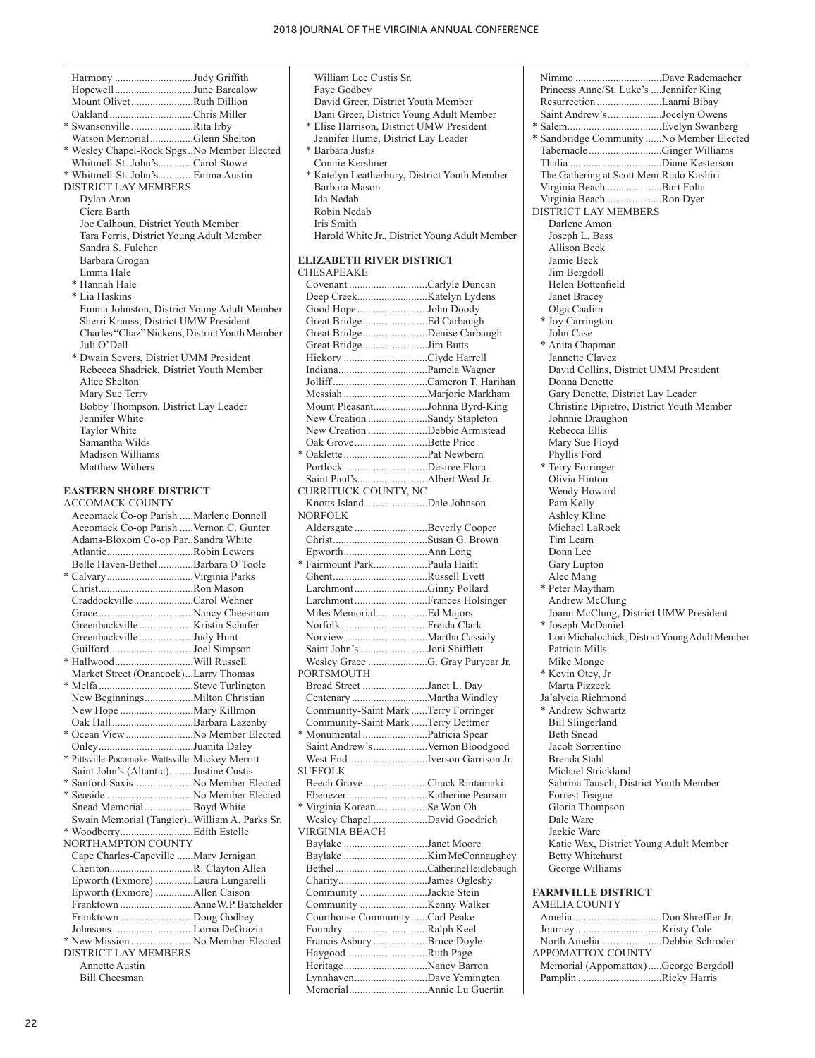| Harmony Judy Griffith                         |  |
|-----------------------------------------------|--|
| HopewellJune Barcalow                         |  |
| Mount OlivetRuth Dillion                      |  |
| OaklandChris Miller                           |  |
| * SwansonvilleRita Irby                       |  |
| Watson MemorialGlenn Shelton                  |  |
| * Wesley Chapel-Rock SpgsNo Member Elected    |  |
| Whitmell-St. John'sCarol Stowe                |  |
| * Whitmell-St. John'sEmma Austin              |  |
| <b>DISTRICT LAY MEMBERS</b>                   |  |
| Dylan Aron                                    |  |
| Ciera Barth                                   |  |
| Joe Calhoun, District Youth Member            |  |
| Tara Ferris, District Young Adult Member      |  |
| Sandra S. Fulcher                             |  |
| Barbara Grogan                                |  |
| Emma Hale                                     |  |
| * Hannah Hale                                 |  |
| * Lia Haskins                                 |  |
| Emma Johnston, District Young Adult Member    |  |
| Sherri Krauss, District UMW President         |  |
| Charles "Chaz" Nickens, District Youth Member |  |
| Juli O'Dell                                   |  |
| * Dwain Severs, District UMM President        |  |
| Rebecca Shadrick, District Youth Member       |  |
| Alice Shelton                                 |  |
| Mary Sue Terry                                |  |
| Bobby Thompson, District Lay Leader           |  |
| Jennifer White                                |  |
| <b>Taylor White</b>                           |  |
| Samantha Wilds                                |  |
| Madison Williams                              |  |
| Matthew Withers                               |  |
| <b>EASTERN SHORE DISTRICT</b>                 |  |
| <b>ACCOMACK COUNTY</b>                        |  |
| Accomack Co-op Parish Marlene Donnell         |  |
| Accomack Co-op Parish  Vernon C. Gunter       |  |
|                                               |  |

| Accomack Co-op Parish  Vernon C. Gunter          |  |
|--------------------------------------------------|--|
| Adams-Bloxom Co-op ParSandra White               |  |
| AtlanticRobin Lewers                             |  |
| Belle Haven-BethelBarbara O'Toole                |  |
|                                                  |  |
|                                                  |  |
| CraddockvilleCarol Wehner                        |  |
|                                                  |  |
|                                                  |  |
| GreenbackvilleJudy Hunt                          |  |
| GuilfordJoel Simpson                             |  |
|                                                  |  |
| Market Street (Onancock)Larry Thomas             |  |
|                                                  |  |
|                                                  |  |
|                                                  |  |
| Oak Hall Barbara Lazenby                         |  |
| * Ocean View  No Member Elected                  |  |
| OnleyJuanita Daley                               |  |
| * Pittsville-Pocomoke-Wattsville .Mickey Merritt |  |
| Saint John's (Altantic)Justine Custis            |  |
| * Sanford-SaxisNo Member Elected                 |  |
|                                                  |  |
| Snead Memorial Boyd White                        |  |
| Swain Memorial (Tangier). William A. Parks Sr.   |  |
|                                                  |  |
| NORTHAMPTON COUNTY                               |  |
| Cape Charles-Capeville  Mary Jernigan            |  |
|                                                  |  |
| Epworth (Exmore) Laura Lungarelli                |  |
| Epworth (Exmore) Allen Caison                    |  |
|                                                  |  |
| Franktown Doug Godbey                            |  |
| JohnsonsLorna DeGrazia                           |  |
|                                                  |  |
| <b>DISTRICT LAY MEMBERS</b>                      |  |
| <b>Annette Austin</b>                            |  |

Bill Cheesman

| William Lee Custis Sr.<br>Faye Godbey<br>David Greer, District Youth Member<br>Dani Greer, District Young Adult Member<br>* Elise Harrison, District UMW President<br>Jennifer Hume, District Lay Leader<br>* Barbara Justis<br>Connie Kershner<br>* Katelyn Leatherbury, District Youth Member<br>Barbara Mason<br>Ida Nedab<br>Robin Nedab<br>Iris Smith<br>Harold White Jr., District Young Adult Member |  |
|-------------------------------------------------------------------------------------------------------------------------------------------------------------------------------------------------------------------------------------------------------------------------------------------------------------------------------------------------------------------------------------------------------------|--|
| <b>ELIZABETH RIVER DISTRICT</b><br><b>CHESAPEAKE</b>                                                                                                                                                                                                                                                                                                                                                        |  |
| Covenant Carlyle Duncan                                                                                                                                                                                                                                                                                                                                                                                     |  |
|                                                                                                                                                                                                                                                                                                                                                                                                             |  |
| Good HopeJohn Doody                                                                                                                                                                                                                                                                                                                                                                                         |  |
|                                                                                                                                                                                                                                                                                                                                                                                                             |  |
| Great BridgeDenise Carbaugh                                                                                                                                                                                                                                                                                                                                                                                 |  |
| Great BridgeJim Butts<br>Hickory Clyde Harrell                                                                                                                                                                                                                                                                                                                                                              |  |
|                                                                                                                                                                                                                                                                                                                                                                                                             |  |
|                                                                                                                                                                                                                                                                                                                                                                                                             |  |
|                                                                                                                                                                                                                                                                                                                                                                                                             |  |
| Mount PleasantJohnna Byrd-King                                                                                                                                                                                                                                                                                                                                                                              |  |
| New Creation Sandy Stapleton                                                                                                                                                                                                                                                                                                                                                                                |  |
| New Creation Debbie Armistead                                                                                                                                                                                                                                                                                                                                                                               |  |
| Oak GroveBette Price                                                                                                                                                                                                                                                                                                                                                                                        |  |
|                                                                                                                                                                                                                                                                                                                                                                                                             |  |
| Portlock Desiree Flora                                                                                                                                                                                                                                                                                                                                                                                      |  |
|                                                                                                                                                                                                                                                                                                                                                                                                             |  |
| CURRITUCK COUNTY, NC                                                                                                                                                                                                                                                                                                                                                                                        |  |
|                                                                                                                                                                                                                                                                                                                                                                                                             |  |
| NORFOLK                                                                                                                                                                                                                                                                                                                                                                                                     |  |
| Aldersgate Beverly Cooper                                                                                                                                                                                                                                                                                                                                                                                   |  |
|                                                                                                                                                                                                                                                                                                                                                                                                             |  |
|                                                                                                                                                                                                                                                                                                                                                                                                             |  |
| * Fairmount ParkPaula Haith                                                                                                                                                                                                                                                                                                                                                                                 |  |
|                                                                                                                                                                                                                                                                                                                                                                                                             |  |
| LarchmontGinny Pollard                                                                                                                                                                                                                                                                                                                                                                                      |  |
| LarchmontFrances Holsinger                                                                                                                                                                                                                                                                                                                                                                                  |  |
| Miles MemorialEd Majors                                                                                                                                                                                                                                                                                                                                                                                     |  |
| NorfolkFreida Clark                                                                                                                                                                                                                                                                                                                                                                                         |  |
|                                                                                                                                                                                                                                                                                                                                                                                                             |  |
| Saint John's Joni Shifflett                                                                                                                                                                                                                                                                                                                                                                                 |  |
| Wesley Grace G. Gray Puryear Jr.<br>PORTSMOUTH                                                                                                                                                                                                                                                                                                                                                              |  |
| Broad Street Janet L. Day                                                                                                                                                                                                                                                                                                                                                                                   |  |
|                                                                                                                                                                                                                                                                                                                                                                                                             |  |
| Community-Saint Mark Terry Forringer                                                                                                                                                                                                                                                                                                                                                                        |  |
| Community-Saint Mark Terry Dettmer                                                                                                                                                                                                                                                                                                                                                                          |  |
|                                                                                                                                                                                                                                                                                                                                                                                                             |  |
| Saint Andrew's  Vernon Bloodgood                                                                                                                                                                                                                                                                                                                                                                            |  |
| West End Iverson Garrison Jr.                                                                                                                                                                                                                                                                                                                                                                               |  |
| <b>SUFFOLK</b>                                                                                                                                                                                                                                                                                                                                                                                              |  |
| Beech GroveChuck Rintamaki                                                                                                                                                                                                                                                                                                                                                                                  |  |
|                                                                                                                                                                                                                                                                                                                                                                                                             |  |
| * Virginia KoreanSe Won Oh                                                                                                                                                                                                                                                                                                                                                                                  |  |
| Wesley ChapelDavid Goodrich                                                                                                                                                                                                                                                                                                                                                                                 |  |
| VIRGINIA BEACH                                                                                                                                                                                                                                                                                                                                                                                              |  |
| Baylake Janet Moore                                                                                                                                                                                                                                                                                                                                                                                         |  |
|                                                                                                                                                                                                                                                                                                                                                                                                             |  |
|                                                                                                                                                                                                                                                                                                                                                                                                             |  |
| CharityJames Oglesby                                                                                                                                                                                                                                                                                                                                                                                        |  |
| Community Jackie Stein                                                                                                                                                                                                                                                                                                                                                                                      |  |
|                                                                                                                                                                                                                                                                                                                                                                                                             |  |
| Courthouse Community Carl Peake                                                                                                                                                                                                                                                                                                                                                                             |  |
| Foundry Ralph Keel                                                                                                                                                                                                                                                                                                                                                                                          |  |
| Francis Asbury Bruce Doyle                                                                                                                                                                                                                                                                                                                                                                                  |  |
| HaygoodRuth Page                                                                                                                                                                                                                                                                                                                                                                                            |  |
| HeritageNancy Barron                                                                                                                                                                                                                                                                                                                                                                                        |  |
| LynnhavenDave Yemington                                                                                                                                                                                                                                                                                                                                                                                     |  |
|                                                                                                                                                                                                                                                                                                                                                                                                             |  |

| Princess Anne/St. Luke's Jennifer King         |
|------------------------------------------------|
| Resurrection Laarni Bibay                      |
| Saint Andrew's Jocelyn Owens                   |
|                                                |
| * Sandbridge Community No Member Elected       |
| TabernacleGinger Williams                      |
|                                                |
| The Gathering at Scott Mem.Rudo Kashiri        |
| Virginia BeachBart Folta                       |
| Virginia BeachRon Dyer                         |
| DISTRICT LAY MEMBERS                           |
| Darlene Amon                                   |
| Joseph L. Bass                                 |
| Allison Beck                                   |
| Jamie Beck                                     |
| Jim Bergdoll                                   |
| Helen Bottenfield                              |
| Janet Bracey                                   |
| Olga Caalim                                    |
| * Joy Carrington                               |
| John Case                                      |
| * Anita Chapman                                |
| Jannette Clavez                                |
| David Collins, District UMM President          |
| Donna Denette                                  |
| Gary Denette, District Lay Leader              |
| Christine Dipietro, District Youth Member      |
| Johnnie Draughon                               |
| Rebecca Ellis                                  |
| Mary Sue Floyd                                 |
| Phyllis Ford                                   |
| * Terry Forringer                              |
| Olivia Hinton                                  |
| Wendy Howard                                   |
| Pam Kelly                                      |
| Ashley Kline                                   |
| Michael LaRock                                 |
| Tim Learn                                      |
| Donn Lee                                       |
| Gary Lupton                                    |
| Alec Mang                                      |
| * Peter Maytham                                |
| Andrew McClung                                 |
| Joann McClung, District UMW President          |
| * Joseph McDaniel                              |
| Lori Michalochick, District Young Adult Member |
| Patricia Mills                                 |
| Mike Monge                                     |
| * Kevin Otey, Jr                               |
| Marta Pizzeck                                  |
| Ja'alycia Richmond                             |
| * Andrew Schwartz                              |
| <b>Bill Slingerland</b><br><b>Beth Snead</b>   |
| Jacob Sorrentino                               |
| Brenda Stahl                                   |
| Michael Strickland                             |
| Sabrina Tausch, District Youth Member          |
| <b>Forrest Teague</b>                          |
| Gloria Thompson                                |
| Dale Ware                                      |
| Jackie Ware                                    |
| Katie Wax, District Young Adult Member         |
| <b>Betty Whitehurst</b>                        |
| George Williams                                |
|                                                |
| FARMVILLE DISTRICT                             |
| AMELIA COUNTY                                  |
|                                                |

| North AmeliaDebbie Schroder           |
|---------------------------------------|
| <b>APPOMATTOX COUNTY</b>              |
| Memorial (Appomattox) George Bergdoll |
| Pamplin Ricky Harris                  |
|                                       |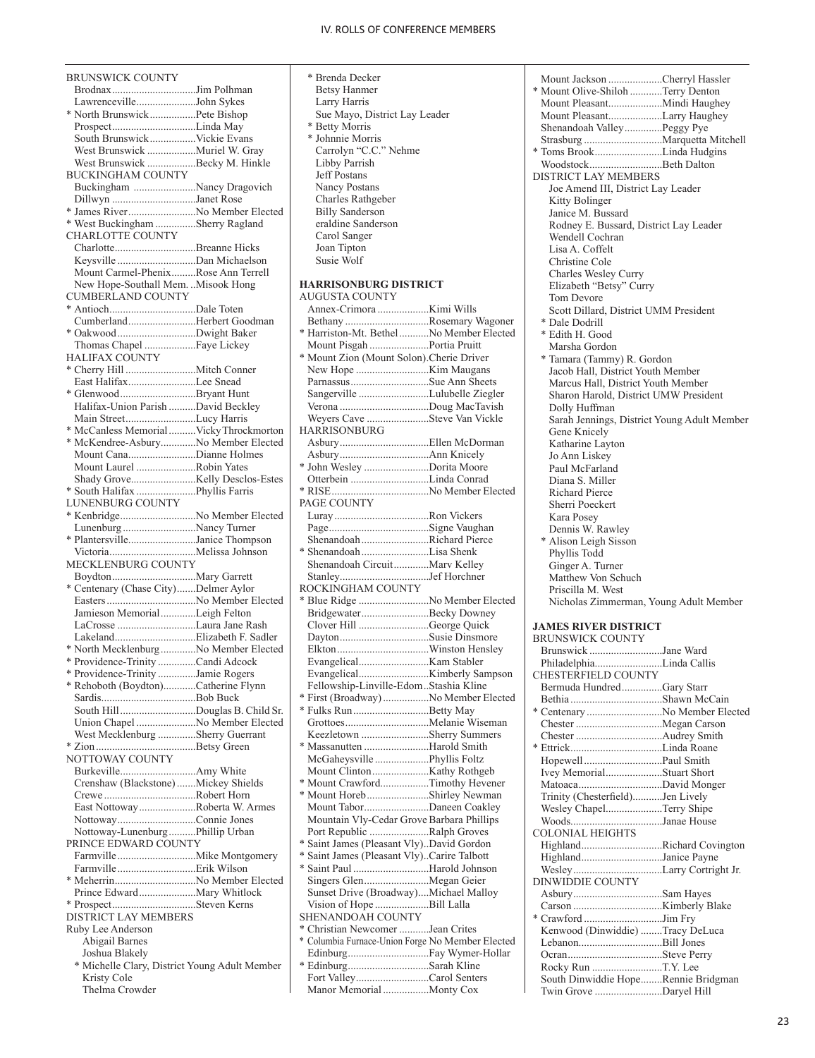BRUNSWICK COUNTY Brodnax...............................Jim Polhman Lawrenceville......................John Sykes \* North Brunswick.................Pete Bishop Prospect...............................Linda May South Brunswick.................Vickie Evans West Brunswick ..................Muriel W. Gray West Brunswick ................Becky M. Hinkle BUCKINGHAM COUNTY Buckingham .......................Nancy Dragovich Dillwyn ...............................Janet Rose \* James River.........................No Member Elected \* West Buckingham ...............Sherry Ragland CHARLOTTE COUNTY Charlotte..............................Breanne Hicks Keysville .............................Dan Michaelson Mount Carmel-Phenix.........Rose Ann Terrell New Hope-Southall Mem. ..Misook Hong CUMBERLAND COUNTY \* Antioch................................Dale Toten Cumberland.........................Herbert Goodman \* Oakwood.............................Dwight Baker Thomas Chapel ...................Faye Lickey HALIFAX COUNTY \* Cherry Hill ..........................Mitch Conner East Halifax.........................Lee Snead \* Glenwood............................Bryant Hunt Halifax-Union Parish ..........David Beckley Main Street..........................Lucy Harris \* McCanless Memorial..........Vicky Throckmorton \* McKendree-Asbury.............No Member Elected Mount Cana.........................Dianne Holmes Mount Laurel ......................Robin Yates Shady Grove........................Kelly Desclos-Estes \* South Halifax ......................Phyllis Farris LUNENBURG COUNTY \* Kenbridge............................No Member Elected Lunenburg ...........................Nancy Turner \* Plantersville.........................Janice Thompson Victoria................................Melissa Johnson MECKLENBURG COUNTY Boydton...............................Mary Garrett \* Centenary (Chase City).......Delmer Aylor Easters.................................No Member Elected Jamieson Memorial.............Leigh Felton LaCrosse .............................Laura Jane Rash Lakeland..............................Elizabeth F. Sadler \* North Mecklenburg.............No Member Elected \* Providence-Trinity ..............Candi Adcock \* Providence-Trinity ..............Jamie Rogers \* Rehoboth (Boydton)............Catherine Flynn Sardis...................................Bob Buck South Hill............................Douglas B. Child Sr. Union Chapel ......................No Member Elected West Mecklenburg ..............Sherry Guerrant \* Zion.....................................Betsy Green NOTTOWAY COUNTY Burkeville............................Amy White Crenshaw (Blackstone).......Mickey Shields Crewe ..................................Robert Horn East Nottoway.....................Roberta W. Armes Nottoway.............................Connie Jones Nottoway-Lunenburg..........Phillip Urban PRINCE EDWARD COUNTY Farmville .............................Mike Montgomery Farmville .............................Erik Wilson \* Meherrin..............................No Member Elected Prince Edward.....................Mary Whitlock \* Prospect...............................Steven Kerns DISTRICT LAY MEMBERS Ruby Lee Anderson Abigail Barnes Joshua Blakely \* Michelle Clary, District Young Adult Member Kristy Cole Thelma Crowder

- \* Brenda Decker Betsy Hanmer Larry Harris Sue Mayo, District Lay Leader \* Betty Morris \* Johnnie Morris Carrolyn "C.C." Nehme Libby Parrish Jeff Postans Nancy Postans Charles Rathgeber Billy Sanderson eraldine Sanderson Carol Sanger Joan Tipton Susie Wolf **HARRISONBURG DISTRICT** AUGUSTA COUNTY Annex-Crimora ...................Kimi Wills Bethany ...............................Rosemary Wagoner \* Harriston-Mt. Bethel...........No Member Elected Mount Pisgah ......................Portia Pruitt \* Mount Zion (Mount Solon).Cherie Driver New Hope ...........................Kim Maugans Parnassus.............................Sue Ann Sheets Sangerville ..........................Lulubelle Ziegler Verona .................................Doug MacTavish Weyers Cave .......................Steve Van Vickle
- HARRISONBURG Asbury.................................Ellen McDorman Asbury.................................Ann Knicely \* John Wesley ........................Dorita Moore Otterbein .............................Linda Conrad \* RISE....................................No Member Elected PAGE COUNTY Luray...................................Ron Vickers Page.....................................Signe Vaughan Shenandoah.........................Richard Pierce \* Shenandoah.........................Lisa Shenk Shenandoah Circuit.............Marv Kelley Stanley.................................Jef Horchner ROCKINGHAM COUNTY \* Blue Ridge ..........................No Member Elected Bridgewater.........................Becky Downey Clover Hill ..........................George Quick Dayton.................................Susie Dinsmore Elkton..................................Winston Hensley Evangelical..........................Kam Stabler Evangelical..........................Kimberly Sampson Fellowship-Linville-Edom..Stashia Kline \* First (Broadway).................No Member Elected \* Fulks Run............................Betty May Grottoes...............................Melanie Wiseman Keezletown .........................Sherry Summers Massanutten .......................Harold Smith McGaheysville ....................Phyllis Foltz Mount Clinton.....................Kathy Rothgeb \* Mount Crawford..................Timothy Hevener \* Mount Horeb.......................Shirley Newman Mount Tabor........................Daneen Coakley Mountain Vly-Cedar Grove Barbara Phillips Port Republic ......................Ralph Groves \* Saint James (Pleasant Vly)..David Gordon \* Saint James (Pleasant Vly)..Carire Talbott \* Saint Paul ............................Harold Johnson Singers Glen........................Megan Geier Sunset Drive (Broadway)....Michael Malloy Vision of Hope ....................Bill Lalla SHENANDOAH COUNTY \* Christian Newcomer ...........Jean Crites \* Columbia Furnace-Union Forge No Member Elected Edinburg..............................Fay Wymer-Hollar \* Edinburg..............................Sarah Kline Fort Valley...........................Carol Senters

Manor Memorial .................Monty Cox

| Mount Jackson Cherryl Hassler                          |
|--------------------------------------------------------|
| * Mount Olive-Shiloh Terry Denton                      |
|                                                        |
| Mount PleasantLarry Haughey                            |
| Shenandoah ValleyPeggy Pye                             |
|                                                        |
| * Toms BrookLinda Hudgins                              |
| WoodstockBeth Dalton                                   |
| DISTRICT LAY MEMBERS                                   |
| Joe Amend III, District Lay Leader                     |
| Kitty Bolinger                                         |
| Janice M. Bussard                                      |
| Rodney E. Bussard, District Lay Leader                 |
| Wendell Cochran                                        |
| Lisa A. Coffelt                                        |
| Christine Cole                                         |
| Charles Wesley Curry                                   |
| Elizabeth "Betsy" Curry                                |
| Tom Devore                                             |
| Scott Dillard, District UMM President                  |
| * Dale Dodrill                                         |
| * Edith H. Good                                        |
| Marsha Gordon                                          |
| * Tamara (Tammy) R. Gordon                             |
| Jacob Hall, District Youth Member                      |
| Marcus Hall, District Youth Member                     |
| Sharon Harold, District UMW President                  |
| Dolly Huffman                                          |
| Sarah Jennings, District Young Adult Member            |
| Gene Knicely                                           |
| Katharine Layton                                       |
| Jo Ann Liskey                                          |
| Paul McFarland                                         |
| Diana S. Miller                                        |
| Richard Pierce                                         |
| Sherri Poeckert                                        |
| Kara Posey                                             |
| Dennis W. Rawley                                       |
| * Alison Leigh Sisson                                  |
| Phyllis Todd                                           |
| Ginger A. Turner                                       |
| Matthew Von Schuch                                     |
| Priscilla M. West                                      |
|                                                        |
| Nicholas Zimmerman, Young Adult Member                 |
|                                                        |
| <b>JAMES RIVER DISTRICT</b><br>BRUNSWICK COUNTY        |
| Brunswick Jane Ward                                    |
|                                                        |
| PhiladelphiaLinda Callis<br><b>CHESTERFIELD COUNTY</b> |
|                                                        |
| Bermuda HundredGary Starr                              |
|                                                        |
| * Centenary No Member Elected                          |
|                                                        |
|                                                        |

| HopewellPaul Smith                  |  |
|-------------------------------------|--|
| Ivey MemorialStuart Short           |  |
| MatoacaDavid Monger                 |  |
| Trinity (Chesterfield)Jen Lively    |  |
| Wesley ChapelTerry Shipe            |  |
| WoodsJanae House                    |  |
| <b>COLONIAL HEIGHTS</b>             |  |
| HighlandRichard Covington           |  |
| HighlandJanice Payne                |  |
|                                     |  |
| <b>DINWIDDIE COUNTY</b>             |  |
|                                     |  |
|                                     |  |
| * Crawford Jim Fry                  |  |
| Kenwood (Dinwiddie) Tracy DeLuca    |  |
|                                     |  |
|                                     |  |
| Rocky Run T.Y. Lee                  |  |
| South Dinwiddie HopeRennie Bridgman |  |
| Twin Grove Daryel Hill              |  |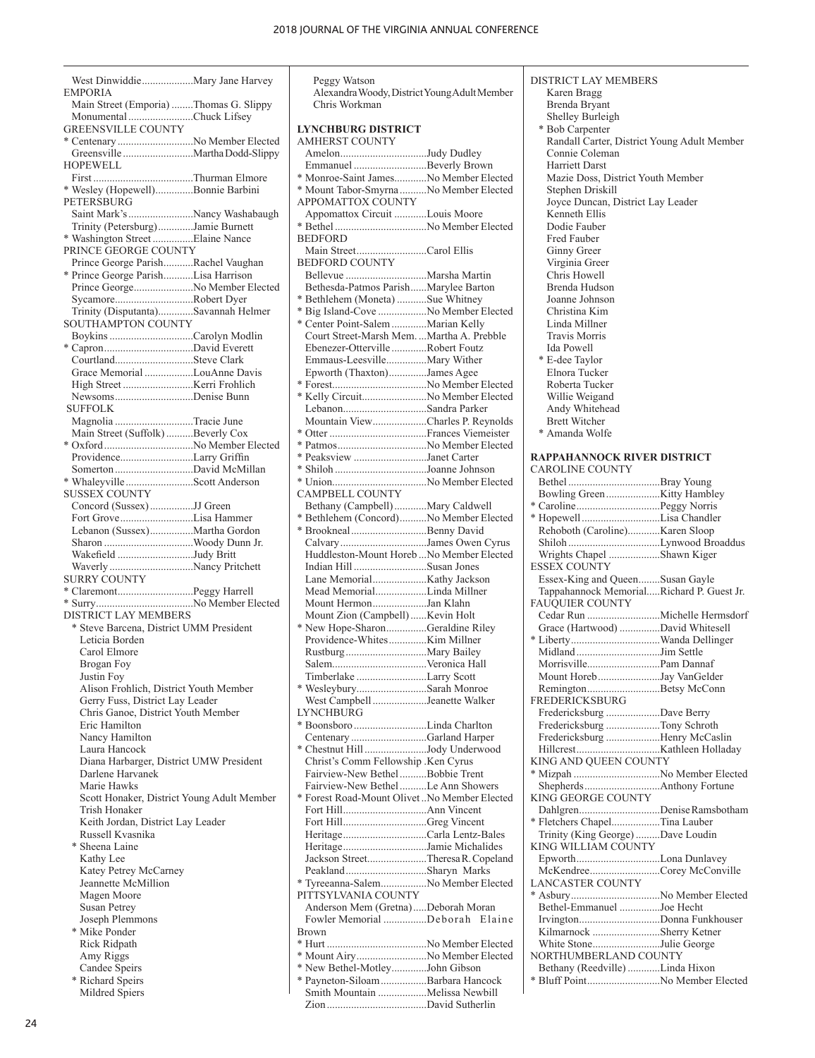| West DinwiddieMary Jane Harvey                                        |  |
|-----------------------------------------------------------------------|--|
| EMPORIA                                                               |  |
| Main Street (Emporia) Thomas G. Slippy                                |  |
| Monumental Chuck Lifsey                                               |  |
| <b>GREENSVILLE COUNTY</b>                                             |  |
| * Centenary No Member Elected                                         |  |
| HOPEWELL                                                              |  |
|                                                                       |  |
| * Wesley (Hopewell)Bonnie Barbini                                     |  |
| PETERSBURG                                                            |  |
| Saint Mark's Nancy Washabaugh                                         |  |
| Trinity (Petersburg)Jamie Burnett                                     |  |
| * Washington Street Elaine Nance                                      |  |
| PRINCE GEORGE COUNTY                                                  |  |
| Prince George ParishRachel Vaughan                                    |  |
| * Prince George ParishLisa Harrison<br>Prince GeorgeNo Member Elected |  |
| SycamoreRobert Dyer                                                   |  |
| Trinity (Disputanta)Savannah Helmer                                   |  |
| <b>SOUTHAMPTON COUNTY</b>                                             |  |
| Boykins Carolyn Modlin                                                |  |
|                                                                       |  |
| CourtlandSteve Clark                                                  |  |
| Grace Memorial LouAnne Davis                                          |  |
|                                                                       |  |
| NewsomsDenise Bunn<br><b>SUFFOLK</b>                                  |  |
| Magnolia Tracie June                                                  |  |
| Main Street (Suffolk) Beverly Cox                                     |  |
| * Oxford No Member Elected                                            |  |
| ProvidenceLarry Griffin                                               |  |
| Somerton David McMillan                                               |  |
| * WhaleyvilleScott Anderson                                           |  |
| <b>SUSSEX COUNTY</b>                                                  |  |
| Concord (Sussex)JJ Green                                              |  |
| Fort GroveLisa Hammer                                                 |  |
| Lebanon (Sussex)Martha Gordon                                         |  |
| Sharon Woody Dunn Jr.                                                 |  |
| Wakefield Judy Britt<br>Waverly Nancy Pritchett                       |  |
| <b>SURRY COUNTY</b>                                                   |  |
|                                                                       |  |
|                                                                       |  |
| <b>DISTRICT LAY MEMBERS</b>                                           |  |
| * Steve Barcena, District UMM President                               |  |
| Leticia Borden                                                        |  |
| Carol Elmore                                                          |  |
| Brogan Foy                                                            |  |
| Justin Foy                                                            |  |
| Alison Frohlich, District Youth Member                                |  |
| Gerry Fuss, District Lay Leader<br>Chris Ganoe, District Youth Member |  |
| Eric Hamilton                                                         |  |
| Nancy Hamilton                                                        |  |
| Laura Hancock                                                         |  |
| Diana Harbarger, District UMW President                               |  |
| Darlene Harvanek                                                      |  |
| Marie Hawks                                                           |  |
| Scott Honaker, District Young Adult Member                            |  |
| Trish Honaker                                                         |  |
| Keith Jordan, District Lay Leader                                     |  |
| Russell Kvasnika                                                      |  |
| * Sheena Laine<br>Kathy Lee                                           |  |
| Katey Petrey McCarney                                                 |  |
| Jeannette McMillion                                                   |  |
| Magen Moore                                                           |  |
| <b>Susan Petrey</b>                                                   |  |
| Joseph Plemmons                                                       |  |
| * Mike Ponder                                                         |  |
| Rick Ridpath                                                          |  |
| Amy Riggs                                                             |  |
| Candee Speirs                                                         |  |
| * Richard Speirs                                                      |  |

| Mildred Spiers |  |
|----------------|--|

| Peggy Watson                                                         |        |
|----------------------------------------------------------------------|--------|
| Alexandra Woody, District Young Adult Member                         |        |
| Chris Workman                                                        |        |
|                                                                      |        |
| <b>LYNCHBURG DISTRICT</b>                                            |        |
| <b>AMHERST COUNTY</b>                                                |        |
| AmelonJudy Dudley                                                    |        |
| Emmanuel Beverly Brown                                               |        |
| * Monroe-Saint JamesNo Member Elected                                |        |
| * Mount Tabor-Smyrna No Member Elected                               |        |
| APPOMATTOX COUNTY                                                    |        |
| Appomattox Circuit Louis Moore                                       |        |
|                                                                      |        |
| <b>BEDFORD</b>                                                       |        |
| Main StreetCarol Ellis                                               |        |
| <b>BEDFORD COUNTY</b>                                                |        |
|                                                                      |        |
| Bethesda-Patmos ParishMarylee Barton                                 |        |
| * Bethlehem (Moneta) Sue Whitney                                     |        |
| * Big Island-Cove No Member Elected                                  |        |
| * Center Point-Salem Marian Kelly                                    |        |
| Court Street-Marsh Mem.  Martha A. Prebble                           |        |
| Ebenezer-OttervilleRobert Foutz                                      |        |
| Emmaus-LeesvilleMary Wither                                          |        |
| Epworth (Thaxton)James Agee                                          |        |
|                                                                      |        |
| * Kelly CircuitNo Member Elected                                     |        |
| LebanonSandra Parker                                                 |        |
| Mountain ViewCharles P. Reynolds                                     |        |
|                                                                      |        |
| * PatmosNo Member Elected                                            |        |
| * Peaksview Janet Carter                                             |        |
| * Shiloh Joanne Johnson                                              |        |
|                                                                      |        |
| CAMPBELL COUNTY                                                      |        |
| Bethany (Campbell)Mary Caldwell                                      |        |
| * Bethlehem (Concord)No Member Elected                               |        |
| * BrooknealBenny David                                               |        |
| CalvaryJames Owen Cyrus<br>Huddleston-Mount Horeb  No Member Elected |        |
|                                                                      |        |
| Indian Hill Susan Jones                                              |        |
|                                                                      |        |
| Mead MemorialLinda Millner                                           |        |
| Mount HermonJan Klahn                                                |        |
| Mount Zion (Campbell) Kevin Holt                                     |        |
| * New Hope-SharonGeraldine Riley                                     |        |
|                                                                      |        |
| SalemVeronica Hall                                                   |        |
|                                                                      |        |
| Timberlake Larry Scott<br>* WesleyburySarah Monroe                   |        |
|                                                                      |        |
| West Campbell Jeanette Walker<br><b>LYNCHBURG</b>                    |        |
|                                                                      |        |
| Centenary Garland Harper                                             |        |
| * Chestnut Hill Jody Underwood                                       |        |
| Christ's Comm Fellowship .Ken Cyrus                                  |        |
| Fairview-New Bethel Bobbie Trent                                     |        |
| Fairview-New Bethel Le Ann Showers                                   |        |
| * Forest Road-Mount Olivet No Member Elected                         |        |
|                                                                      |        |
| Fort HillGreg Vincent                                                |        |
| HeritageCarla Lentz-Bales                                            |        |
| HeritageJamie Michalides                                             |        |
| Jackson StreetTheresa R. Copeland                                    |        |
| PeaklandSharyn Marks                                                 |        |
| * Tyreeanna-SalemNo Member Elected                                   |        |
| PITTSYLVANIA COUNTY                                                  |        |
| Anderson Mem (Gretna)Deborah Moran                                   |        |
| Fowler Memorial Deborah                                              | Elaine |
| <b>Brown</b>                                                         |        |
|                                                                      |        |
| * Mount AiryNo Member Elected                                        |        |
|                                                                      |        |
|                                                                      |        |
| * New Bethel-MotleyJohn Gibson                                       |        |
| * Payneton-Siloam Barbara Hancock<br>Smith Mountain Melissa Newbill  |        |

| <b>DISTRICT LAY MEMBERS</b>                                       |  |
|-------------------------------------------------------------------|--|
| Karen Bragg                                                       |  |
| Brenda Bryant<br>Shelley Burleigh                                 |  |
| * Bob Carpenter                                                   |  |
| Randall Carter, District Young Adult Member                       |  |
| Connie Coleman                                                    |  |
| Harriett Darst<br>Mazie Doss, District Youth Member               |  |
| Stephen Driskill                                                  |  |
| Joyce Duncan, District Lay Leader                                 |  |
| Kenneth Ellis                                                     |  |
| Dodie Fauber                                                      |  |
| Fred Fauber<br>Ginny Greer                                        |  |
| Virginia Greer                                                    |  |
| Chris Howell                                                      |  |
| Brenda Hudson                                                     |  |
| Joanne Johnson<br>Christina Kim                                   |  |
| Linda Millner                                                     |  |
| <b>Travis Morris</b>                                              |  |
| Ida Powell                                                        |  |
| * E-dee Taylor                                                    |  |
| Elnora Tucker<br>Roberta Tucker                                   |  |
| Willie Weigand                                                    |  |
| Andy Whitehead                                                    |  |
| <b>Brett Witcher</b>                                              |  |
| * Amanda Wolfe                                                    |  |
| RAPPAHANNOCK RIVER DISTRICT                                       |  |
| <b>CAROLINE COUNTY</b>                                            |  |
|                                                                   |  |
|                                                                   |  |
| * HopewellLisa Chandler                                           |  |
| Rehoboth (Caroline)Karen Sloop                                    |  |
|                                                                   |  |
| Wrights Chapel Shawn Kiger                                        |  |
| ESSEX COUNTY<br>Essex-King and QueenSusan Gayle                   |  |
| Tappahannock MemorialRichard P. Guest Jr.                         |  |
| <b>FAUQUIER COUNTY</b>                                            |  |
|                                                                   |  |
| Grace (Hartwood) David Whitesell                                  |  |
| * LibertyWanda Dellinger                                          |  |
| MorrisvillePam Dannaf                                             |  |
| Mount HorebJay VanGelder                                          |  |
| RemingtonBetsy McConn                                             |  |
| <b>FREDERICKSBURG</b><br>Fredericksburg Dave Berry                |  |
| Fredericksburg Tony Schroth                                       |  |
| Fredericksburg Henry McCaslin                                     |  |
|                                                                   |  |
| KING AND QUEEN COUNTY                                             |  |
| * Mizpah No Member Elected                                        |  |
| KING GEORGE COUNTY                                                |  |
| DahlgrenDenise Ramsbotham                                         |  |
| * Fletchers ChapelTina Lauber                                     |  |
|                                                                   |  |
| Trinity (King George) Dave Loudin                                 |  |
| KING WILLIAM COUNTY                                               |  |
| EpworthLona Dunlavey                                              |  |
| McKendreeCorey McConville<br><b>LANCASTER COUNTY</b>              |  |
| * AsburyNo Member Elected                                         |  |
| Bethel-Emmanuel Joe Hecht                                         |  |
| IrvingtonDonna Funkhouser                                         |  |
| Kilmarnock Sherry Ketner<br>White StoneJulie George               |  |
| NORTHUMBERLAND COUNTY                                             |  |
| Bethany (Reedville) Linda Hixon<br>* Bluff PointNo Member Elected |  |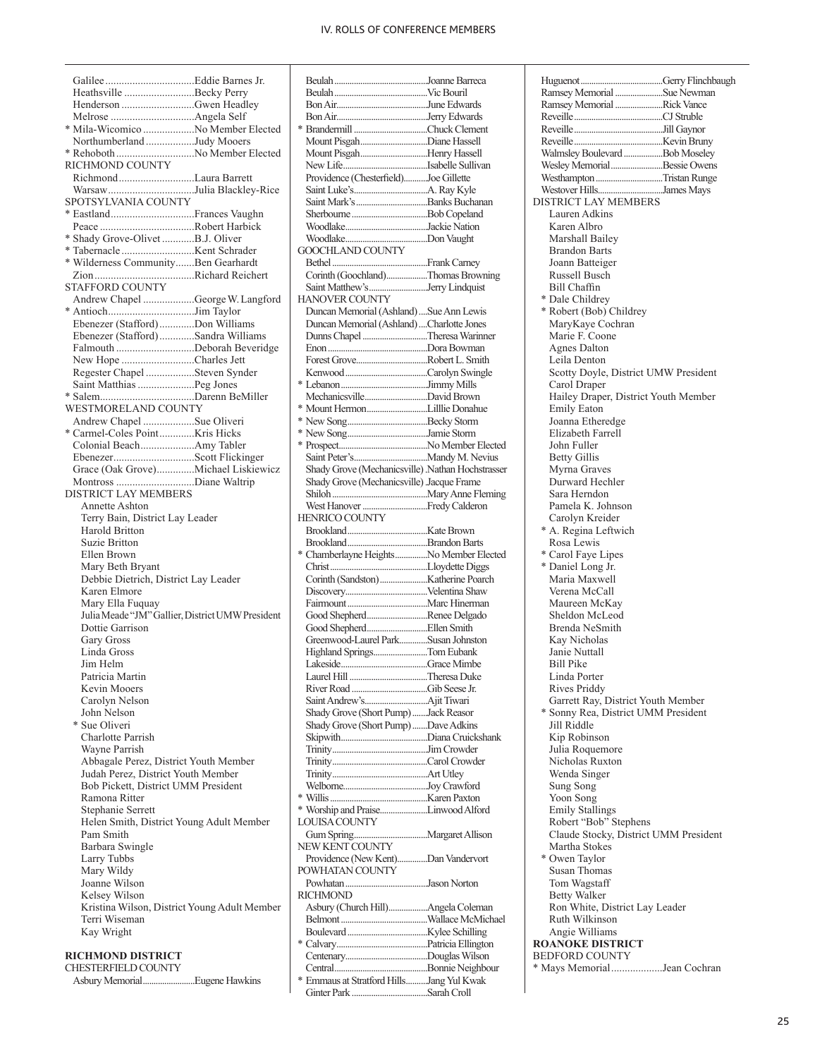Galilee .................................Eddie Barnes Jr. Heathsville ..........................Becky Perry Henderson ...........................Gwen Headley Melrose ...............................Angela Self \* Mila-Wicomico ...................No Member Elected Northumberland ..................Judy Mooers \* Rehoboth.............................No Member Elected RICHMOND COUNTY Richmond............................Laura Barrett Warsaw................................Julia Blackley-Rice SPOTSYLVANIA COUNTY \* Eastland...............................Frances Vaughn Peace ...................................Robert Harbick \* Shady Grove-Olivet ............B.J. Oliver \* Tabernacle ...........................Kent Schrader \* Wilderness Community.......Ben Gearhardt Zion.....................................Richard Reichert STAFFORD COUNTY Andrew Chapel ...................George W. Langford \* Antioch................................Jim Taylor Ebenezer (Stafford).............Don Williams Ebenezer (Stafford).............Sandra Williams Falmouth .............................Deborah Beveridge New Hope ...........................Charles Jett Regester Chapel ..................Steven Synder Saint Matthias.....................Peg Jones \* Salem...................................Darenn BeMiller WESTMORELAND COUNTY Andrew Chapel ...................Sue Oliveri \* Carmel-Coles Point.............Kris Hicks Colonial Beach....................Amy Tabler Ebenezer..............................Scott Flickinger Grace (Oak Grove)..............Michael Liskiewicz Montross .............................Diane Waltrip DISTRICT LAY MEMBERS Annette Ashton Terry Bain, District Lay Leader Harold Britton Suzie Britton Ellen Brown Mary Beth Bryant Debbie Dietrich, District Lay Leader Karen Elmore Mary Ella Fuquay Julia Meade "JM" Gallier, District UMW President Dottie Garrison Gary Gross Linda Gross Jim Helm Patricia Martin Kevin Mooers Carolyn Nelson John Nelson \* Sue Oliveri Charlotte Parrish Wayne Parrish Abbagale Perez, District Youth Member Judah Perez, District Youth Member Bob Pickett, District UMM President Ramona Ritter Stephanie Serrett Helen Smith, District Young Adult Member Pam Smith Barbara Swingle Larry Tubbs Mary Wildy Joanne Wilson Kelsey Wilson Kristina Wilson, District Young Adult Member Terri Wiseman Kay Wright

### **RICHMOND DISTRICT**

CHESTERFIELD COUNTY Asbury Memorial........................Eugene Hawkins

| Mount PisgahDiane Hassell                                           |  |
|---------------------------------------------------------------------|--|
| Mount PisgahHenry Hassell                                           |  |
|                                                                     |  |
| Providence (Chesterfield)Joe Gillette                               |  |
|                                                                     |  |
|                                                                     |  |
|                                                                     |  |
|                                                                     |  |
|                                                                     |  |
|                                                                     |  |
| <b>GOOCHLAND COUNTY</b>                                             |  |
|                                                                     |  |
| Corinth (Goochland)Thomas Browning                                  |  |
|                                                                     |  |
| Saint Matthew'sJerry Lindquist                                      |  |
| HANOVER COUNTY                                                      |  |
| Duncan Memorial (Ashland)  Sue Ann Lewis                            |  |
| Duncan Memorial (Ashland) Charlotte Jones                           |  |
| Dunns Chapel Theresa Warinner                                       |  |
|                                                                     |  |
|                                                                     |  |
| Forest GroveRobert L. Smith                                         |  |
|                                                                     |  |
|                                                                     |  |
| MechanicsvilleDavid Brown                                           |  |
|                                                                     |  |
|                                                                     |  |
|                                                                     |  |
|                                                                     |  |
|                                                                     |  |
|                                                                     |  |
| Shady Grove (Mechanicsville) .Nathan Hochstrasser                   |  |
| Shady Grove (Mechanicsville) Jacque Frame                           |  |
|                                                                     |  |
|                                                                     |  |
| HENRICO COUNTY                                                      |  |
|                                                                     |  |
|                                                                     |  |
|                                                                     |  |
|                                                                     |  |
| * Chamberlayne HeightsNo Member Elected                             |  |
|                                                                     |  |
|                                                                     |  |
|                                                                     |  |
|                                                                     |  |
|                                                                     |  |
| Good ShepherdRenee Delgado                                          |  |
|                                                                     |  |
| Greenwood-Laurel ParkSusan Johnston                                 |  |
| Highland SpringsTom Eubank                                          |  |
|                                                                     |  |
|                                                                     |  |
| Laurel Hill <b>Theresa Duke</b>                                     |  |
|                                                                     |  |
|                                                                     |  |
| Shady Grove (Short Pump) Jack Reasor                                |  |
| Shady Grove (Short Pump)Dave Adkins                                 |  |
|                                                                     |  |
|                                                                     |  |
|                                                                     |  |
|                                                                     |  |
|                                                                     |  |
|                                                                     |  |
|                                                                     |  |
| * Worship and PraiseLinwood Alford                                  |  |
| <b>LOUISA COUNTY</b>                                                |  |
|                                                                     |  |
|                                                                     |  |
| NEW KENT COUNTY                                                     |  |
| Providence (New Kent)Dan Vandervort                                 |  |
| POWHATAN COUNTY                                                     |  |
|                                                                     |  |
| <b>RICHMOND</b>                                                     |  |
|                                                                     |  |
| Asbury (Church Hill)Angela Coleman                                  |  |
|                                                                     |  |
|                                                                     |  |
|                                                                     |  |
|                                                                     |  |
|                                                                     |  |
| * Emmaus at Stratford HillsJang Yul Kwak<br>Ginter Park Sarah Croll |  |

| Ramsey Memorial Sue Newman                         |  |
|----------------------------------------------------|--|
| Ramsey Memorial Rick Vance                         |  |
|                                                    |  |
|                                                    |  |
| Walmsley Boulevard  Bob Moseley                    |  |
| Wesley MemorialBessie Owens                        |  |
| Westhampton Tristan Runge                          |  |
| Westover HillsJames Mays                           |  |
| DISTRICT LAY MEMBERS                               |  |
| Lauren Adkins                                      |  |
| Karen Albro<br>Marshall Bailey                     |  |
| <b>Brandon Barts</b>                               |  |
| Joann Batteiger                                    |  |
| Russell Busch                                      |  |
| <b>Bill Chaffin</b>                                |  |
| * Dale Childrey                                    |  |
| * Robert (Bob) Childrey                            |  |
| MaryKaye Cochran                                   |  |
| Marie F. Coone<br><b>Agnes Dalton</b>              |  |
| Leila Denton                                       |  |
| Scotty Doyle, District UMW President               |  |
| Carol Draper                                       |  |
| Hailey Draper, District Youth Member               |  |
| <b>Emily Eaton</b>                                 |  |
| Joanna Etheredge                                   |  |
| Elizabeth Farrell<br>John Fuller                   |  |
| <b>Betty Gillis</b>                                |  |
| Myrna Graves                                       |  |
| Durward Hechler                                    |  |
| Sara Herndon                                       |  |
| Pamela K. Johnson                                  |  |
| Carolyn Kreider                                    |  |
| * A. Regina Leftwich                               |  |
| Rosa Lewis<br>* Carol Faye Lipes                   |  |
| * Daniel Long Jr.                                  |  |
| Maria Maxwell                                      |  |
| Verena McCall                                      |  |
| Maureen McKay                                      |  |
| Sheldon McLeod                                     |  |
| Brenda NeSmith                                     |  |
| Kay Nicholas<br>Janie Nuttall                      |  |
| <b>Bill Pike</b>                                   |  |
| Linda Porter                                       |  |
| <b>Rives Priddy</b>                                |  |
| Garrett Ray, District Youth Member                 |  |
| * Sonny Rea, District UMM President<br>Jill Riddle |  |
| Kip Robinson                                       |  |
| Julia Roquemore                                    |  |
| Nicholas Ruxton                                    |  |
| Wenda Singer                                       |  |
| Sung Song                                          |  |
| Yoon Song                                          |  |
| <b>Emily Stallings</b><br>Robert "Bob" Stephens    |  |
| Claude Stocky, District UMM President              |  |
| Martha Stokes                                      |  |
| * Owen Taylor                                      |  |
| Susan Thomas                                       |  |
| Tom Wagstaff                                       |  |
| <b>Betty Walker</b>                                |  |
| Ron White, District Lay Leader<br>Ruth Wilkinson   |  |
| Angie Williams                                     |  |
| <b>ROANOKE DISTRICT</b>                            |  |
| <b>BEDFORD COUNTY</b>                              |  |
| * Mays MemorialJean Cochran                        |  |
|                                                    |  |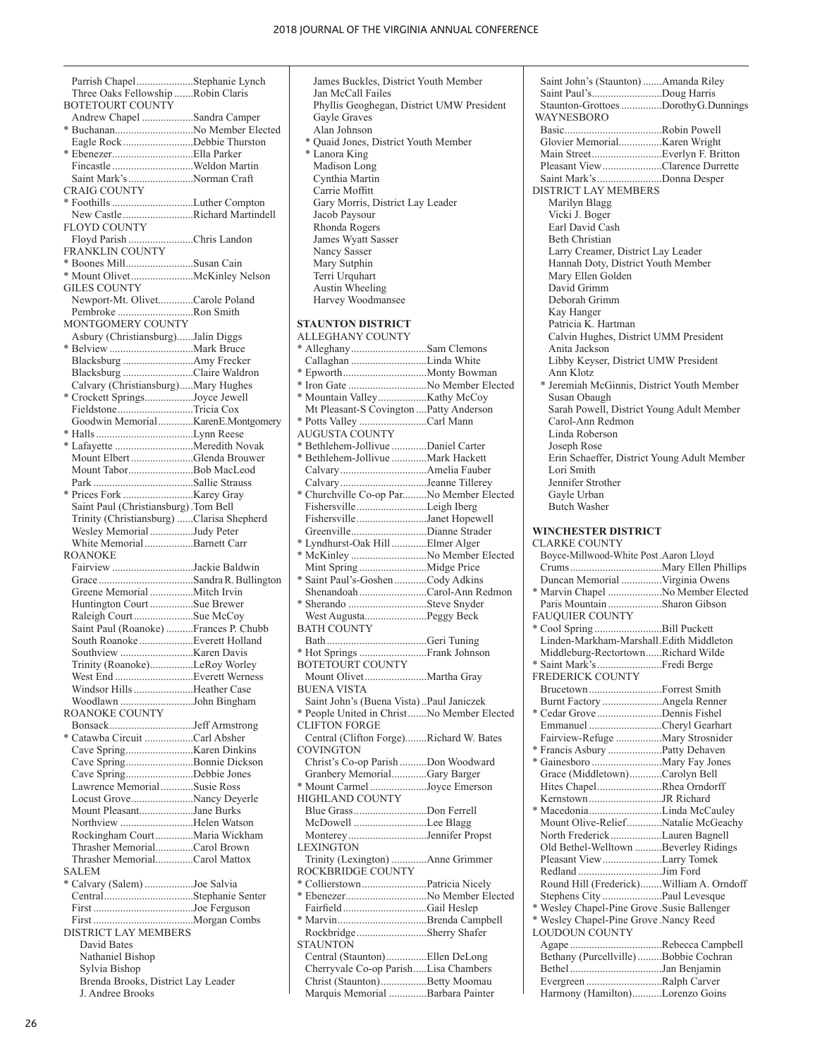Parrish Chapel.....................Stephanie Lynch Three Oaks Fellowship .......Robin Claris BOTETOURT COUNTY Andrew Chapel ...................Sandra Camper \* Buchanan.............................No Member Elected Eagle Rock..........................Debbie Thurston \* Ebenezer..............................Ella Parker Fincastle ..............................Weldon Martin Saint Mark's........................Norman Craft CRAIG COUNTY \* Foothills..............................Luther Compton New Castle ..........................Richard Martindell FLOYD COUNTY Floyd Parish ........................Chris Landon FRANKLIN COUNTY \* Boones Mill.........................Susan Cain \* Mount Olivet.......................McKinley Nelson GILES COUNTY Newport-Mt. Olivet.............Carole Poland Pembroke ............................Ron Smith MONTGOMERY COUNTY Asbury (Christiansburg)......Jalin Diggs \* Belview ...............................Mark Bruce Blacksburg ..........................Amy Frecker Blacksburg ..........................Claire Waldron Calvary (Christiansburg).....Mary Hughes \* Crockett Springs..................Joyce Jewell Fieldstone............................Tricia Cox Goodwin Memorial.............Karen E. Montgomery \* Halls....................................Lynn Reese \* Lafayette .............................Meredith Novak Mount Elbert .......................Glenda Brouwer Mount Tabor........................Bob MacLeod Park .....................................Sallie Strauss \* Prices Fork ..........................Karey Gray Saint Paul (Christiansburg).Tom Bell Trinity (Christiansburg) ......Clarisa Shepherd Wesley Memorial................Judy Peter White Memorial..................Barnett Carr ROANOKE Fairview ..............................Jackie Baldwin Grace ...................................Sandra R. Bullington Greene Memorial ................Mitch Irvin Huntington Court ................Sue Brewer Raleigh Court......................Sue McCoy Saint Paul (Roanoke) ..........Frances P. Chubb South Roanoke....................Everett Holland Southview ...........................Karen Davis Trinity (Roanoke)................LeRoy Worley West End .............................Everett Werness Windsor Hills......................Heather Case Woodlawn ...........................John Bingham ROANOKE COUNTY Bonsack...............................Jeff Armstrong \* Catawba Circuit ..................Carl Absher Cave Spring.........................Karen Dinkins Cave Spring.........................Bonnie Dickson Cave Spring.........................Debbie Jones Lawrence Memorial............Susie Ross Locust Grove.......................Nancy Deyerle Mount Pleasant....................Jane Burks Northview ...........................Helen Watson Rockingham Court..............Maria Wickham Thrasher Memorial..............Carol Brown Thrasher Memorial..............Carol Mattox SALEM \* Calvary (Salem) ..................Joe Salvia Central.................................Stephanie Senter First .....................................Joe Ferguson First .....................................Morgan Combs DISTRICT LAY MEMBERS David Bates Nathaniel Bishop Sylvia Bishop Brenda Brooks, District Lay Leader

 James Buckles, District Youth Member Jan McCall Failes Phyllis Geoghegan, District UMW President Gayle Graves Alan Johnson \* Quaid Jones, District Youth Member \* Lanora King Madison Long Cynthia Martin Carrie Moffitt Gary Morris, District Lay Leader Jacob Paysour Rhonda Rogers James Wyatt Sasser Nancy Sasser Mary Sutphin Terri Urquhart Austin Wheeling Harvey Woodmansee **STAUNTON DISTRICT**  ALLEGHANY COUNTY \* Alleghany............................Sam Clemons Callaghan ............................Linda White

\* Epworth...............................Monty Bowman \* Iron Gate .............................No Member Elected \* Mountain Valley..................Kathy McCoy Mt Pleasant-S Covington ....Patty Anderson \* Potts Valley .........................Carl Mann AUGUSTA COUNTY \* Bethlehem-Jollivue .............Daniel Carter \* Bethlehem-Jollivue .............Mark Hackett Calvary................................Amelia Fauber Calvary................................Jeanne Tillerey \* Churchville Co-op Par.........No Member Elected Fishersville..........................Leigh Iberg Fishersville..........................Janet Hopewell Greenville............................Dianne Strader \* Lyndhurst-Oak Hill .............Elmer Alger \* McKinley ............................No Member Elected Mint Spring .........................Midge Price \* Saint Paul's-Goshen............Cody Adkins Shenandoah.........................Carol-Ann Redmon \* Sherando .............................Steve Snyder West Augusta.......................Peggy Beck BATH COUNTY Bath.....................................Geri Tuning \* Hot Springs.........................Frank Johnson BOTETOURT COUNTY Mount Olivet.......................Martha Gray BUENA VISTA Saint John's (Buena Vista)..Paul Janiczek \* People United in Christ.......No Member Elected CLIFTON FORGE Central (Clifton Forge)........Richard W. Bates COVINGTON Christ's Co-op Parish ..........Don Woodward Granbery Memorial.............Gary Barger \* Mount Carmel .....................Joyce Emerson HIGHLAND COUNTY Blue Grass...........................Don Ferrell McDowell ...........................Lee Blagg Monterey.............................Jennifer Propst **LEXINGTON** Trinity (Lexington) .............Anne Grimmer ROCKBRIDGE COUNTY \* Collierstown........................Patricia Nicely \* Ebenezer..............................No Member Elected Fairfield...............................Gail Heslep \* Marvin.................................Brenda Campbell Rockbridge..........................Sherry Shafer **STAUNTON** Central (Staunton)...............Ellen DeLong Cherryvale Co-op Parish.....Lisa Chambers Christ (Staunton).................Betty Moomau

Marquis Memorial ..............Barbara Painter

Saint John's (Staunton).......Amanda Riley Saint Paul's..........................Doug Harris Staunton-Grottoes...............Dorothy G. Dunnings WAYNESBORO Basic....................................Robin Powell Glovier Memorial................Karen Wright Main Street..........................Everlyn F. Britton Pleasant View......................Clarence Durrette Saint Mark's........................Donna Desper DISTRICT LAY MEMBERS Marilyn Blagg Vicki J. Boger Earl David Cash Beth Christian Larry Creamer, District Lay Leader Hannah Doty, District Youth Member Mary Ellen Golden David Grimm Deborah Grimm Kay Hanger Patricia K. Hartman Calvin Hughes, District UMM President Anita Jackson Libby Keyser, District UMW President Ann Klotz \* Jeremiah McGinnis, District Youth Member Susan Obaugh Sarah Powell, District Young Adult Member Carol-Ann Redmon Linda Roberson Joseph Rose Erin Schaeffer, District Young Adult Member Lori Smith Jennifer Strother Gayle Urban Butch Washer **WINCHESTER DISTRICT**  CLARKE COUNTY Boyce-Millwood-White Post.Aaron Lloyd Crums..................................Mary Ellen Phillips Duncan Memorial ...............Virginia Owens \* Marvin Chapel ....................No Member Elected Paris Mountain....................Sharon Gibson FAUQUIER COUNTY \* Cool Spring .........................Bill Puckett Linden-Markham-Marshall.Edith Middleton Middleburg-Rectortown......Richard Wilde \* Saint Mark's........................Fredi Berge FREDERICK COUNTY Brucetown...........................Forrest Smith Burnt Factory ......................Angela Renner \* Cedar Grove ........................Dennis Fishel Emmanuel ...........................Cheryl Gearhart Fairview-Refuge .................Mary Strosnider \* Francis Asbury ....................Patty Dehaven \* Gainesboro ..........................Mary Fay Jones Grace (Middletown)............Carolyn Bell Hites Chapel........................Rhea Orndorff Kernstown...........................JR Richard \* Macedonia...........................Linda McCauley Mount Olive-Relief.............Natalie McGeachy North Frederick...................Lauren Bagnell Old Bethel-Welltown ..........Beverley Ridings Pleasant View......................Larry Tomek Redland ...............................Jim Ford Round Hill (Frederick)........William A. Orndoff Stephens City ......................Paul Levesque \* Wesley Chapel-Pine Grove .Susie Ballenger \* Wesley Chapel-Pine Grove .Nancy Reed LOUDOUN COUNTY Agape ..................................Rebecca Campbell Bethany (Purcellville).........Bobbie Cochran Bethel..................................Jan Benjamin Evergreen ............................Ralph Carver Harmony (Hamilton)...........Lorenzo Goins

J. Andree Brooks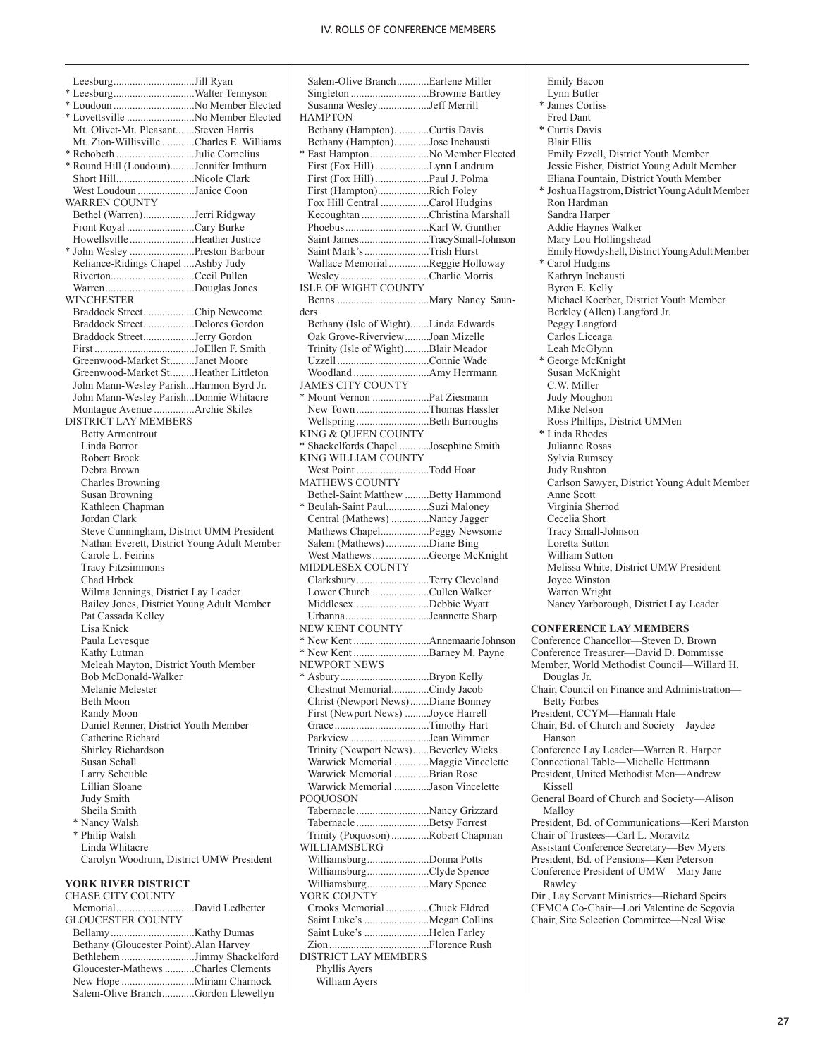Leesburg..............................Jill Ryan \* Leesburg..............................Walter Tennyson \* Loudoun ..............................No Member Elected \* Lovettsville .........................No Member Elected Mt. Olivet-Mt. Pleasant.......Steven Harris Mt. Zion-Willisville ............Charles E. Williams \* Rehobeth .............................Julie Cornelius \* Round Hill (Loudoun).........Jennifer Imthurn Short Hill.............................Nicole Clark West Loudoun .....................Janice Coon WARREN COUNTY Bethel (Warren)...................Jerri Ridgway Front Royal .........................Cary Burke Howellsville ........................Heather Justice \* John Wesley ........................Preston Barbour Reliance-Ridings Chapel ....Ashby Judy Riverton...............................Cecil Pullen Warren.................................Douglas Jones WINCHESTER Braddock Street...................Chip Newcome Braddock Street...................Delores Gordon Braddock Street...................Jerry Gordon First .....................................JoEllen F. Smith Greenwood-Market St.........Janet Moore Greenwood-Market St.........Heather Littleton John Mann-Wesley Parish...Harmon Byrd Jr. John Mann-Wesley Parish...Donnie Whitacre Montague Avenue ...............Archie Skiles DISTRICT LAY MEMBERS Betty Armentrout Linda Borror Robert Brock Debra Brown Charles Browning Susan Browning Kathleen Chapman Jordan Clark Steve Cunningham, District UMM President Nathan Everett, District Young Adult Member Carole L. Feirins Tracy Fitzsimmons Chad Hrbek Wilma Jennings, District Lay Leader Bailey Jones, District Young Adult Member Pat Cassada Kelley Lisa Knick Paula Levesque Kathy Lutman Meleah Mayton, District Youth Member Bob McDonald-Walker Melanie Melester Beth Moon Randy Moon Daniel Renner, District Youth Member Catherine Richard Shirley Richardson Susan Schall Larry Scheuble Lillian Sloane Judy Smith Sheila Smith \* Nancy Walsh \* Philip Walsh Linda Whitacre Carolyn Woodrum, District UMW President **YORK RIVER DISTRICT** CHASE CITY COUNTY<br>Memorial David Ledbetter

| <b>GLOUCESTER COUNTY</b>                |                                     |
|-----------------------------------------|-------------------------------------|
|                                         |                                     |
| Bethany (Gloucester Point). Alan Harvey |                                     |
|                                         |                                     |
|                                         | Gloucester-Mathews Charles Clements |
|                                         |                                     |
|                                         | Salem-Olive BranchGordon Llewellyn  |
|                                         |                                     |

| Salem-Olive BranchEarlene Miller                             |  |
|--------------------------------------------------------------|--|
| Singleton Brownie Bartley                                    |  |
| Susanna WesleyJeff Merrill                                   |  |
| <b>HAMPTON</b><br>Bethany (Hampton)Curtis Davis              |  |
| Bethany (Hampton)Jose Inchausti                              |  |
| * East HamptonNo Member Elected                              |  |
| First (Fox Hill) Lynn Landrum                                |  |
| First (Fox Hill)  Paul J. Polma                              |  |
| First (Hampton)Rich Foley                                    |  |
| Fox Hill Central Carol Hudgins                               |  |
| Kecoughtan Christina Marshall                                |  |
|                                                              |  |
| Saint JamesTracySmall-Johnson<br>Saint Mark's Trish Hurst    |  |
| Wallace MemorialReggie Holloway                              |  |
| WesleyCharlie Morris                                         |  |
| <b>ISLE OF WIGHT COUNTY</b>                                  |  |
|                                                              |  |
| ders                                                         |  |
| Bethany (Isle of Wight)Linda Edwards                         |  |
| Oak Grove-RiverviewJoan Mizelle                              |  |
| Trinity (Isle of Wight) Blair Meador                         |  |
|                                                              |  |
| <b>JAMES CITY COUNTY</b>                                     |  |
|                                                              |  |
| New Town Thomas Hassler                                      |  |
| Wellspring Beth Burroughs                                    |  |
| KING & QUEEN COUNTY                                          |  |
| * Shackelfords Chapel Josephine Smith                        |  |
| KING WILLIAM COUNTY                                          |  |
| West Point Todd Hoar                                         |  |
| <b>MATHEWS COUNTY</b><br>Bethel-Saint Matthew Betty Hammond  |  |
| * Beulah-Saint PaulSuzi Maloney                              |  |
| Central (Mathews) Nancy Jagger                               |  |
| Mathews ChapelPeggy Newsome                                  |  |
| Salem (Mathews) Diane Bing                                   |  |
| West MathewsGeorge McKnight                                  |  |
| MIDDLESEX COUNTY                                             |  |
| ClarksburyTerry Cleveland                                    |  |
| Lower Church Cullen Walker                                   |  |
| MiddlesexDebbie Wyatt                                        |  |
| UrbannaJeannette Sharp<br>NEW KENT COUNTY                    |  |
|                                                              |  |
| * New Kent Barney M. Payne                                   |  |
| NEWPORT NEWS                                                 |  |
| * Asbury<br>Bryon Kelly                                      |  |
| Chestnut MemorialCindy Jacob                                 |  |
| Christ (Newport News) Diane Bonney                           |  |
| First (Newport News) Joyce Harrell                           |  |
| Grace Timothy Hart                                           |  |
| Parkview Jean Wimmer<br>Trinity (Newport News)Beverley Wicks |  |
| Warwick Memorial Maggie Vincelette                           |  |
| Warwick Memorial Brian Rose                                  |  |
| Warwick Memorial Jason Vincelette                            |  |
| POOUOSON                                                     |  |
| Tabernacle Nancy Grizzard                                    |  |
| Tabernacle Betsy Forrest                                     |  |
| Trinity (Poquoson) Robert Chapman                            |  |
| WILLIAMSBURG                                                 |  |
| WilliamsburgDonna Potts                                      |  |
| WilliamsburgClyde Spence                                     |  |
| YORK COUNTY                                                  |  |
| Crooks Memorial Chuck Eldred                                 |  |
| Saint Luke's Megan Collins                                   |  |
| Saint Luke's Helen Farley                                    |  |
|                                                              |  |
| <b>DISTRICT LAY MEMBERS</b>                                  |  |
| Phyllis Ayers                                                |  |
| William Ayers                                                |  |

 Emily Bacon Lynn Butler \* James Corliss Fred Dant \* Curtis Davis Blair Ellis Emily Ezzell, District Youth Member Jessie Fisher, District Young Adult Member Eliana Fountain, District Youth Member \* Joshua Hagstrom, District Young Adult Member Ron Hardman Sandra Harper Addie Haynes Walker Mary Lou Hollingshead Emily Howdyshell, District Young Adult Member \* Carol Hudgins Kathryn Inchausti Byron E. Kelly Michael Koerber, District Youth Member Berkley (Allen) Langford Jr. Peggy Langford Carlos Liceaga Leah McGlynn \* George McKnight Susan McKnight C.W. Miller Judy Moughon Mike Nelson Ross Phillips, District UMMen \* Linda Rhodes Julianne Rosas Sylvia Rumsey Judy Rushton Carlson Sawyer, District Young Adult Member Anne Scott Virginia Sherrod Cecelia Short Tracy Small-Johnson Loretta Sutton William Sutton Melissa White, District UMW President Joyce Winston Warren Wright Nancy Yarborough, District Lay Leader **CONFERENCE LAY MEMBERS** Conference Chancellor—Steven D. Brown Conference Treasurer—David D. Dommisse Member, World Methodist Council—Willard H. Douglas Jr. Chair, Council on Finance and Administration— Betty Forbes President, CCYM—Hannah Hale Chair, Bd. of Church and Society—Jaydee Hanson Conference Lay Leader—Warren R. Harper Connectional Table—Michelle Hettmann President, United Methodist Men—Andrew Kissell General Board of Church and Society—Alison Malloy President, Bd. of Communications—Keri Marston Chair of Trustees—Carl L. Moravitz Assistant Conference Secretary—Bev Myers President, Bd. of Pensions—Ken Peterson Conference President of UMW—Mary Jane Rawley Dir., Lay Servant Ministries—Richard Speirs CEMCA Co-Chair—Lori Valentine de Segovia Chair, Site Selection Committee—Neal Wise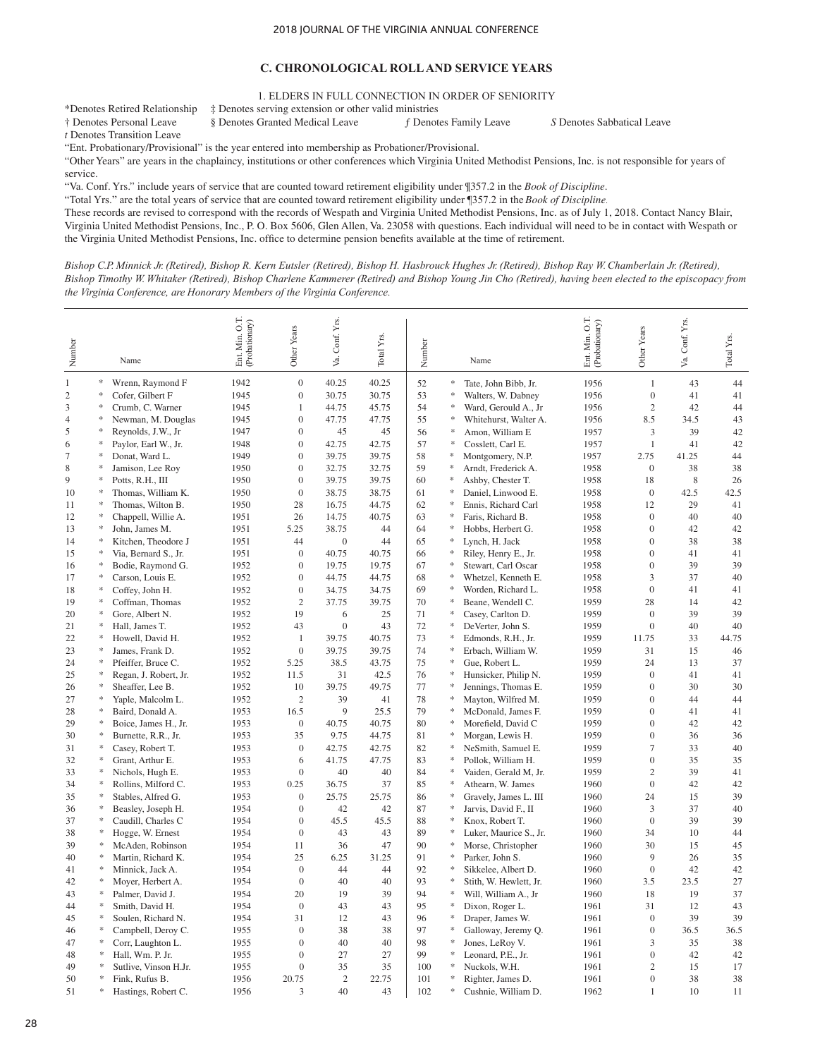### **C. CHRONOLOGICAL ROLL AND SERVICE YEARS**

1. ELDERS IN FULL CONNECTION IN ORDER OF SENIORITY

\*Denotes Retired Relationship ‡ Denotes serving extension or other valid ministries § Denotes Granted Medical Leave *f* Denotes Family Leave *S* Denotes Sabbatical Leave

*t* Denotes Transition Leave

"Ent. Probationary/Provisional" is the year entered into membership as Probationer/Provisional.

"Other Years" are years in the chaplaincy, institutions or other conferences which Virginia United Methodist Pensions, Inc. is not responsible for years of service.

"Va. Conf. Yrs." include years of service that are counted toward retirement eligibility under ¶357.2 in the *Book of Discipline*.

"Total Yrs." are the total years of service that are counted toward retirement eligibility under ¶357.2 in the *Book of Discipline*.

These records are revised to correspond with the records of Wespath and Virginia United Methodist Pensions, Inc. as of July 1, 2018. Contact Nancy Blair, Virginia United Methodist Pensions, Inc., P. O. Box 5606, Glen Allen, Va. 23058 with questions. Each individual will need to be in contact with Wespath or the Virginia United Methodist Pensions, Inc. office to determine pension benefits available at the time of retirement.

*Bishop C.P. Minnick Jr. (Retired), Bishop R. Kern Eutsler (Retired), Bishop H. Hasbrouck Hughes Jr. (Retired), Bishop Ray W. Chamberlain Jr. (Retired), Bishop Timothy W. Whitaker (Retired), Bishop Charlene Kammerer (Retired) and Bishop Young Jin Cho (Retired), having been elected to the episcopacy from the Virginia Conference, are Honorary Members of the Virginia Conference.*

| Number         |        | Name                                  | Ent. Min. O.T.<br>(Probationary) | Other Years      | Conf. Yrs.<br>Уa. | Total Y <sub>IS</sub> . | Number   |                                   | Name                                     | O.T.<br>Ent Min. O.T.<br>(Probationary) | Other Years                    | Conf. Yrs.<br>Š. | Total Yrs. |
|----------------|--------|---------------------------------------|----------------------------------|------------------|-------------------|-------------------------|----------|-----------------------------------|------------------------------------------|-----------------------------------------|--------------------------------|------------------|------------|
| 1              | $\ast$ | Wrenn, Raymond F                      | 1942                             | $\boldsymbol{0}$ | 40.25             | 40.25                   | 52       | $\frac{1}{2\pi}$                  | Tate, John Bibb, Jr.                     | 1956                                    | 1                              | 43               | 44         |
| $\overline{c}$ |        | Cofer, Gilbert F                      | 1945                             | $\boldsymbol{0}$ | 30.75             | 30.75                   | 53       | $\frac{1}{2\pi}$                  | Walters, W. Dabney                       | 1956                                    | $\boldsymbol{0}$               | 41               | 41         |
| 3              |        | Crumb, C. Warner                      | 1945                             | $\mathbf{1}$     | 44.75             | 45.75                   | 54       | *                                 | Ward, Gerould A., Jr                     | 1956                                    | $\mathbf{2}$                   | 42               | 44         |
| 4              |        | Newman, M. Douglas                    | 1945                             | $\mathbf{0}$     | 47.75             | 47.75                   | 55       | *                                 | Whitehurst, Walter A.                    | 1956                                    | 8.5                            | 34.5             | 43         |
| 5              |        | Reynolds, J.W., Jr                    | 1947                             | $\mathbf{0}$     | 45                | 45                      | 56       | $\ast$                            | Amon, William E                          | 1957                                    | 3                              | 39               | 42         |
| 6              |        | Paylor, Earl W., Jr.                  | 1948                             | $\mathbf{0}$     | 42.75             | 42.75                   | 57       | $\ast$                            | Cosslett, Carl E.                        | 1957                                    | $\mathbf{1}$                   | 41               | 42         |
| 7              |        | Donat, Ward L.                        | 1949                             | $\mathbf{0}$     | 39.75             | 39.75                   | 58       | ∗                                 | Montgomery, N.P.                         | 1957                                    | 2.75                           | 41.25            | 44         |
| 8              |        | Jamison, Lee Roy                      | 1950                             | $\boldsymbol{0}$ | 32.75             | 32.75                   | 59       | ×.                                | Arndt, Frederick A.                      | 1958                                    | $\mathbf{0}$                   | 38               | 38         |
| 9              |        | Potts, R.H., III                      | 1950                             | $\boldsymbol{0}$ | 39.75             | 39.75                   | 60       | *                                 | Ashby, Chester T.                        | 1958                                    | 18                             | 8                | 26         |
| 10             |        | Thomas, William K.                    | 1950                             | $\overline{0}$   | 38.75             | 38.75                   | 61       | *                                 | Daniel, Linwood E.                       | 1958                                    | $\overline{0}$                 | 42.5             | 42.5       |
| 11             |        | Thomas, Wilton B.                     | 1950                             | 28               | 16.75             | 44.75                   | 62       |                                   | Ennis, Richard Carl                      | 1958                                    | 12                             | 29               | 41         |
| 12             |        | Chappell, Willie A.                   | 1951                             | 26               | 14.75             | 40.75                   | 63       | $\frac{d\mathbf{r}}{d\mathbf{r}}$ | Faris, Richard B.                        | 1958                                    | $\overline{0}$                 | 40               | 40         |
| 13             |        | John, James M.                        | 1951                             | 5.25             | 38.75             | 44                      | 64       | *                                 | Hobbs, Herbert G.                        | 1958                                    | $\overline{0}$                 | 42               | 42         |
| 14             |        | Kitchen, Theodore J                   | 1951                             | 44               | $\boldsymbol{0}$  | 44                      | 65       |                                   | Lynch, H. Jack                           | 1958                                    | $\mathbf{0}$                   | 38               | 38         |
| 15             |        | Via, Bernard S., Jr.                  | 1951                             | $\boldsymbol{0}$ | 40.75             | 40.75                   | 66       | *                                 | Riley, Henry E., Jr.                     | 1958                                    | $\mathbf{0}$                   | 41               | 41         |
| 16             |        | Bodie, Raymond G.                     | 1952                             | $\overline{0}$   | 19.75             | 19.75                   | 67       | ∗                                 | Stewart, Carl Oscar                      | 1958                                    | $\overline{0}$                 | 39               | 39         |
| 17             |        | Carson, Louis E.                      | 1952                             | $\overline{0}$   | 44.75             | 44.75                   | 68       | ∗                                 | Whetzel, Kenneth E.                      | 1958                                    | 3                              | 37               | 40         |
| 18             |        | Coffey, John H.                       | 1952                             | $\overline{0}$   | 34.75             | 34.75                   | 69       | ×.                                | Worden, Richard L.                       | 1958                                    | $\overline{0}$                 | 41               | 41         |
| 19             |        | Coffman, Thomas                       | 1952                             | $\overline{c}$   | 37.75             | 39.75                   | 70       | $\frac{1}{2}$                     | Beane, Wendell C.                        | 1959                                    | 28                             | 14               | 42         |
| 20             |        | Gore, Albert N.                       | 1952                             | 19               | 6                 | 25                      | 71       | *                                 | Casey, Carlton D.                        | 1959                                    | $\overline{0}$                 | 39               | 39         |
| 21             |        | Hall, James T.                        | 1952                             | 43               | $\boldsymbol{0}$  | 43                      | 72       | $\frac{1}{2}$<br>*                | DeVerter, John S.                        | 1959                                    | $\theta$                       | 40               | 40         |
| 22             |        | Howell, David H.                      | 1952                             | $\mathbf{1}$     | 39.75             | 40.75                   | 73       | ∗                                 | Edmonds, R.H., Jr.                       | 1959                                    | 11.75                          | 33               | 44.75      |
| 23             |        | James, Frank D.                       | 1952                             | $\overline{0}$   | 39.75             | 39.75                   | 74       | *                                 | Erbach, William W.                       | 1959                                    | 31                             | 15               | 46         |
| 24             |        | Pfeiffer, Bruce C.                    | 1952                             | 5.25             | 38.5              | 43.75                   | 75       | $\frac{d\mu}{d\tau}$              | Gue, Robert L.                           | 1959                                    | 24                             | 13               | 37         |
| 25             |        | Regan, J. Robert, Jr.                 | 1952                             | 11.5<br>10       | 31                | 42.5<br>49.75           | 76       | $\frac{d\phi}{d\phi}$             | Hunsicker, Philip N.                     | 1959                                    | $\mathbf{0}$<br>$\overline{0}$ | 41<br>30         | 41<br>30   |
| 26             |        | Sheaffer, Lee B.                      | 1952<br>1952                     | $\overline{2}$   | 39.75<br>39       |                         | 77<br>78 | *                                 | Jennings, Thomas E.                      | 1959                                    | $\mathbf{0}$                   | 44               |            |
| 27<br>28       |        | Yaple, Malcolm L.<br>Baird, Donald A. | 1953                             | 16.5             | 9                 | 41<br>25.5              | 79       | *                                 | Mayton, Wilfred M.<br>McDonald, James F. | 1959<br>1959                            | $\mathbf{0}$                   | 41               | 44<br>41   |
| 29             |        | Boice, James H., Jr.                  | 1953                             | $\theta$         | 40.75             | 40.75                   | 80       | $\frac{d\phi}{d\phi}$             | Morefield, David C                       | 1959                                    | $\mathbf{0}$                   | 42               | 42         |
| 30             |        | Burnette, R.R., Jr.                   | 1953                             | 35               | 9.75              | 44.75                   | 81       | ÷                                 | Morgan, Lewis H.                         | 1959                                    | $\overline{0}$                 | 36               | 36         |
| 31             |        | Casey, Robert T.                      | 1953                             | $\mathbf{0}$     | 42.75             | 42.75                   | 82       | *                                 | NeSmith, Samuel E.                       | 1959                                    | $\overline{7}$                 | 33               | 40         |
| 32             |        | Grant, Arthur E.                      | 1953                             | 6                | 41.75             | 47.75                   | 83       | $\frac{d\phi}{d\phi}$             | Pollok, William H.                       | 1959                                    | $\mathbf{0}$                   | 35               | 35         |
| 33             |        | Nichols, Hugh E.                      | 1953                             | $\boldsymbol{0}$ | 40                | 40                      | 84       | *                                 | Vaiden, Gerald M, Jr.                    | 1959                                    | $\overline{2}$                 | 39               | 41         |
| 34             |        | Rollins, Milford C.                   | 1953                             | 0.25             | 36.75             | 37                      | 85       | *                                 | Athearn, W. James                        | 1960                                    | $\mathbf{0}$                   | 42               | 42         |
| 35             |        | Stables, Alfred G.                    | 1953                             | $\Omega$         | 25.75             | 25.75                   | 86       | *                                 | Gravely, James L. III                    | 1960                                    | 24                             | 15               | 39         |
| 36             |        | Beasley, Joseph H.                    | 1954                             | $\overline{0}$   | 42                | 42                      | 87       | $\ast$                            | Jarvis, David F., II                     | 1960                                    | 3                              | 37               | 40         |
| 37             |        | Caudill, Charles C                    | 1954                             | $\mathbf{0}$     | 45.5              | 45.5                    | 88       | ∗                                 | Knox, Robert T.                          | 1960                                    | $\overline{0}$                 | 39               | 39         |
| 38             |        | Hogge, W. Ernest                      | 1954                             | $\mathbf{0}$     | 43                | 43                      | 89       | ∗                                 | Luker, Maurice S., Jr.                   | 1960                                    | 34                             | 10               | 44         |
| 39             |        | McAden, Robinson                      | 1954                             | 11               | 36                | 47                      | 90       | $\ast$                            | Morse, Christopher                       | 1960                                    | 30                             | 15               | 45         |
| 40             |        | Martin, Richard K.                    | 1954                             | 25               | 6.25              | 31.25                   | 91       | *                                 | Parker, John S.                          | 1960                                    | 9                              | 26               | 35         |
| 41             |        | Minnick, Jack A.                      | 1954                             | $\Omega$         | 44                | 44                      | 92       | *                                 | Sikkelee, Albert D.                      | 1960                                    | $\mathbf{0}$                   | 42               | 42         |
| 42             |        | Moyer, Herbert A.                     | 1954                             | $\overline{0}$   | 40                | 40                      | 93       | $\ast$                            | Stith, W. Hewlett, Jr.                   | 1960                                    | 3.5                            | 23.5             | 27         |
| 43             |        | Palmer, David J.                      | 1954                             | 20               | 19                | 39                      | 94       | $\ast$                            | Will, William A., Jr                     | 1960                                    | 18                             | 19               | 37         |
| 44             |        | Smith, David H.                       | 1954                             | $\overline{0}$   | 43                | 43                      | 95       | ∗                                 | Dixon, Roger L.                          | 1961                                    | 31                             | 12               | 43         |
| 45             |        | Soulen, Richard N.                    | 1954                             | 31               | 12                | 43                      | 96       | ∗                                 | Draper, James W.                         | 1961                                    | $\mathbf{0}$                   | 39               | 39         |
| 46             |        | Campbell, Deroy C.                    | 1955                             | $\theta$         | 38                | 38                      | 97       | ∗                                 | Galloway, Jeremy Q.                      | 1961                                    | $\boldsymbol{0}$               | 36.5             | 36.5       |
| 47             |        | Corr, Laughton L.                     | 1955                             | $\overline{0}$   | 40                | 40                      | 98       | ∗                                 | Jones, LeRoy V.                          | 1961                                    | 3                              | 35               | 38         |
| 48             |        | Hall, Wm. P. Jr.                      | 1955                             | $\mathbf{0}$     | 27                | 27                      | 99       | ∗                                 | Leonard, P.E., Jr.                       | 1961                                    | $\overline{0}$                 | 42               | 42         |
| 49             |        | Sutlive, Vinson H.Jr.                 | 1955                             | $\overline{0}$   | 35                | 35                      | 100      | $\ast$                            | Nuckols, W.H.                            | 1961                                    | $\overline{c}$                 | 15               | 17         |
| 50             |        | Fink, Rufus B.                        | 1956                             | 20.75            | $\mathbf{2}$      | 22.75                   | 101      | *                                 | Righter, James D.                        | 1961                                    | $\boldsymbol{0}$               | 38               | 38         |
| 51             |        | Hastings, Robert C.                   | 1956                             | 3                | 40                | 43                      | 102      |                                   | Cushnie, William D.                      | 1962                                    | 1                              | 10               | 11         |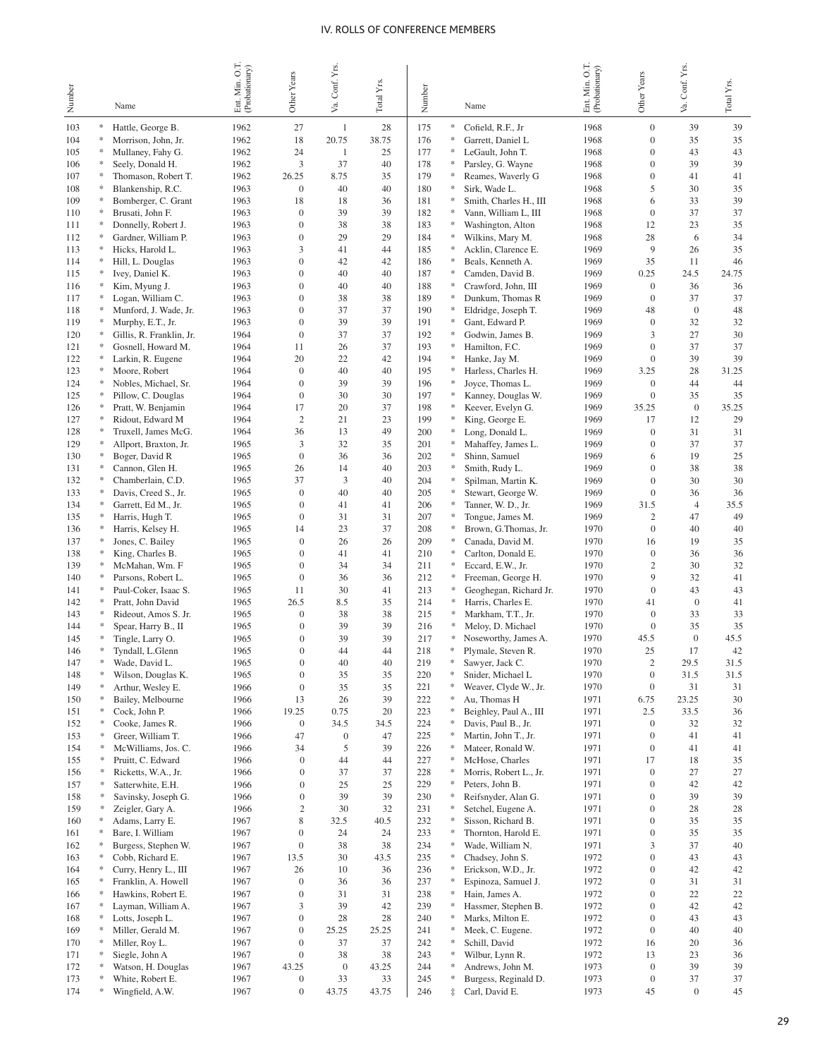| Number     |        | Name                                        | O.T.<br>Ent. Min. O.T.<br>(Probationary) | Other Years                      | Conf. Yrs.<br>Va. | Total Y <sub>IS</sub> . | Number     |             | Name                                       | Ent. Min. O.T.<br>(Probationary) | Other Years                      | Va. Conf. Yrs.         | Total Yrs.  |
|------------|--------|---------------------------------------------|------------------------------------------|----------------------------------|-------------------|-------------------------|------------|-------------|--------------------------------------------|----------------------------------|----------------------------------|------------------------|-------------|
| 103        | ∗      | Hattle, George B.                           | 1962                                     | 27                               | 1                 | 28                      | 175        | ∗           | Cofield, R.F., Jr                          | 1968                             | $\boldsymbol{0}$                 | 39                     | 39          |
| 104        |        | Morrison, John, Jr.                         | 1962                                     | 18                               | 20.75             | 38.75                   | 176        | ∗           | Garrett, Daniel L                          | 1968                             | $\Omega$                         | 35                     | 35          |
| 105        |        | Mullaney, Fahy G.                           | 1962                                     | 24                               | 1                 | 25                      | 177        | ∗           | LeGault, John T.                           | 1968                             | $\Omega$                         | 43                     | 43          |
| 106        |        | Seely, Donald H.                            | 1962                                     | 3                                | 37                | 40                      | 178        | ∗           | Parsley, G. Wayne                          | 1968                             | $\overline{0}$                   | 39                     | 39          |
| 107        |        | Thomason, Robert T.                         | 1962                                     | 26.25                            | 8.75              | 35                      | 179        | ∗           | Reames, Waverly G                          | 1968                             | $\overline{0}$                   | 41                     | 41          |
| 108<br>109 |        | Blankenship, R.C.<br>Bomberger, C. Grant    | 1963<br>1963                             | $\mathbf{0}$<br>18               | 40<br>18          | 40<br>36                | 180<br>181 | ∗<br>∗      | Sirk, Wade L.<br>Smith, Charles H., III    | 1968<br>1968                     | 5<br>6                           | 30<br>33               | 35<br>39    |
| 110        |        | Brusati, John F.                            | 1963                                     | $\mathbf{0}$                     | 39                | 39                      | 182        | ∗           | Vann, William L, III                       | 1968                             | $\mathbf{0}$                     | 37                     | 37          |
| 111        |        | Donnelly, Robert J.                         | 1963                                     | $\overline{0}$                   | 38                | 38                      | 183        | ∗           | Washington, Alton                          | 1968                             | 12                               | 23                     | 35          |
| 112        |        | Gardner, William P.                         | 1963                                     | $\mathbf{0}$                     | 29                | 29                      | 184        | ∗           | Wilkins, Mary M.                           | 1968                             | 28                               | 6                      | 34          |
| 113        |        | Hicks, Harold L.                            | 1963                                     | 3                                | 41                | 44                      | 185        | ∗           | Acklin, Clarence E.                        | 1969                             | 9                                | 26                     | 35          |
| 114        |        | Hill, L. Douglas                            | 1963                                     | $\mathbf{0}$                     | 42                | 42                      | 186        | *           | Beals, Kenneth A.                          | 1969                             | 35                               | 11                     | 46          |
| 115        |        | Ivey, Daniel K.                             | 1963                                     | $\mathbf{0}$                     | 40                | 40                      | 187        | ∗           | Camden, David B.                           | 1969                             | 0.25                             | 24.5                   | 24.75       |
| 116        | ∗      | Kim, Myung J.                               | 1963<br>1963                             | $\overline{0}$<br>$\overline{0}$ | 40<br>38          | 40<br>38                | 188<br>189 | ∗<br>∗      | Crawford, John, III                        | 1969<br>1969                     | $\overline{0}$<br>$\overline{0}$ | 36<br>37               | 36<br>37    |
| 117<br>118 |        | Logan, William C.<br>Munford, J. Wade, Jr.  | 1963                                     | $\overline{0}$                   | 37                | 37                      | 190        | ∗           | Dunkum, Thomas R<br>Eldridge, Joseph T.    | 1969                             | 48                               | $\boldsymbol{0}$       | 48          |
| 119        |        | Murphy, E.T., Jr.                           | 1963                                     | $\overline{0}$                   | 39                | 39                      | 191        | ∗           | Gant, Edward P.                            | 1969                             | $\overline{0}$                   | 32                     | 32          |
| 120        |        | Gillis, R. Franklin, Jr.                    | 1964                                     | $\theta$                         | 37                | 37                      | 192        | ∗           | Godwin, James B.                           | 1969                             | 3                                | 27                     | 30          |
| 121        |        | Gosnell, Howard M.                          | 1964                                     | 11                               | 26                | 37                      | 193        | ∗           | Hamilton, F.C.                             | 1969                             | $\overline{0}$                   | 37                     | 37          |
| 122        |        | Larkin, R. Eugene                           | 1964                                     | 20                               | 22                | 42                      | 194        | *           | Hanke, Jay M.                              | 1969                             | $\mathbf{0}$                     | 39                     | 39          |
| 123        | ∗      | Moore, Robert                               | 1964                                     | $\overline{0}$                   | 40                | 40                      | 195        | ∗           | Harless, Charles H.                        | 1969                             | 3.25                             | 28                     | 31.25       |
| 124        |        | Nobles, Michael, Sr.                        | 1964                                     | $\overline{0}$                   | 39                | 39                      | 196        | ∗           | Joyce, Thomas L.                           | 1969                             | $\mathbf{0}$                     | 44                     | 44          |
| 125        | ∗      | Pillow, C. Douglas                          | 1964                                     | $\theta$<br>17                   | 30<br>20          | 30<br>37                | 197<br>198 | ∗<br>∗      | Kanney, Douglas W.                         | 1969                             | $\mathbf{0}$                     | 35<br>$\boldsymbol{0}$ | 35          |
| 126<br>127 | ∗      | Pratt, W. Benjamin<br>Ridout, Edward M      | 1964<br>1964                             | $\overline{2}$                   | 21                | 23                      | 199        | ∗           | Keever, Evelyn G.<br>King, George E.       | 1969<br>1969                     | 35.25<br>17                      | 12                     | 35.25<br>29 |
| 128        |        | Truxell, James McG.                         | 1964                                     | 36                               | 13                | 49                      | 200        | ∗           | Long, Donald L.                            | 1969                             | $\theta$                         | 31                     | 31          |
| 129        |        | Allport, Braxton, Jr.                       | 1965                                     | 3                                | 32                | 35                      | 201        | ∗           | Mahaffey, James L.                         | 1969                             | $\theta$                         | 37                     | 37          |
| 130        | ∗      | Boger, David R                              | 1965                                     | $\mathbf{0}$                     | 36                | 36                      | 202        | ∗           | Shinn, Samuel                              | 1969                             | 6                                | 19                     | 25          |
| 131        | *      | Cannon, Glen H.                             | 1965                                     | 26                               | 14                | 40                      | 203        | ∗           | Smith, Rudy L.                             | 1969                             | $\theta$                         | 38                     | 38          |
| 132        |        | Chamberlain, C.D.                           | 1965                                     | 37                               | 3                 | 40                      | 204        | ∗           | Spilman, Martin K.                         | 1969                             | $\overline{0}$                   | 30                     | 30          |
| 133        |        | Davis, Creed S., Jr.                        | 1965                                     | $\overline{0}$                   | 40                | 40                      | 205        | ∗           | Stewart, George W.                         | 1969                             | $\mathbf{0}$                     | 36                     | 36          |
| 134        | ∗      | Garrett, Ed M., Jr.                         | 1965                                     | $\overline{0}$                   | 41                | 41                      | 206        | ∗           | Tanner, W. D., Jr.                         | 1969                             | 31.5                             | $\overline{4}$         | 35.5        |
| 135        |        | Harris, Hugh T.                             | 1965                                     | $\overline{0}$                   | 31                | 31                      | 207        | ∗<br>∗      | Tongue, James M.                           | 1969                             | $\overline{c}$                   | 47                     | 49          |
| 136<br>137 |        | Harris, Kelsey H.<br>Jones, C. Bailey       | 1965<br>1965                             | 14<br>$\overline{0}$             | 23<br>26          | 37<br>26                | 208<br>209 | *           | Brown, G.Thomas, Jr.<br>Canada, David M.   | 1970<br>1970                     | $\boldsymbol{0}$<br>16           | 40<br>19               | 40<br>35    |
| 138        |        | King, Charles B.                            | 1965                                     | $\mathbf{0}$                     | 41                | 41                      | 210        | *           | Carlton, Donald E.                         | 1970                             | $\mathbf{0}$                     | 36                     | 36          |
| 139        |        | McMahan, Wm. F                              | 1965                                     | $\overline{0}$                   | 34                | 34                      | 211        | *           | Eccard, E.W., Jr.                          | 1970                             | $\overline{c}$                   | 30                     | 32          |
| 140        |        | Parsons, Robert L.                          | 1965                                     | $\overline{0}$                   | 36                | 36                      | 212        | *           | Freeman, George H.                         | 1970                             | 9                                | 32                     | 41          |
| 141        | ∗      | Paul-Coker, Isaac S.                        | 1965                                     | 11                               | 30                | 41                      | 213        | ÷           | Geoghegan, Richard Jr.                     | 1970                             | $\mathbf{0}$                     | 43                     | 43          |
| 142        | *      | Pratt, John David                           | 1965                                     | 26.5                             | 8.5               | 35                      | 214        | *           | Harris, Charles E.                         | 1970                             | 41                               | $\mathbf{0}$           | 41          |
| 143        |        | Rideout, Amos S. Jr.                        | 1965                                     | $\overline{0}$                   | 38                | 38                      | 215        | *           | Markham, T.T., Jr.                         | 1970                             | $\theta$                         | 33                     | 33          |
| 144        |        | Spear, Harry B., II                         | 1965                                     | $\theta$                         | 39                | 39                      | 216        | ∗           | Meloy, D. Michael                          | 1970                             | $\theta$                         | 35                     | 35          |
| 145<br>146 | ∗      | Tingle, Larry O.                            | 1965<br>1965                             | $\Omega$<br>$\overline{0}$       | 39<br>44          | 39<br>44                | 217<br>218 | ∗<br>∗      | Noseworthy, James A.                       | 1970<br>1970                     | 45.5<br>25                       | $\overline{0}$<br>17   | 45.5<br>42  |
| 147        | *      | Tyndall, L.Glenn<br>Wade, David L.          | 1965                                     | $\theta$                         | 40                | 40                      | 219        | *           | Plymale, Steven R.<br>Sawyer, Jack C.      | 1970                             | $\overline{c}$                   | 29.5                   | 31.5        |
| 148        | ∗      | Wilson, Douglas K.                          | 1965                                     | $\boldsymbol{0}$                 | 35                | 35                      | 220        | *           | Snider, Michael L                          | 1970                             | $\boldsymbol{0}$                 | 31.5                   | 31.5        |
| 149        | ∗      | Arthur, Wesley E.                           | 1966                                     | $\mathbf{0}$                     | 35                | 35                      | 221        | *           | Weaver, Clyde W., Jr.                      | 1970                             | $\boldsymbol{0}$                 | 31                     | 31          |
| 150        |        | Bailey, Melbourne                           | 1966                                     | 13                               | 26                | 39                      | 222        | *           | Au, Thomas H                               | 1971                             | 6.75                             | 23.25                  | 30          |
| 151        | ∗      | Cock, John P.                               | 1966                                     | 19.25                            | 0.75              | 20                      | 223        | ∗           | Beighley, Paul A., III                     | 1971                             | 2.5                              | 33.5                   | 36          |
| 152        | *      | Cooke, James R.                             | 1966                                     | $\boldsymbol{0}$                 | 34.5              | 34.5                    | 224        | ∗           | Davis, Paul B., Jr.                        | 1971                             | $\mathbf{0}$                     | 32                     | 32          |
| 153        | ∗<br>÷ | Greer, William T.                           | 1966                                     | 47                               | $\boldsymbol{0}$  | 47                      | 225        | ∗           | Martin, John T., Jr.                       | 1971                             | $\mathbf{0}$                     | 41                     | 41          |
| 154<br>155 | ∗      | McWilliams, Jos. C.<br>Pruitt, C. Edward    | 1966<br>1966                             | 34<br>$\mathbf{0}$               | 5<br>44           | 39<br>44                | 226<br>227 | ∗<br>∗      | Mateer, Ronald W.<br>McHose, Charles       | 1971<br>1971                     | $\mathbf{0}$<br>17               | 41<br>18               | 41<br>35    |
| 156        | ÷      | Ricketts, W.A., Jr.                         | 1966                                     | $\mathbf{0}$                     | 37                | 37                      | 228        | *           | Morris, Robert L., Jr.                     | 1971                             | $\boldsymbol{0}$                 | 27                     | 27          |
| 157        |        | Satterwhite, E.H.                           | 1966                                     | $\mathbf{0}$                     | 25                | 25                      | 229        | $\ast$      | Peters, John B.                            | 1971                             | $\mathbf{0}$                     | 42                     | 42          |
| 158        |        | Savinsky, Joseph G.                         | 1966                                     | $\boldsymbol{0}$                 | 39                | 39                      | 230        | *           | Reifsnyder, Alan G.                        | 1971                             | $\mathbf{0}$                     | 39                     | 39          |
| 159        |        | Zeigler, Gary A.                            | 1966                                     | $\mathfrak{2}$                   | 30                | 32                      | 231        | $\ast$      | Setchel, Eugene A.                         | 1971                             | $\mathbf{0}$                     | 28                     | 28          |
| 160        |        | Adams, Larry E.                             | 1967                                     | 8                                | 32.5              | 40.5                    | 232        | ∗           | Sisson, Richard B.                         | 1971                             | $\mathbf{0}$                     | 35                     | 35          |
| 161        |        | Bare, I. William                            | 1967                                     | $\boldsymbol{0}$                 | 24                | 24                      | 233        | $\ast$      | Thornton, Harold E.                        | 1971                             | $\boldsymbol{0}$                 | 35                     | 35          |
| 162        |        | Burgess, Stephen W.                         | 1967                                     | $\mathbf{0}$                     | 38                | 38                      | 234        | $\ast$      | Wade, William N.                           | 1971                             | 3                                | 37                     | 40          |
| 163        |        | Cobb, Richard E.                            | 1967                                     | 13.5                             | 30                | 43.5                    | 235        | $\ast$<br>∗ | Chadsey, John S.                           | 1972                             | $\mathbf{0}$                     | 43                     | 43          |
| 164<br>165 |        | Curry, Henry L., III<br>Franklin, A. Howell | 1967                                     | 26<br>$\mathbf{0}$               | 10<br>36          | 36<br>36                | 236<br>237 | ∗           | Erickson, W.D., Jr.<br>Espinoza, Samuel J. | 1972<br>1972                     | $\mathbf{0}$<br>$\mathbf{0}$     | 42<br>31               | 42<br>31    |
| 166        |        | Hawkins, Robert E.                          | 1967<br>1967                             | $\boldsymbol{0}$                 | 31                | 31                      | 238        | ∗           | Hain, James A.                             | 1972                             | $\mathbf{0}$                     | 22                     | 22          |
| 167        |        | Layman, William A.                          | 1967                                     | 3                                | 39                | 42                      | 239        | ∗           | Hassmer, Stephen B.                        | 1972                             | $\boldsymbol{0}$                 | 42                     | 42          |
| 168        |        | Lotts, Joseph L.                            | 1967                                     | $\boldsymbol{0}$                 | 28                | 28                      | 240        | ∗           | Marks, Milton E.                           | 1972                             | $\boldsymbol{0}$                 | 43                     | 43          |
| 169        |        | Miller, Gerald M.                           | 1967                                     | $\mathbf{0}$                     | 25.25             | 25.25                   | 241        | ∗           | Meek, C. Eugene.                           | 1972                             | $\boldsymbol{0}$                 | 40                     | 40          |
| 170        |        | Miller, Roy L.                              | 1967                                     | $\boldsymbol{0}$                 | 37                | 37                      | 242        | ∗           | Schill, David                              | 1972                             | 16                               | 20                     | 36          |
| 171        |        | Siegle, John A                              | 1967                                     | $\boldsymbol{0}$                 | 38                | 38                      | 243        | $\ast$      | Wilbur, Lynn R.                            | 1972                             | 13                               | 23                     | 36          |
| 172        |        | Watson, H. Douglas                          | 1967                                     | 43.25                            | $\boldsymbol{0}$  | 43.25                   | 244        | ∗           | Andrews, John M.                           | 1973                             | $\boldsymbol{0}$                 | 39                     | 39          |
| 173        |        | White, Robert E.                            | 1967                                     | $\boldsymbol{0}$                 | 33                | 33                      | 245        | ∗           | Burgess, Reginald D.                       | 1973                             | $\boldsymbol{0}$                 | 37                     | 37          |
| 174        | *      | Wingfield, A.W.                             | 1967                                     | $\boldsymbol{0}$                 | 43.75             | 43.75                   | 246        | $\ddagger$  | Carl, David E.                             | 1973                             | 45                               | $\boldsymbol{0}$       | 45          |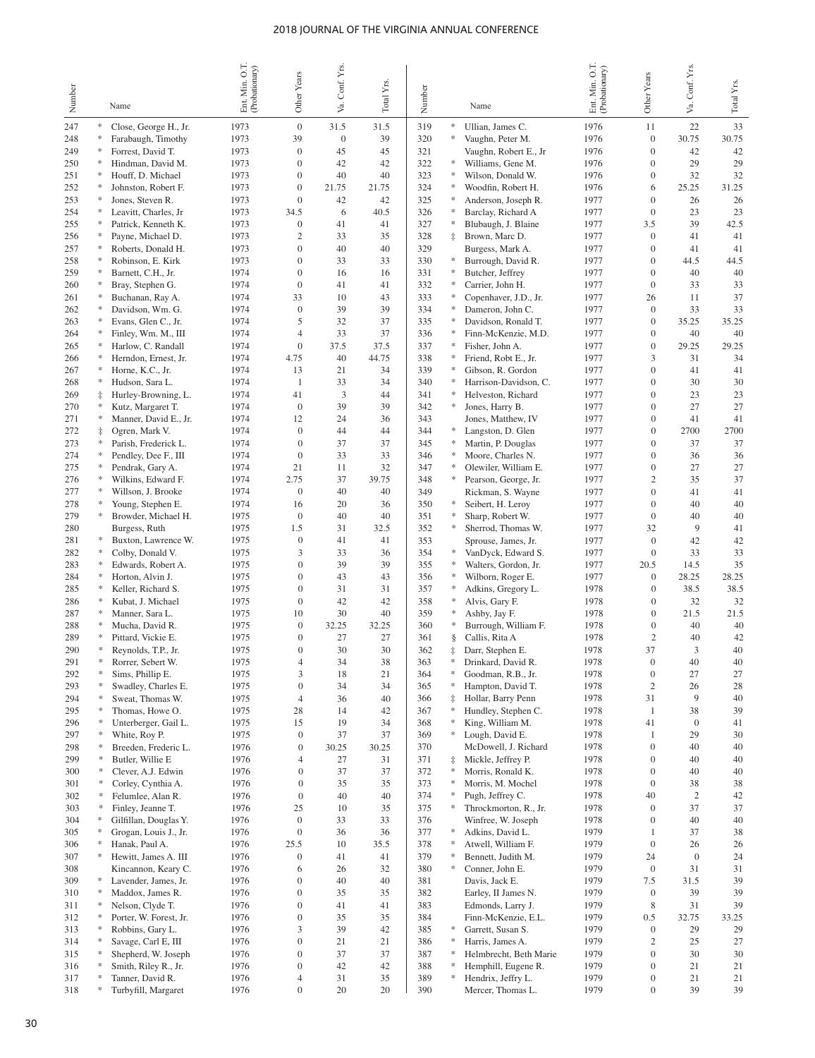|            |               |                                              | Ent Min. O.T.<br>(Probationary) |                                      | Conf. Yrs.       |               |            |                      |                                           | Min. O.T.<br>Ent. Min. O.T.<br>(Probationary) |                                      | Conf. Yrs.             |             |
|------------|---------------|----------------------------------------------|---------------------------------|--------------------------------------|------------------|---------------|------------|----------------------|-------------------------------------------|-----------------------------------------------|--------------------------------------|------------------------|-------------|
| Number     |               | Name                                         |                                 | Other Years                          | Σ₹.              | Total Yrs.    | Number     |                      | Name                                      |                                               | Other Years                          | Š.                     | Total Yrs.  |
| 247        |               | Close, George H., Jr.                        | 1973                            | $\overline{0}$                       | 31.5             | 31.5          | 319        | $\ast$               | Ullian, James C.                          | 1976                                          | 11                                   | 22                     | 33          |
| 248        |               | Farabaugh, Timothy                           | 1973                            | 39                                   | $\boldsymbol{0}$ | 39            | 320        | $\ast$               | Vaughn, Peter M.                          | 1976                                          | $\overline{0}$                       | 30.75                  | 30.75       |
| 249        |               | Forrest, David T.                            | 1973                            | $\overline{0}$                       | 45               | 45            | 321        |                      | Vaughn, Robert E., Jr                     | 1976                                          | $\mathbf{0}$                         | 42                     | 42          |
| 250        |               | Hindman, David M.                            | 1973                            | $\mathbf{0}$                         | 42               | 42            | 322        | *                    | Williams, Gene M.                         | 1976                                          | $\overline{0}$                       | 29                     | 29          |
| 251<br>252 |               | Houff, D. Michael<br>Johnston, Robert F.     | 1973<br>1973                    | $\mathbf{0}$<br>$\overline{0}$       | 40<br>21.75      | 40<br>21.75   | 323<br>324 | $\ast$<br>$\ast$     | Wilson, Donald W.<br>Woodfin, Robert H.   | 1976<br>1976                                  | $\overline{0}$<br>6                  | 32<br>25.25            | 32<br>31.25 |
| 253        |               | Jones, Steven R.                             | 1973                            | $\mathbf{0}$                         | 42               | 42            | 325        | $\ast$               | Anderson, Joseph R.                       | 1977                                          | $\mathbf{0}$                         | 26                     | 26          |
| 254        |               | Leavitt, Charles, Jr                         | 1973                            | 34.5                                 | 6                | 40.5          | 326        | ∗                    | Barclay, Richard A                        | 1977                                          | $\mathbf{0}$                         | 23                     | 23          |
| 255        |               | Patrick, Kenneth K.                          | 1973                            | $\theta$                             | 41               | 41            | 327        | ∗                    | Blubaugh, J. Blaine                       | 1977                                          | 3.5                                  | 39                     | 42.5        |
| 256        |               | Payne, Michael D.                            | 1973                            | $\overline{c}$                       | 33               | 35            | 328        | $\ddagger$           | Brown, Marc D.                            | 1977                                          | $\overline{0}$                       | 41                     | 41          |
| 257        |               | Roberts, Donald H.                           | 1973                            | $\mathbf{0}$                         | 40               | 40            | 329        |                      | Burgess, Mark A.                          | 1977                                          | $\overline{0}$                       | 41                     | 41          |
| 258        |               | Robinson, E. Kirk<br>Barnett, C.H., Jr.      | 1973<br>1974                    | $\overline{0}$<br>$\overline{0}$     | 33<br>16         | 33<br>16      | 330<br>331 | ∗<br>*               | Burrough, David R.<br>Butcher, Jeffrey    | 1977<br>1977                                  | $\overline{0}$<br>$\overline{0}$     | 44.5<br>40             | 44.5<br>40  |
| 259<br>260 |               | Bray, Stephen G.                             | 1974                            | $\theta$                             | 41               | 41            | 332        | ∗                    | Carrier, John H.                          | 1977                                          | $\overline{0}$                       | 33                     | 33          |
| 261        |               | Buchanan, Ray A.                             | 1974                            | 33                                   | 10               | 43            | 333        | ∗                    | Copenhaver, J.D., Jr.                     | 1977                                          | 26                                   | 11                     | 37          |
| 262        |               | Davidson, Wm. G.                             | 1974                            | $\mathbf{0}$                         | 39               | 39            | 334        | *                    | Dameron, John C.                          | 1977                                          | $\overline{0}$                       | 33                     | 33          |
| 263        |               | Evans, Glen C., Jr.                          | 1974                            | 5                                    | 32               | 37            | 335        | *                    | Davidson, Ronald T.                       | 1977                                          | $\overline{0}$                       | 35.25                  | 35.25       |
| 264        |               | Finley, Wm. M., III                          | 1974                            | $\overline{4}$                       | 33               | 37            | 336        | *                    | Finn-McKenzie, M.D.                       | 1977                                          | $\overline{0}$                       | 40                     | 40          |
| 265        |               | Harlow, C. Randall                           | 1974<br>1974                    | $\overline{0}$                       | 37.5<br>40       | 37.5<br>44.75 | 337<br>338 | *<br>$\ast$          | Fisher, John A.                           | 1977<br>1977                                  | $\overline{0}$<br>3                  | 29.25<br>31            | 29.25<br>34 |
| 266<br>267 |               | Herndon, Ernest, Jr.<br>Horne, K.C., Jr.     | 1974                            | 4.75<br>13                           | 21               | 34            | 339        | ∗                    | Friend, Robt E., Jr.<br>Gibson, R. Gordon | 1977                                          | $\Omega$                             | 41                     | 41          |
| 268        |               | Hudson, Sara L.                              | 1974                            | $\mathbf{1}$                         | 33               | 34            | 340        | *                    | Harrison-Davidson, C.                     | 1977                                          | $\theta$                             | 30                     | 30          |
| 269        |               | Hurley-Browning, L.                          | 1974                            | 41                                   | $\mathfrak{Z}$   | 44            | 341        | *                    | Helveston, Richard                        | 1977                                          | $\overline{0}$                       | 23                     | 23          |
| 270        |               | Kutz, Margaret T.                            | 1974                            | $\overline{0}$                       | 39               | 39            | 342        | *                    | Jones, Harry B.                           | 1977                                          | $\theta$                             | 27                     | 27          |
| 271        |               | Manner, David E., Jr.                        | 1974                            | 12                                   | 24               | 36            | 343        |                      | Jones, Matthew, IV                        | 1977                                          | $\mathbf{0}$                         | 41                     | 41          |
| 272        | ŧ             | Ogren, Mark V.                               | 1974                            | $\overline{0}$                       | 44               | 44            | 344        | ∗<br>*               | Langston, D. Glen                         | 1977                                          | $\theta$                             | 2700                   | 2700        |
| 273<br>274 |               | Parish, Frederick L.<br>Pendley, Dee F., III | 1974<br>1974                    | $\mathbf{0}$<br>$\mathbf{0}$         | 37<br>33         | 37<br>33      | 345<br>346 | $\ast$               | Martin, P. Douglas<br>Moore, Charles N.   | 1977<br>1977                                  | $\overline{0}$<br>$\Omega$           | 37<br>36               | 37<br>36    |
| 275        |               | Pendrak, Gary A.                             | 1974                            | 21                                   | 11               | 32            | 347        | *                    | Olewiler, William E.                      | 1977                                          | $\mathbf{0}$                         | 27                     | 27          |
| 276        | *             | Wilkins, Edward F.                           | 1974                            | 2.75                                 | 37               | 39.75         | 348        | $\ast$               | Pearson, George, Jr.                      | 1977                                          | $\mathfrak{2}$                       | 35                     | 37          |
| 277        | *             | Willson, J. Brooke                           | 1974                            | $\overline{0}$                       | 40               | 40            | 349        |                      | Rickman, S. Wayne                         | 1977                                          | $\mathbf{0}$                         | 41                     | 41          |
| 278        |               | Young, Stephen E.                            | 1974                            | 16                                   | 20               | 36            | 350        | $\ast$               | Seibert, H. Leroy                         | 1977                                          | $\overline{0}$                       | 40                     | 40          |
| 279        | ∗             | Browder, Michael H.                          | 1975                            | $\overline{0}$                       | 40               | 40            | 351        | $\ast$               | Sharp, Robert W.                          | 1977                                          | $\mathbf{0}$                         | 40                     | 40          |
| 280        | ∗             | Burgess, Ruth                                | 1975<br>1975                    | 1.5<br>$\overline{0}$                | 31<br>41         | 32.5<br>41    | 352<br>353 | ∗                    | Sherrod, Thomas W.                        | 1977<br>1977                                  | 32<br>$\overline{0}$                 | 9<br>42                | 41          |
| 281<br>282 |               | Buxton, Lawrence W.<br>Colby, Donald V.      | 1975                            | 3                                    | 33               | 36            | 354        | $\ast$               | Sprouse, James, Jr.<br>VanDyck, Edward S. | 1977                                          | $\overline{0}$                       | 33                     | 42<br>33    |
| 283        |               | Edwards, Robert A.                           | 1975                            | $\overline{0}$                       | 39               | 39            | 355        | ∗                    | Walters, Gordon, Jr.                      | 1977                                          | 20.5                                 | 14.5                   | 35          |
| 284        |               | Horton, Alvin J.                             | 1975                            | $\overline{0}$                       | 43               | 43            | 356        | $\ast$               | Wilborn, Roger E.                         | 1977                                          | $\mathbf{0}$                         | 28.25                  | 28.25       |
| 285        |               | Keller, Richard S.                           | 1975                            | $\overline{0}$                       | 31               | 31            | 357        | ÷                    | Adkins, Gregory L.                        | 1978                                          | $\mathbf{0}$                         | 38.5                   | 38.5        |
| 286        | ∗             | Kubat, J. Michael                            | 1975                            | $\overline{0}$                       | 42               | 42            | 358        | $\frac{d\mu}{d\tau}$ | Alvis, Gary F.                            | 1978                                          | $\mathbf{0}$                         | 32                     | 32          |
| 287        | ∗             | Manner, Sara L.                              | 1975                            | 10<br>$\overline{0}$                 | 30<br>32.25      | 40            | 359        | ÷<br>∗               | Ashby, Jay F.                             | 1978                                          | $\mathbf{0}$<br>$\mathbf{0}$         | 21.5                   | 21.5        |
| 288<br>289 |               | Mucha, David R.<br>Pittard, Vickie E.        | 1975<br>1975                    | $\overline{0}$                       | 27               | 32.25<br>27   | 360<br>361 | ş                    | Burrough, William F.<br>Callis, Rita A    | 1978<br>1978                                  | $\overline{c}$                       | 40<br>40               | 40<br>42    |
| 290        |               | Reynolds, T.P., Jr.                          | 1975                            | $\overline{0}$                       | 30               | 30            | 362        | ‡                    | Darr, Stephen E.                          | 1978                                          | 37                                   | 3                      | 40          |
| 291        | ∗             | Rorrer, Sebert W.                            | 1975                            | $\overline{4}$                       | 34               | 38            | 363        | ∗                    | Drinkard, David R.                        | 1978                                          | $\Omega$                             | 40                     | 40          |
| 292        | ∗             | Sims, Phillip E.                             | 1975                            | 3                                    | 18               | 21            | 364        | ∗                    | Goodman, R.B., Jr.                        | 1978                                          | $\boldsymbol{0}$                     | 27                     | 27          |
| 293        | *             | Swadley, Charles E.                          | 1975                            | $\mathbf{0}$                         | 34               | 34            | 365        | ∗                    | Hampton, David T.                         | 1978                                          | $\mathbf{2}$                         | 26                     | 28          |
| 294        | ∗<br>*        | Sweat, Thomas W.<br>Thomas, Howe O.          | 1975                            | $\overline{4}$                       | 36               | 40            | 366        | $\ddagger$<br>∗      | Hollar, Barry Penn                        | 1978                                          | 31                                   | 9                      | 40          |
| 295<br>296 | ∗             | Unterberger, Gail L.                         | 1975<br>1975                    | 28<br>15                             | 14<br>19         | 42<br>34      | 367<br>368 | $\approx$            | Hundley, Stephen C.<br>King, William M.   | 1978<br>1978                                  | $\mathbf{1}$<br>41                   | 38<br>$\boldsymbol{0}$ | 39<br>41    |
| 297        | *             | White, Roy P.                                | 1975                            | $\boldsymbol{0}$                     | 37               | 37            | 369        | ∗                    | Lough, David E.                           | 1978                                          | $\mathbf{1}$                         | 29                     | 30          |
| 298        | *             | Breeden, Frederic L.                         | 1976                            | $\boldsymbol{0}$                     | 30.25            | 30.25         | 370        |                      | McDowell, J. Richard                      | 1978                                          | $\boldsymbol{0}$                     | 40                     | 40          |
| 299        | *             | Butler, Willie E                             | 1976                            | $\overline{4}$                       | 27               | 31            | 371        | $\ddagger$           | Mickle, Jeffrey P.                        | 1978                                          | $\boldsymbol{0}$                     | 40                     | 40          |
| 300        | *             | Clever, A.J. Edwin                           | 1976                            | $\boldsymbol{0}$                     | 37               | 37            | 372        | ∗                    | Morris, Ronald K.                         | 1978                                          | $\boldsymbol{0}$                     | 40                     | 40          |
| 301        | *<br>*        | Corley, Cynthia A.                           | 1976                            | $\boldsymbol{0}$                     | 35               | 35            | 373        | $\ast$<br>$\ast$     | Morris, M. Mochel                         | 1978                                          | $\boldsymbol{0}$                     | 38                     | 38          |
| 302<br>303 | *             | Felumlee, Alan R.<br>Finley, Jeanne T.       | 1976<br>1976                    | $\mathbf{0}$<br>25                   | 40<br>10         | 40<br>35      | 374<br>375 | ∗                    | Pugh, Jeffrey C.<br>Throckmorton, R., Jr. | 1978<br>1978                                  | 40<br>$\boldsymbol{0}$               | $\boldsymbol{2}$<br>37 | 42<br>37    |
| 304        |               | Gilfillan, Douglas Y.                        | 1976                            | $\mathbf{0}$                         | 33               | 33            | 376        |                      | Winfree, W. Joseph                        | 1978                                          | $\boldsymbol{0}$                     | 40                     | 40          |
| 305        |               | Grogan, Louis J., Jr.                        | 1976                            | $\mathbf{0}$                         | 36               | 36            | 377        | ∗                    | Adkins, David L.                          | 1979                                          | 1                                    | 37                     | 38          |
| 306        |               | Hanak, Paul A.                               | 1976                            | 25.5                                 | 10               | 35.5          | 378        | $\ast$               | Atwell, William F.                        | 1979                                          | $\boldsymbol{0}$                     | 26                     | 26          |
| 307        | $\frac{1}{2}$ | Hewitt, James A. III                         | 1976                            | $\mathbf{0}$                         | 41               | 41            | 379        | ∗                    | Bennett, Judith M.                        | 1979                                          | 24                                   | $\boldsymbol{0}$       | 24          |
| 308        |               | Kincannon, Keary C.                          | 1976                            | 6                                    | 26               | 32            | 380        | $\ast$               | Conner, John E.                           | 1979                                          | $\boldsymbol{0}$                     | 31                     | 31          |
| 309<br>310 |               | Lavender, James, Jr.<br>Maddox, James R.     | 1976<br>1976                    | $\boldsymbol{0}$<br>$\boldsymbol{0}$ | 40<br>35         | 40<br>35      | 381<br>382 |                      | Davis, Jack E.<br>Earley, II James N.     | 1979<br>1979                                  | 7.5<br>$\boldsymbol{0}$              | 31.5<br>39             | 39<br>39    |
| 311        |               | Nelson, Clyde T.                             | 1976                            | $\boldsymbol{0}$                     | 41               | 41            | 383        |                      | Edmonds, Larry J.                         | 1979                                          | 8                                    | 31                     | 39          |
| 312        |               | Porter, W. Forest, Jr.                       | 1976                            | $\boldsymbol{0}$                     | 35               | 35            | 384        |                      | Finn-McKenzie, E.L.                       | 1979                                          | 0.5                                  | 32.75                  | 33.25       |
| 313        |               | Robbins, Gary L.                             | 1976                            | $\mathfrak{Z}$                       | 39               | 42            | 385        | ∗                    | Garrett, Susan S.                         | 1979                                          | $\boldsymbol{0}$                     | 29                     | 29          |
| 314        |               | Savage, Carl E, III                          | 1976                            | $\boldsymbol{0}$                     | 21               | 21            | 386        | $\ast$               | Harris, James A.                          | 1979                                          | $\mathfrak{2}$                       | 25                     | 27          |
| 315        |               | Shepherd, W. Joseph                          | 1976                            | $\boldsymbol{0}$                     | 37               | 37            | 387        | *                    | Helmbrecht, Beth Marie                    | 1979                                          | $\boldsymbol{0}$                     | 30                     | 30          |
| 316<br>317 |               | Smith, Riley R., Jr.<br>Tanner, David R.     | 1976<br>1976                    | $\boldsymbol{0}$<br>4                | 42<br>31         | 42<br>35      | 388<br>389 | ÷<br>÷               | Hemphill, Eugene R.<br>Hendrix, Jeffry L. | 1979<br>1979                                  | $\boldsymbol{0}$<br>$\boldsymbol{0}$ | 21<br>21               | 21<br>21    |
| 318        | ∗             | Turbyfill, Margaret                          | 1976                            | $\boldsymbol{0}$                     | 20               | 20            | 390        |                      | Mercer, Thomas L.                         | 1979                                          | $\boldsymbol{0}$                     | 39                     | 39          |
|            |               |                                              |                                 |                                      |                  |               |            |                      |                                           |                                               |                                      |                        |             |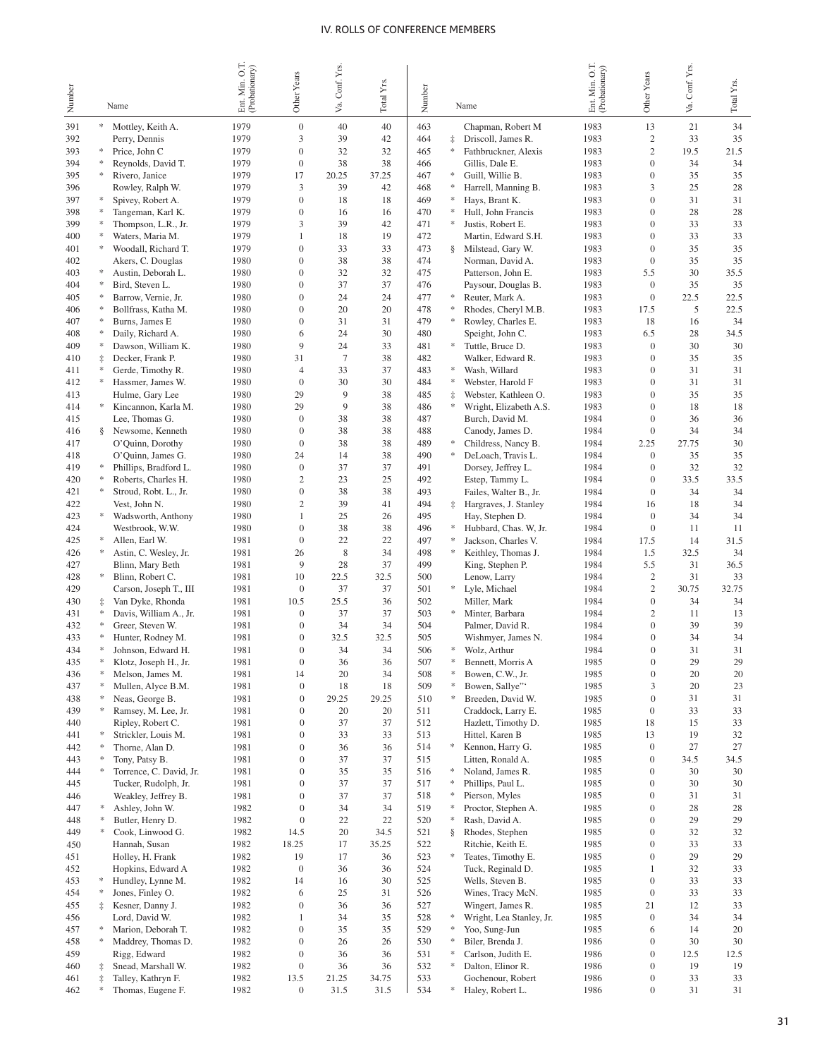| Number     |            | Name                                    | Ent. Min. O.T.<br>(Probationary) | Other Years                      | Va. Conf. Yrs.       | Total Y <sub>IS</sub> | Number     | Name                                                   | Ent Min. O.T.<br>(Probationary) | Other Years                      | Conf. Yrs.<br>Уa. | Total Yrs. |
|------------|------------|-----------------------------------------|----------------------------------|----------------------------------|----------------------|-----------------------|------------|--------------------------------------------------------|---------------------------------|----------------------------------|-------------------|------------|
| 391        |            | Mottley, Keith A.                       | 1979                             | $\overline{0}$                   | 40                   | 40                    | 463        | Chapman, Robert M                                      | 1983                            | 13                               | 21                | 34         |
| 392        |            | Perry, Dennis                           | 1979                             | 3                                | 39                   | 42                    | 464        | $\ddagger$<br>Driscoll, James R.                       | 1983                            | $\overline{c}$                   | 33                | 35         |
| 393        | ∗          | Price, John C                           | 1979                             | $\mathbf{0}$                     | 32                   | 32                    | 465        | $\ast$<br>Fathbruckner, Alexis                         | 1983                            | $\overline{c}$                   | 19.5              | 21.5       |
| 394        |            | Reynolds, David T.                      | 1979                             | $\mathbf{0}$                     | 38                   | 38                    | 466        | Gillis, Dale E.                                        | 1983                            | $\overline{0}$                   | 34                | 34         |
| 395        |            | Rivero, Janice                          | 1979                             | 17                               | 20.25                | 37.25                 | 467        | Guill, Willie B.<br>*                                  | 1983                            | $\overline{0}$                   | 35                | 35         |
| 396        |            | Rowley, Ralph W.                        | 1979                             | 3                                | 39                   | 42                    | 468        | $\ast$<br>Harrell, Manning B.                          | 1983                            | 3                                | 25                | 28         |
| 397        | ∗          | Spivey, Robert A.                       | 1979                             | $\mathbf{0}$                     | 18                   | 18                    | 469        | Hays, Brant K.<br>∗                                    | 1983                            | $\overline{0}$                   | 31                | 31         |
| 398        |            | Tangeman, Karl K.                       | 1979                             | $\boldsymbol{0}$                 | 16                   | 16                    | 470        | $\ast$<br>Hull, John Francis                           | 1983                            | $\overline{0}$                   | 28                | 28         |
| 399        |            | Thompson, L.R., Jr.                     | 1979<br>1979                     | 3<br>$\mathbf{1}$                | 39<br>18             | 42<br>19              | 471<br>472 | $\ast$<br>Justis, Robert E.<br>Martin, Edward S.H.     | 1983<br>1983                    | $\overline{0}$<br>$\overline{0}$ | 33<br>33          | 33<br>33   |
| 400<br>401 | *          | Waters, Maria M.<br>Woodall, Richard T. | 1979                             | $\overline{0}$                   | 33                   | 33                    | 473        | Milstead, Gary W.<br>§.                                | 1983                            | $\overline{0}$                   | 35                | 35         |
| 402        |            | Akers, C. Douglas                       | 1980                             | $\overline{0}$                   | 38                   | 38                    | 474        | Norman, David A.                                       | 1983                            | $\mathbf{0}$                     | 35                | 35         |
| 403        | *          | Austin, Deborah L.                      | 1980                             | $\overline{0}$                   | 32                   | 32                    | 475        | Patterson, John E.                                     | 1983                            | 5.5                              | 30                | 35.5       |
| 404        |            | Bird, Steven L.                         | 1980                             | $\overline{0}$                   | 37                   | 37                    | 476        | Paysour, Douglas B.                                    | 1983                            | $\overline{0}$                   | 35                | 35         |
| 405        |            | Barrow, Vernie, Jr.                     | 1980                             | $\overline{0}$                   | 24                   | 24                    | 477        | *<br>Reuter, Mark A.                                   | 1983                            | $\overline{0}$                   | 22.5              | 22.5       |
| 406        |            | Bollfrass, Katha M.                     | 1980                             | $\overline{0}$                   | 20                   | 20                    | 478        | $\ast$<br>Rhodes, Cheryl M.B.                          | 1983                            | 17.5                             | 5                 | 22.5       |
| 407        |            | Burns, James E                          | 1980                             | $\overline{0}$                   | 31                   | 31                    | 479        | *<br>Rowley, Charles E.                                | 1983                            | 18                               | 16                | 34         |
| 408        |            | Daily, Richard A.                       | 1980                             | 6                                | 24                   | 30                    | 480        | Speight, John C.                                       | 1983                            | 6.5                              | 28                | 34.5       |
| 409        |            | Dawson, William K.                      | 1980                             | 9                                | 24                   | 33                    | 481        | Tuttle, Bruce D.<br>*                                  | 1983                            | $\overline{0}$                   | 30                | 30         |
| 410        | $\ddagger$ | Decker, Frank P.<br>Gerde, Timothy R.   | 1980<br>1980                     | 31<br>$\overline{4}$             | $\overline{7}$<br>33 | 38<br>37              | 482<br>483 | Walker, Edward R.<br>*                                 | 1983<br>1983                    | $\overline{0}$<br>$\overline{0}$ | 35<br>31          | 35<br>31   |
| 411<br>412 |            | Hassmer, James W.                       | 1980                             | $\theta$                         | 30                   | 30                    | 484        | Wash, Willard<br>$\ast$<br>Webster, Harold F           | 1983                            | $\overline{0}$                   | 31                | 31         |
| 413        |            | Hulme, Gary Lee                         | 1980                             | 29                               | 9                    | 38                    | 485        | $\ddagger$<br>Webster, Kathleen O.                     | 1983                            | $\overline{0}$                   | 35                | 35         |
| 414        | *          | Kincannon, Karla M.                     | 1980                             | 29                               | 9                    | 38                    | 486        | ∗<br>Wright, Elizabeth A.S.                            | 1983                            | $\overline{0}$                   | 18                | 18         |
| 415        |            | Lee, Thomas G.                          | 1980                             | $\theta$                         | 38                   | 38                    | 487        | Burch, David M.                                        | 1984                            | $\overline{0}$                   | 36                | 36         |
| 416        | §.         | Newsome, Kenneth                        | 1980                             | $\overline{0}$                   | 38                   | 38                    | 488        | Canody, James D.                                       | 1984                            | $\mathbf{0}$                     | 34                | 34         |
| 417        |            | O'Quinn, Dorothy                        | 1980                             | $\theta$                         | 38                   | 38                    | 489        | Childress, Nancy B.<br>*                               | 1984                            | 2.25                             | 27.75             | 30         |
| 418        |            | O'Quinn, James G.                       | 1980                             | 24                               | 14                   | 38                    | 490        | DeLoach, Travis L.<br>∗                                | 1984                            | $\mathbf{0}$                     | 35                | 35         |
| 419        | *          | Phillips, Bradford L.                   | 1980                             | $\overline{0}$                   | 37                   | 37                    | 491        | Dorsey, Jeffrey L.                                     | 1984                            | $\overline{0}$                   | 32                | 32         |
| 420        | ÷          | Roberts, Charles H.                     | 1980                             | $\overline{2}$                   | 23                   | 25                    | 492        | Estep, Tammy L.                                        | 1984                            | $\mathbf{0}$                     | 33.5              | 33.5       |
| 421        | *          | Stroud, Robt. L., Jr.                   | 1980<br>1980                     | $\overline{0}$<br>$\mathfrak{2}$ | 38<br>39             | 38<br>41              | 493<br>494 | Failes, Walter B., Jr.                                 | 1984                            | $\mathbf{0}$<br>16               | 34<br>18          | 34<br>34   |
| 422<br>423 | *.         | Vest, John N.<br>Wadsworth, Anthony     | 1980                             | $\mathbf{1}$                     | 25                   | 26                    | 495        | Hargraves, J. Stanley<br>$\ddagger$<br>Hay, Stephen D. | 1984<br>1984                    | $\mathbf{0}$                     | 34                | 34         |
| 424        |            | Westbrook, W.W.                         | 1980                             | $\overline{0}$                   | 38                   | 38                    | 496        | Hubbard, Chas. W, Jr.<br>∗                             | 1984                            | $\mathbf{0}$                     | 11                | 11         |
| 425        | ÷          | Allen, Earl W.                          | 1981                             | $\mathbf{0}$                     | 22                   | 22                    | 497        | Jackson, Charles V.<br>∗                               | 1984                            | 17.5                             | 14                | 31.5       |
| 426        | *          | Astin, C. Wesley, Jr.                   | 1981                             | 26                               | 8                    | 34                    | 498        | $\ast$<br>Keithley, Thomas J.                          | 1984                            | 1.5                              | 32.5              | 34         |
| 427        |            | Blinn, Mary Beth                        | 1981                             | 9                                | 28                   | 37                    | 499        | King, Stephen P.                                       | 1984                            | 5.5                              | 31                | 36.5       |
| 428        | *          | Blinn, Robert C.                        | 1981                             | 10                               | 22.5                 | 32.5                  | 500        | Lenow, Larry                                           | 1984                            | $\sqrt{2}$                       | 31                | 33         |
| 429        |            | Carson, Joseph T., III                  | 1981                             | $\overline{0}$                   | 37                   | 37                    | 501        | Lyle, Michael<br>*                                     | 1984                            | $\overline{2}$                   | 30.75             | 32.75      |
| 430        | $\ddagger$ | Van Dyke, Rhonda                        | 1981                             | 10.5                             | 25.5                 | 36                    | 502        | Miller, Mark                                           | 1984                            | $\mathbf{0}$                     | 34                | 34         |
| 431        | *          | Davis, William A., Jr.                  | 1981                             | $\overline{0}$                   | 37                   | 37                    | 503        | *<br>Minter, Barbara                                   | 1984                            | $\overline{2}$                   | 11                | 13         |
| 432<br>433 |            | Greer, Steven W.<br>Hunter, Rodney M.   | 1981<br>1981                     | $\mathbf{0}$<br>$\mathbf{0}$     | 34<br>32.5           | 34<br>32.5            | 504<br>505 | Palmer, David R.<br>Wishmyer, James N.                 | 1984<br>1984                    | $\overline{0}$<br>$\overline{0}$ | 39<br>34          | 39<br>34   |
| 434        |            | Johnson, Edward H.                      | 1981                             | $\overline{0}$                   | 34                   | 34                    | 506        | $\ast$<br>Wolz, Arthur                                 | 1984                            | $\theta$                         | 31                | 31         |
| 435        | *          | Klotz, Joseph H., Jr.                   | 1981                             | $\theta$                         | 36                   | 36                    | 507        | *<br>Bennett, Morris A                                 | 1985                            | $\Omega$                         | 29                | 29         |
| 436        | *          | Melson, James M.                        | 1981                             | 14                               | 20                   | 34                    | 508        | Bowen, C.W., Jr.<br>$\approx$                          | 1985                            | $\boldsymbol{0}$                 | 20                | 20         |
| 437        |            | Mullen, Alyce B.M.                      | 1981                             | $\mathbf{0}$                     | 18                   | 18                    | 509        | Bowen, Sallye"<br>$\approx$                            | 1985                            | 3                                | 20                | 23         |
| 438        |            | Neas, George B.                         | 1981                             | $\boldsymbol{0}$                 | 29.25                | 29.25                 | 510        | ∗<br>Breeden, David W.                                 | 1985                            | $\boldsymbol{0}$                 | 31                | 31         |
| 439        | *          | Ramsey, M. Lee, Jr.                     | 1981                             | $\boldsymbol{0}$                 | 20                   | 20                    | 511        | Craddock, Larry E.                                     | 1985                            | $\boldsymbol{0}$                 | 33                | 33         |
| 440        |            | Ripley, Robert C.                       | 1981                             | $\boldsymbol{0}$                 | 37                   | 37                    | 512        | Hazlett, Timothy D.                                    | 1985                            | 18                               | 15                | 33         |
| 441        | ∗<br>*.    | Strickler, Louis M.                     | 1981                             | $\mathbf{0}$                     | 33                   | 33<br>36              | 513        | Hittel, Karen B<br>$\ast$                              | 1985                            | 13                               | 19                | 32         |
| 442<br>443 |            | Thorne, Alan D.<br>Tony, Patsy B.       | 1981<br>1981                     | $\boldsymbol{0}$<br>$\mathbf{0}$ | 36<br>37             | 37                    | 514<br>515 | Kennon, Harry G.<br>Litten, Ronald A.                  | 1985<br>1985                    | $\boldsymbol{0}$<br>$\mathbf{0}$ | 27<br>34.5        | 27<br>34.5 |
| 444        | *          | Torrence, C. David, Jr.                 | 1981                             | $\boldsymbol{0}$                 | 35                   | 35                    | 516        | Noland, James R.<br>∗                                  | 1985                            | $\boldsymbol{0}$                 | 30                | 30         |
| 445        |            | Tucker, Rudolph, Jr.                    | 1981                             | $\mathbf{0}$                     | 37                   | 37                    | 517        | ∗<br>Phillips, Paul L.                                 | 1985                            | $\mathbf{0}$                     | 30                | 30         |
| 446        |            | Weakley, Jeffrey B.                     | 1981                             | $\boldsymbol{0}$                 | 37                   | 37                    | 518        | ∗<br>Pierson, Myles                                    | 1985                            | $\boldsymbol{0}$                 | 31                | 31         |
| 447        | *          | Ashley, John W.                         | 1982                             | $\mathbf{0}$                     | 34                   | 34                    | 519        | ∗<br>Proctor, Stephen A.                               | 1985                            | $\mathbf{0}$                     | 28                | 28         |
| 448        |            | Butler, Henry D.                        | 1982                             | $\boldsymbol{0}$                 | 22                   | 22                    | 520        | ∗<br>Rash, David A.                                    | 1985                            | $\boldsymbol{0}$                 | 29                | 29         |
| 449        |            | Cook, Linwood G.                        | 1982                             | 14.5                             | 20                   | 34.5                  | 521        | Rhodes, Stephen<br>§.                                  | 1985                            | $\mathbf{0}$                     | 32                | 32         |
| 450        |            | Hannah, Susan                           | 1982                             | 18.25                            | 17                   | 35.25                 | 522        | Ritchie, Keith E.                                      | 1985                            | $\boldsymbol{0}$                 | 33                | 33         |
| 451        |            | Holley, H. Frank                        | 1982                             | 19                               | 17                   | 36                    | 523        | Teates, Timothy E.<br>*                                | 1985                            | $\mathbf{0}$                     | 29                | 29         |
| 452        | ∗          | Hopkins, Edward A                       | 1982                             | $\boldsymbol{0}$                 | 36                   | 36                    | 524        | Tuck, Reginald D.                                      | 1985                            | $\mathbf{1}$                     | 32                | 33         |
| 453<br>454 |            | Hundley, Lynne M.<br>Jones, Finley O.   | 1982<br>1982                     | 14<br>6                          | 16<br>25             | 30<br>31              | 525<br>526 | Wells, Steven B.<br>Wines, Tracy McN.                  | 1985<br>1985                    | $\mathbf{0}$<br>$\boldsymbol{0}$ | 33<br>33          | 33<br>33   |
| 455        | ‡.         | Kesner, Danny J.                        | 1982                             | $\boldsymbol{0}$                 | 36                   | 36                    | 527        | Wingert, James R.                                      | 1985                            | 21                               | 12                | 33         |
| 456        |            | Lord, David W.                          | 1982                             | $\mathbf{1}$                     | 34                   | 35                    | 528        | Wright, Lea Stanley, Jr.<br>*                          | 1985                            | $\boldsymbol{0}$                 | 34                | 34         |
| 457        | ∗          | Marion, Deborah T.                      | 1982                             | $\boldsymbol{0}$                 | 35                   | 35                    | 529        | $\ast$<br>Yoo, Sung-Jun                                | 1985                            | 6                                | 14                | 20         |
| 458        | $\approx$  | Maddrey, Thomas D.                      | 1982                             | $\boldsymbol{0}$                 | 26                   | 26                    | 530        | $\ast$<br>Biler, Brenda J.                             | 1986                            | $\boldsymbol{0}$                 | 30                | 30         |
| 459        |            | Rigg, Edward                            | 1982                             | $\mathbf{0}$                     | 36                   | 36                    | 531        | $\ast$<br>Carlson, Judith E.                           | 1986                            | $\mathbf{0}$                     | 12.5              | 12.5       |
| 460        | $\ddagger$ | Snead, Marshall W.                      | 1982                             | $\boldsymbol{0}$                 | 36                   | 36                    | 532        | $\ast$<br>Dalton, Elinor R.                            | 1986                            | $\boldsymbol{0}$                 | 19                | 19         |
| 461        | $\ddagger$ | Talley, Kathryn F.                      | 1982                             | 13.5                             | 21.25                | 34.75                 | 533        | Gochenour, Robert                                      | 1986                            | $\boldsymbol{0}$                 | 33                | 33         |
| 462        | *          | Thomas, Eugene F.                       | 1982                             | $\boldsymbol{0}$                 | 31.5                 | 31.5                  | 534        | $\ast$<br>Haley, Robert L.                             | 1986                            | $\boldsymbol{0}$                 | 31                | 31         |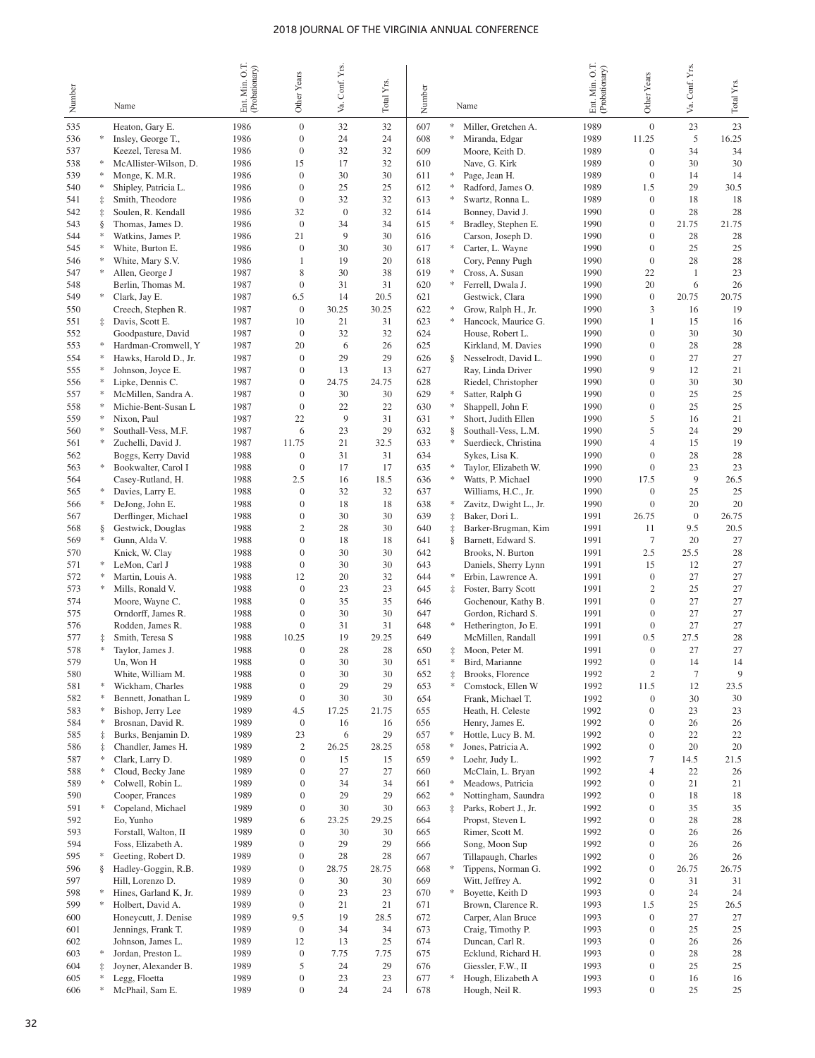|            |            |                                            |                                 |                                      |                    |             |            |                      |                                         |                                  |                                      | Conf. Yrs.   |             |
|------------|------------|--------------------------------------------|---------------------------------|--------------------------------------|--------------------|-------------|------------|----------------------|-----------------------------------------|----------------------------------|--------------------------------------|--------------|-------------|
| Number     |            |                                            | Ent Min. O.T.<br>(Probationary) | Other Years                          | Va. Conf. Yrs.     | Total Yrs.  | Number     |                      |                                         | Ent. Min. O.T.<br>(Probationary) | Other Years                          |              | Total Yrs.  |
|            |            | Name                                       |                                 |                                      |                    |             |            |                      | Name                                    |                                  |                                      | Š.           |             |
| 535        |            | Heaton, Gary E.                            | 1986                            | $\boldsymbol{0}$                     | 32                 | 32          | 607        | $\frac{1}{2}$        | Miller, Gretchen A.                     | 1989                             | $\mathbf{0}$                         | 23           | 23          |
| 536        |            | Insley, George T.,                         | 1986                            | $\overline{0}$                       | 24                 | 24          | 608        |                      | Miranda, Edgar                          | 1989                             | 11.25                                | 5            | 16.25       |
| 537        |            | Keezel, Teresa M.                          | 1986                            | $\mathbf{0}$                         | 32                 | 32          | 609        |                      | Moore, Keith D.                         | 1989                             | $\overline{0}$                       | 34           | 34          |
| 538        | ∗          | McAllister-Wilson, D.                      | 1986                            | 15                                   | 17                 | 32          | 610        |                      | Nave, G. Kirk                           | 1989                             | $\boldsymbol{0}$                     | 30           | 30          |
| 539        |            | Monge, K. M.R.                             | 1986                            | $\mathbf{0}$                         | 30                 | 30          | 611        | *                    | Page, Jean H.                           | 1989                             | $\boldsymbol{0}$                     | 14           | 14          |
| 540        |            | Shipley, Patricia L.                       | 1986                            | $\overline{0}$                       | 25                 | 25          | 612        | ∗                    | Radford, James O.                       | 1989                             | 1.5                                  | 29           | 30.5        |
| 541        | $\ddagger$ | Smith, Theodore                            | 1986                            | $\mathbf{0}$                         | 32                 | 32          | 613        | $\frac{1}{2}$        | Swartz, Ronna L.                        | 1989                             | $\boldsymbol{0}$                     | 18           | 18          |
| 542<br>543 | İ<br>ş     | Soulen, R. Kendall<br>Thomas, James D.     | 1986<br>1986                    | 32<br>$\mathbf{0}$                   | $\mathbf{0}$<br>34 | 32<br>34    | 614<br>615 | *                    | Bonney, David J.<br>Bradley, Stephen E. | 1990<br>1990                     | $\boldsymbol{0}$<br>$\boldsymbol{0}$ | 28<br>21.75  | 28<br>21.75 |
| 544        |            | Watkins, James P.                          | 1986                            | 21                                   | 9                  | 30          | 616        |                      | Carson, Joseph D.                       | 1990                             | $\boldsymbol{0}$                     | 28           | 28          |
| 545        |            | White, Burton E.                           | 1986                            | $\mathbf{0}$                         | 30                 | 30          | 617        | $\ast$               | Carter, L. Wayne                        | 1990                             | $\boldsymbol{0}$                     | 25           | 25          |
| 546        |            | White, Mary S.V.                           | 1986                            | $\mathbf{1}$                         | 19                 | 20          | 618        |                      | Cory, Penny Pugh                        | 1990                             | $\mathbf{0}$                         | 28           | 28          |
| 547        | *          | Allen, George J                            | 1987                            | 8                                    | 30                 | 38          | 619        | *                    | Cross, A. Susan                         | 1990                             | 22                                   | $\mathbf{1}$ | 23          |
| 548        |            | Berlin, Thomas M.                          | 1987                            | $\mathbf{0}$                         | 31                 | 31          | 620        | *                    | Ferrell, Dwala J.                       | 1990                             | 20                                   | 6            | 26          |
| 549        | *          | Clark, Jay E.                              | 1987                            | 6.5                                  | 14                 | 20.5        | 621        |                      | Gestwick, Clara                         | 1990                             | $\mathbf{0}$                         | 20.75        | 20.75       |
| 550        |            | Creech, Stephen R.                         | 1987                            | $\mathbf{0}$                         | 30.25              | 30.25       | 622        | *                    | Grow, Ralph H., Jr.                     | 1990                             | 3                                    | 16           | 19          |
| 551        | $\ddagger$ | Davis, Scott E.                            | 1987                            | 10                                   | 21                 | 31          | 623        | $\ast$               | Hancock, Maurice G.                     | 1990                             | $\mathbf{1}$                         | 15           | 16          |
| 552        |            | Goodpasture, David                         | 1987                            | $\mathbf{0}$                         | 32                 | 32          | 624        |                      | House, Robert L.                        | 1990                             | $\overline{0}$                       | 30           | 30          |
| 553        |            | Hardman-Cromwell, Y                        | 1987                            | 20                                   | 6                  | 26          | 625        |                      | Kirkland, M. Davies                     | 1990                             | $\overline{0}$                       | 28           | 28          |
| 554        |            | Hawks, Harold D., Jr.                      | 1987                            | $\mathbf{0}$                         | 29                 | 29          | 626        | §.                   | Nesselrodt, David L.                    | 1990                             | $\overline{0}$<br>9                  | 27           | 27          |
| 555<br>556 |            | Johnson, Joyce E.<br>Lipke, Dennis C.      | 1987<br>1987                    | $\boldsymbol{0}$<br>$\boldsymbol{0}$ | 13<br>24.75        | 13<br>24.75 | 627<br>628 |                      | Ray, Linda Driver                       | 1990<br>1990                     | $\overline{0}$                       | 12<br>30     | 21<br>30    |
| 557        | *          | McMillen, Sandra A.                        | 1987                            | $\boldsymbol{0}$                     | 30                 | 30          | 629        | *                    | Riedel, Christopher<br>Satter, Ralph G  | 1990                             | $\overline{0}$                       | 25           | 25          |
| 558        |            | Michie-Bent-Susan L                        | 1987                            | $\boldsymbol{0}$                     | 22                 | 22          | 630        | $\ast$               | Shappell, John F.                       | 1990                             | $\overline{0}$                       | 25           | 25          |
| 559        |            | Nixon, Paul                                | 1987                            | 22                                   | 9                  | 31          | 631        | $\ast$               | Short, Judith Ellen                     | 1990                             | 5                                    | 16           | 21          |
| 560        |            | Southall-Vess, M.F.                        | 1987                            | 6                                    | 23                 | 29          | 632        | §.                   | Southall-Vess, L.M.                     | 1990                             | 5                                    | 24           | 29          |
| 561        | *          | Zuchelli, David J.                         | 1987                            | 11.75                                | 21                 | 32.5        | 633        | *                    | Suerdieck, Christina                    | 1990                             | 4                                    | 15           | 19          |
| 562        |            | Boggs, Kerry David                         | 1988                            | $\mathbf{0}$                         | 31                 | 31          | 634        |                      | Sykes, Lisa K.                          | 1990                             | $\overline{0}$                       | 28           | 28          |
| 563        | *          | Bookwalter, Carol I                        | 1988                            | $\boldsymbol{0}$                     | 17                 | 17          | 635        | *                    | Taylor, Elizabeth W.                    | 1990                             | $\boldsymbol{0}$                     | 23           | 23          |
| 564        |            | Casey-Rutland, H.                          | 1988                            | 2.5                                  | 16                 | 18.5        | 636        | $\ast$               | Watts, P. Michael                       | 1990                             | 17.5                                 | 9            | 26.5        |
| 565        | $\approx$  | Davies, Larry E.                           | 1988                            | $\boldsymbol{0}$                     | 32                 | 32          | 637        |                      | Williams, H.C., Jr.                     | 1990                             | $\boldsymbol{0}$                     | 25           | 25          |
| 566        | *          | DeJong, John E.                            | 1988                            | $\boldsymbol{0}$                     | 18                 | 18          | 638        | $\ast$               | Zavitz, Dwight L., Jr.                  | 1990                             | $\overline{0}$                       | 20           | 20          |
| 567        |            | Derflinger, Michael                        | 1988                            | $\boldsymbol{0}$                     | 30                 | 30          | 639        | $\ddagger$           | Baker, Dori L.                          | 1991                             | 26.75                                | $\mathbf{0}$ | 26.75       |
| 568        | ş<br>*     | Gestwick, Douglas                          | 1988<br>1988                    | $\mathfrak{2}$<br>$\boldsymbol{0}$   | 28<br>18           | 30<br>18    | 640<br>641 | $\ddagger$           | Barker-Brugman, Kim                     | 1991<br>1991                     | 11<br>$\tau$                         | 9.5<br>20    | 20.5        |
| 569<br>570 |            | Gunn, Alda V.<br>Knick, W. Clay            | 1988                            | $\boldsymbol{0}$                     | 30                 | 30          | 642        | §.                   | Barnett, Edward S.<br>Brooks, N. Burton | 1991                             | 2.5                                  | 25.5         | 27<br>28    |
| 571        |            | LeMon, Carl J                              | 1988                            | $\boldsymbol{0}$                     | 30                 | 30          | 643        |                      | Daniels, Sherry Lynn                    | 1991                             | 15                                   | 12           | 27          |
| 572        |            | Martin, Louis A.                           | 1988                            | 12                                   | 20                 | 32          | 644        | $\ast$               | Erbin, Lawrence A.                      | 1991                             | $\boldsymbol{0}$                     | 27           | 27          |
| 573        | *          | Mills, Ronald V.                           | 1988                            | $\boldsymbol{0}$                     | 23                 | 23          | 645        | İ.                   | Foster, Barry Scott                     | 1991                             | $\mathfrak{2}$                       | 25           | 27          |
| 574        |            | Moore, Wayne C.                            | 1988                            | $\mathbf{0}$                         | 35                 | 35          | 646        |                      | Gochenour, Kathy B.                     | 1991                             | $\boldsymbol{0}$                     | 27           | 27          |
| 575        |            | Orndorff, James R.                         | 1988                            | $\mathbf{0}$                         | 30                 | 30          | 647        |                      | Gordon, Richard S.                      | 1991                             | $\boldsymbol{0}$                     | 27           | 27          |
| 576        |            | Rodden, James R.                           | 1988                            | $\boldsymbol{0}$                     | 31                 | 31          | 648        | $\ast$               | Hetherington, Jo E.                     | 1991                             | $\boldsymbol{0}$                     | 27           | 27          |
| 577        | $\ddagger$ | Smith, Teresa S                            | 1988                            | 10.25                                | 19                 | 29.25       | 649        |                      | McMillen, Randall                       | 1991                             | 0.5                                  | 27.5         | 28          |
| 578        |            | Taylor, James J.                           | 1988                            | $\mathbf{0}$                         | 28                 | 28          | 650        | ‡                    | Moon, Peter M.                          | 1991                             | $\boldsymbol{0}$                     | 27           | 27          |
| 579        |            | Un, Won H                                  | 1988                            | $\mathbf{0}$                         | 30                 | 30          | 651        | *                    | Bird, Marianne                          | 1992                             | $\mathbf{0}$                         | 14           | 14          |
| 580<br>581 | *          | White, William M.<br>Wickham, Charles      | 1988<br>1988                    | $\boldsymbol{0}$<br>$\boldsymbol{0}$ | 30<br>29           | 30<br>29    | 652<br>653 | $\ddagger$<br>$\ast$ | Brooks, Florence<br>Comstock, Ellen W   | 1992<br>1992                     | $\overline{\mathbf{c}}$<br>11.5      | $\tau$<br>12 | 9<br>23.5   |
| 582        |            | Bennett, Jonathan L                        | 1989                            | $\boldsymbol{0}$                     | 30                 | 30          | 654        |                      | Frank, Michael T.                       | 1992                             | $\boldsymbol{0}$                     | 30           | 30          |
| 583        |            | Bishop, Jerry Lee                          | 1989                            | 4.5                                  | 17.25              | 21.75       | 655        |                      | Heath, H. Celeste                       | 1992                             | $\mathbf{0}$                         | 23           | 23          |
| 584        |            | Brosnan, David R.                          | 1989                            | $\boldsymbol{0}$                     | 16                 | 16          | 656        |                      | Henry, James E.                         | 1992                             | $\boldsymbol{0}$                     | 26           | 26          |
| 585        | $\ddagger$ | Burks, Benjamin D.                         | 1989                            | 23                                   | 6                  | 29          | 657        | *                    | Hottle, Lucy B. M.                      | 1992                             | $\mathbf{0}$                         | 22           | 22          |
| 586        | $\ddagger$ | Chandler, James H.                         | 1989                            | $\overline{\mathbf{c}}$              | 26.25              | 28.25       | 658        | *                    | Jones, Patricia A.                      | 1992                             | $\boldsymbol{0}$                     | 20           | 20          |
| 587        |            | Clark, Larry D.                            | 1989                            | $\boldsymbol{0}$                     | 15                 | 15          | 659        | *                    | Loehr, Judy L.                          | 1992                             | $\tau$                               | 14.5         | 21.5        |
| 588        |            | Cloud, Becky Jane                          | 1989                            | $\boldsymbol{0}$                     | 27                 | 27          | 660        |                      | McClain, L. Bryan                       | 1992                             | $\overline{4}$                       | 22           | 26          |
| 589        | $\ast$     | Colwell, Robin L.                          | 1989                            | $\boldsymbol{0}$                     | 34                 | 34          | 661        | ∗                    | Meadows, Patricia                       | 1992                             | $\boldsymbol{0}$                     | 21           | 21          |
| 590        |            | Cooper, Frances                            | 1989                            | $\boldsymbol{0}$                     | 29                 | 29          | 662        | ∗                    | Nottingham, Saundra                     | 1992                             | $\boldsymbol{0}$                     | 18           | 18          |
| 591        | $\ast$     | Copeland, Michael                          | 1989                            | $\boldsymbol{0}$                     | 30                 | 30          | 663        | $\ddagger$           | Parks, Robert J., Jr.                   | 1992                             | $\boldsymbol{0}$                     | 35           | 35          |
| 592        |            | Eo, Yunho                                  | 1989                            | 6                                    | 23.25              | 29.25       | 664        |                      | Propst, Steven L                        | 1992                             | $\boldsymbol{0}$                     | 28           | 28          |
| 593<br>594 |            | Forstall, Walton, II<br>Foss, Elizabeth A. | 1989<br>1989                    | $\boldsymbol{0}$<br>$\boldsymbol{0}$ | 30<br>29           | 30<br>29    | 665<br>666 |                      | Rimer, Scott M.<br>Song, Moon Sup       | 1992<br>1992                     | $\boldsymbol{0}$<br>$\boldsymbol{0}$ | 26<br>26     | 26<br>26    |
| 595        | ∗          | Geeting, Robert D.                         | 1989                            | $\boldsymbol{0}$                     | 28                 | 28          | 667        |                      | Tillapaugh, Charles                     | 1992                             | $\boldsymbol{0}$                     | 26           | 26          |
| 596        | §.         | Hadley-Goggin, R.B.                        | 1989                            | $\boldsymbol{0}$                     | 28.75              | 28.75       | 668        | *                    | Tippens, Norman G.                      | 1992                             | $\boldsymbol{0}$                     | 26.75        | 26.75       |
| 597        |            | Hill, Lorenzo D.                           | 1989                            | $\boldsymbol{0}$                     | 30                 | 30          | 669        |                      | Witt, Jeffrey A.                        | 1992                             | $\boldsymbol{0}$                     | 31           | 31          |
| 598        | *          | Hines, Garland K, Jr.                      | 1989                            | $\boldsymbol{0}$                     | 23                 | 23          | 670        | $\ast$               | Boyette, Keith D                        | 1993                             | $\boldsymbol{0}$                     | 24           | 24          |
| 599        | *          | Holbert, David A.                          | 1989                            | $\boldsymbol{0}$                     | 21                 | 21          | 671        |                      | Brown, Clarence R.                      | 1993                             | 1.5                                  | 25           | 26.5        |
| 600        |            | Honeycutt, J. Denise                       | 1989                            | 9.5                                  | 19                 | 28.5        | 672        |                      | Carper, Alan Bruce                      | 1993                             | $\boldsymbol{0}$                     | 27           | 27          |
| 601        |            | Jennings, Frank T.                         | 1989                            | $\boldsymbol{0}$                     | 34                 | 34          | 673        |                      | Craig, Timothy P.                       | 1993                             | $\boldsymbol{0}$                     | 25           | 25          |
| 602        |            | Johnson, James L.                          | 1989                            | 12                                   | 13                 | 25          | 674        |                      | Duncan, Carl R.                         | 1993                             | $\boldsymbol{0}$                     | 26           | 26          |
| 603        | *          | Jordan, Preston L.                         | 1989                            | $\boldsymbol{0}$                     | 7.75               | 7.75        | 675        |                      | Ecklund, Richard H.                     | 1993                             | $\boldsymbol{0}$                     | 28           | 28          |
| 604        |            | Joyner, Alexander B.                       | 1989                            | 5                                    | 24                 | 29          | 676        |                      | Giessler, F.W., II                      | 1993                             | $\boldsymbol{0}$                     | 25           | 25          |
| 605        | *          | Legg, Floetta                              | 1989                            | $\boldsymbol{0}$<br>$\boldsymbol{0}$ | 23                 | 23<br>24    | 677        | $\ast$               | Hough, Elizabeth A                      | 1993                             | $\boldsymbol{0}$<br>$\mathbf{0}$     | 16           | 16          |
| 606        |            | McPhail, Sam E.                            | 1989                            |                                      | 24                 |             | 678        |                      | Hough, Neil R.                          | 1993                             |                                      | 25           | 25          |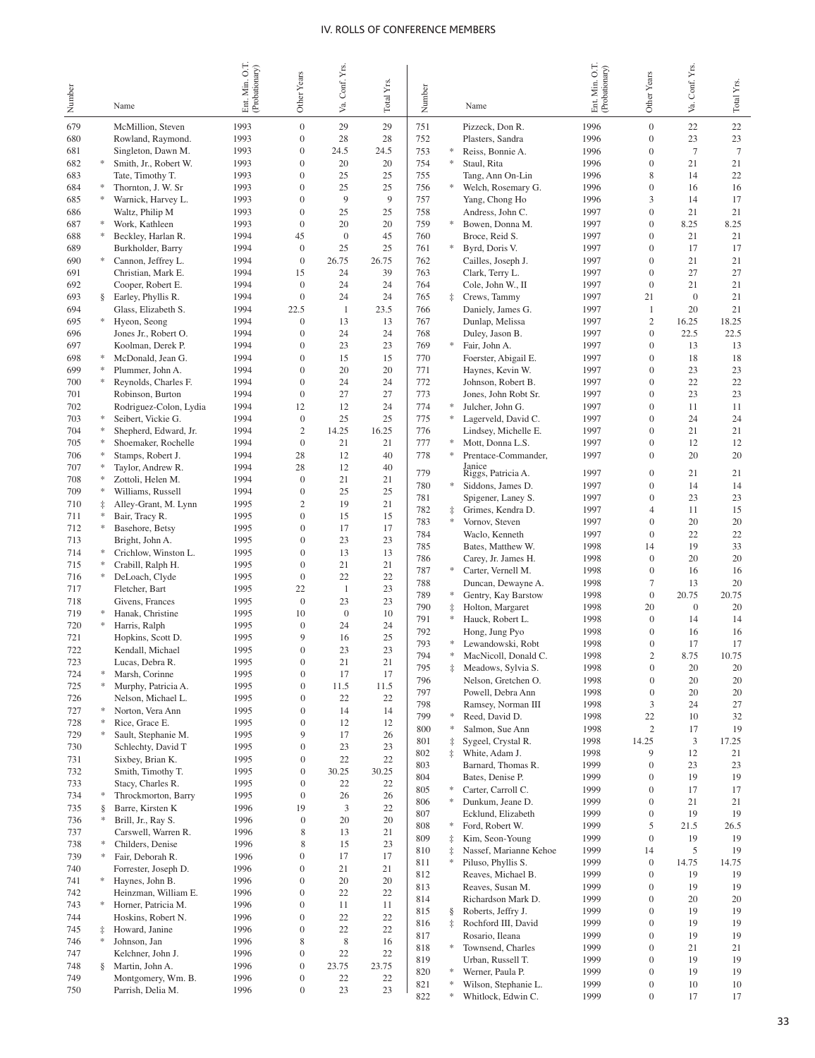|            |                 |                                              |                                  |                                      | Conf. Yrs.         |             |            |                 |                                             |                                 |                                  |                    |              |
|------------|-----------------|----------------------------------------------|----------------------------------|--------------------------------------|--------------------|-------------|------------|-----------------|---------------------------------------------|---------------------------------|----------------------------------|--------------------|--------------|
| Number     |                 | Name                                         | Ent. Min. O.T.<br>(Probationary) | Other Years                          | Уa.                | Total Yrs.  | Number     |                 | Name                                        | Ent Min. O.T.<br>(Probationary) | Other Years                      | Va. Conf. Yrs.     | Total Yrs.   |
|            |                 |                                              |                                  |                                      |                    |             |            |                 |                                             |                                 |                                  |                    |              |
| 679<br>680 |                 | McMillion, Steven<br>Rowland, Raymond.       | 1993<br>1993                     | $\mathbf{0}$<br>$\boldsymbol{0}$     | 29<br>28           | 29<br>28    | 751<br>752 |                 | Pizzeck, Don R.<br>Plasters, Sandra         | 1996<br>1996                    | $\mathbf{0}$<br>$\mathbf{0}$     | 22<br>23           | $22\,$<br>23 |
| 681        |                 | Singleton, Dawn M.                           | 1993                             | $\overline{0}$                       | 24.5               | 24.5        | 753        | ∗               | Reiss, Bonnie A.                            | 1996                            | $\mathbf{0}$                     | $7\phantom{.0}$    | $\tau$       |
| 682        | *               | Smith, Jr., Robert W.                        | 1993                             | $\overline{0}$                       | 20                 | 20          | 754        | ∗               | Staul, Rita                                 | 1996                            | $\overline{0}$                   | 21                 | 21           |
| 683        |                 | Tate, Timothy T.                             | 1993                             | $\mathbf{0}$                         | 25                 | 25          | 755        |                 | Tang, Ann On-Lin                            | 1996                            | 8                                | 14                 | 22           |
| 684        |                 | Thornton, J. W. Sr                           | 1993                             | $\mathbf{0}$                         | 25                 | 25          | 756        | *               | Welch, Rosemary G.                          | 1996                            | $\overline{0}$                   | 16                 | 16           |
| 685<br>686 | *               | Warnick, Harvey L.<br>Waltz, Philip M        | 1993<br>1993                     | $\mathbf{0}$<br>$\mathbf{0}$         | 9<br>25            | 9<br>25     | 757<br>758 |                 | Yang, Chong Ho<br>Andress, John C.          | 1996<br>1997                    | 3<br>$\overline{0}$              | 14<br>21           | 17<br>21     |
| 687        | ∗               | Work, Kathleen                               | 1993                             | $\mathbf{0}$                         | 20                 | 20          | 759        | ∗               | Bowen, Donna M.                             | 1997                            | $\overline{0}$                   | 8.25               | 8.25         |
| 688        | *               | Beckley, Harlan R.                           | 1994                             | 45                                   | $\boldsymbol{0}$   | 45          | 760        |                 | Broce, Reid S.                              | 1997                            | $\overline{0}$                   | 21                 | 21           |
| 689        |                 | Burkholder, Barry                            | 1994                             | $\mathbf{0}$                         | 25                 | 25          | 761        | *               | Byrd, Doris V.                              | 1997                            | $\mathbf{0}$                     | 17                 | 17           |
| 690        | ∗               | Cannon, Jeffrey L.                           | 1994                             | $\boldsymbol{0}$                     | 26.75              | 26.75       | 762        |                 | Cailles, Joseph J.                          | 1997                            | $\overline{0}$                   | 21                 | 21           |
| 691<br>692 |                 | Christian, Mark E.<br>Cooper, Robert E.      | 1994<br>1994                     | 15<br>$\mathbf{0}$                   | 24<br>24           | 39<br>24    | 763<br>764 |                 | Clark, Terry L.<br>Cole, John W., II        | 1997<br>1997                    | $\mathbf{0}$<br>$\mathbf{0}$     | 27<br>21           | 27<br>21     |
| 693        | §.              | Earley, Phyllis R.                           | 1994                             | $\boldsymbol{0}$                     | 24                 | 24          | 765        | $\ddagger$      | Crews, Tammy                                | 1997                            | 21                               | $\mathbf{0}$       | 21           |
| 694        |                 | Glass, Elizabeth S.                          | 1994                             | 22.5                                 | $\mathbf{1}$       | 23.5        | 766        |                 | Daniely, James G.                           | 1997                            | $\mathbf{1}$                     | 20                 | 21           |
| 695        |                 | Hyeon, Seong                                 | 1994                             | $\mathbf{0}$                         | 13                 | 13          | 767        |                 | Dunlap, Melissa                             | 1997                            | $\overline{c}$                   | 16.25              | 18.25        |
| 696        |                 | Jones Jr., Robert O.                         | 1994                             | $\mathbf{0}$                         | 24                 | 24          | 768        |                 | Duley, Jason B.                             | 1997                            | $\overline{0}$                   | 22.5               | 22.5         |
| 697<br>698 | ∗               | Koolman, Derek P.<br>McDonald, Jean G.       | 1994<br>1994                     | $\mathbf{0}$<br>$\mathbf{0}$         | 23<br>15           | 23<br>15    | 769<br>770 | *               | Fair, John A.                               | 1997<br>1997                    | $\overline{0}$<br>$\overline{0}$ | 13<br>18           | 13<br>18     |
| 699        |                 | Plummer, John A.                             | 1994                             | $\overline{0}$                       | 20                 | 20          | 771        |                 | Foerster, Abigail E.<br>Haynes, Kevin W.    | 1997                            | $\overline{0}$                   | 23                 | 23           |
| 700        |                 | Reynolds, Charles F.                         | 1994                             | $\overline{0}$                       | 24                 | 24          | 772        |                 | Johnson, Robert B.                          | 1997                            | $\overline{0}$                   | 22                 | 22           |
| 701        |                 | Robinson, Burton                             | 1994                             | $\boldsymbol{0}$                     | 27                 | 27          | 773        |                 | Jones, John Robt Sr.                        | 1997                            | $\overline{0}$                   | 23                 | 23           |
| 702        |                 | Rodriguez-Colon, Lydia                       | 1994                             | 12                                   | 12                 | 24          | 774        | ∗               | Julcher, John G.                            | 1997                            | $\overline{0}$                   | 11                 | 11           |
| 703<br>704 |                 | Seibert, Vickie G.                           | 1994<br>1994                     | $\mathbf{0}$<br>$\mathfrak{2}$       | 25<br>14.25        | 25<br>16.25 | 775<br>776 |                 | Lagerveld, David C.<br>Lindsey, Michelle E. | 1997<br>1997                    | $\overline{0}$<br>$\overline{0}$ | 24<br>21           | 24<br>21     |
| 705        |                 | Shepherd, Edward, Jr.<br>Shoemaker, Rochelle | 1994                             | $\boldsymbol{0}$                     | 21                 | 21          | 777        |                 | Mott, Donna L.S.                            | 1997                            | $\overline{0}$                   | 12                 | 12           |
| 706        |                 | Stamps, Robert J.                            | 1994                             | 28                                   | 12                 | 40          | 778        | ∗               | Prentace-Commander,                         | 1997                            | $\overline{0}$                   | 20                 | 20           |
| 707        |                 | Taylor, Andrew R.                            | 1994                             | 28                                   | 12                 | 40          | 779        |                 | Janice<br>Riggs, Patricia A.                | 1997                            | $\overline{0}$                   | 21                 | 21           |
| 708        |                 | Zottoli, Helen M.                            | 1994                             | $\boldsymbol{0}$                     | 21                 | 21          | 780        | *               | Siddons, James D.                           | 1997                            | $\overline{0}$                   | 14                 | 14           |
| 709        |                 | Williams, Russell                            | 1994                             | $\boldsymbol{0}$<br>$\overline{c}$   | 25<br>19           | 25<br>21    | 781        |                 | Spigener, Laney S.                          | 1997                            | $\overline{0}$                   | 23                 | 23           |
| 710<br>711 | ‡               | Alley-Grant, M. Lynn<br>Bair, Tracy R.       | 1995<br>1995                     | $\boldsymbol{0}$                     | 15                 | 15          | 782        | $\ddagger$      | Grimes, Kendra D.                           | 1997                            | $\overline{4}$                   | 11                 | 15           |
| 712        | ∗               | Basehore, Betsy                              | 1995                             | $\boldsymbol{0}$                     | 17                 | 17          | 783        | *               | Vornov, Steven                              | 1997                            | $\overline{0}$                   | 20                 | 20           |
| 713        |                 | Bright, John A.                              | 1995                             | $\boldsymbol{0}$                     | 23                 | 23          | 784<br>785 |                 | Waclo, Kenneth<br>Bates, Matthew W.         | 1997<br>1998                    | $\overline{0}$<br>14             | 22<br>19           | 22<br>33     |
| 714        | ∗               | Crichlow, Winston L.                         | 1995                             | $\boldsymbol{0}$                     | 13                 | 13          | 786        |                 | Carey, Jr. James H.                         | 1998                            | $\overline{0}$                   | 20                 | 20           |
| 715        | ∗               | Crabill, Ralph H.                            | 1995                             | $\boldsymbol{0}$<br>$\boldsymbol{0}$ | 21                 | 21          | 787        | *               | Carter, Vernell M.                          | 1998                            | $\overline{0}$                   | 16                 | 16           |
| 716<br>717 |                 | DeLoach, Clyde<br>Fletcher, Bart             | 1995<br>1995                     | 22                                   | 22<br>$\mathbf{1}$ | 22<br>23    | 788        |                 | Duncan, Dewayne A.                          | 1998                            | $\overline{7}$                   | 13                 | 20           |
| 718        |                 | Givens, Frances                              | 1995                             | $\mathbf{0}$                         | 23                 | 23          | 789        | *               | Gentry, Kay Barstow                         | 1998                            | $\mathbf{0}$                     | 20.75              | 20.75        |
| 719        |                 | Hanak, Christine                             | 1995                             | 10                                   | $\mathbf{0}$       | 10          | 790<br>791 | $\ddagger$<br>* | Holton, Margaret<br>Hauck, Robert L.        | 1998<br>1998                    | 20<br>$\overline{0}$             | $\mathbf{0}$<br>14 | 20<br>14     |
| 720        | ∗               | Harris, Ralph                                | 1995                             | $\boldsymbol{0}$                     | 24                 | 24          | 792        |                 | Hong, Jung Pyo                              | 1998                            | $\overline{0}$                   | 16                 | 16           |
| 721<br>722 |                 | Hopkins, Scott D.<br>Kendall, Michael        | 1995<br>1995                     | 9<br>$\boldsymbol{0}$                | 16<br>23           | 25<br>23    | 793        |                 | Lewandowski, Robt                           | 1998                            | $\mathbf{0}$                     | 17                 | 17           |
| 723        |                 | Lucas, Debra R.                              | 1995                             | $\Omega$                             | 21                 | 21          | 794        | ∗               | MacNicoll, Donald C.                        | 1998                            | $\overline{2}$                   | 8.75               | 10.75        |
| 724        | ∗               | Marsh, Corinne                               | 1995                             | $\boldsymbol{0}$                     | 17                 | 17          | 795        |                 | Meadows, Sylvia S.<br>Nelson, Gretchen O.   | 1998                            | $\boldsymbol{0}$                 | $20\,$             | 20           |
| 725        | ∗               | Murphy, Patricia A.                          | 1995                             | $\boldsymbol{0}$                     | 11.5               | 11.5        | 796<br>797 |                 | Powell, Debra Ann                           | 1998<br>1998                    | $\boldsymbol{0}$<br>$\mathbf{0}$ | 20<br>20           | 20<br>20     |
| 726        |                 | Nelson, Michael L.                           | 1995                             | $\boldsymbol{0}$                     | 22                 | 22          | 798        |                 | Ramsey, Norman III                          | 1998                            | 3                                | 24                 | 27           |
| 727<br>728 | ∗<br>∗          | Norton, Vera Ann<br>Rice, Grace E.           | 1995<br>1995                     | $\boldsymbol{0}$<br>$\boldsymbol{0}$ | 14<br>12           | 14<br>12    | 799        | ∗               | Reed, David D.                              | 1998                            | 22                               | 10                 | 32           |
| 729        |                 | Sault, Stephanie M.                          | 1995                             | 9                                    | 17                 | 26          | 800        | *               | Salmon, Sue Ann                             | 1998                            | $\overline{c}$                   | 17                 | 19           |
| 730        |                 | Schlechty, David T                           | 1995                             | $\boldsymbol{0}$                     | 23                 | 23          | 801<br>802 | $\ddagger$      | Sygeel, Crystal R.<br>White, Adam J.        | 1998<br>1998                    | 14.25<br>9                       | 3<br>12            | 17.25<br>21  |
| 731        |                 | Sixbey, Brian K.                             | 1995                             | 0                                    | 22                 | 22          | 803        |                 | Barnard, Thomas R.                          | 1999                            | $\boldsymbol{0}$                 | 23                 | 23           |
| 732        |                 | Smith, Timothy T.                            | 1995                             | $\boldsymbol{0}$                     | 30.25              | 30.25       | 804        |                 | Bates, Denise P.                            | 1999                            | $\Omega$                         | 19                 | 19           |
| 733<br>734 | *               | Stacy, Charles R.<br>Throckmorton, Barry     | 1995<br>1995                     | $\boldsymbol{0}$<br>$\boldsymbol{0}$ | 22<br>26           | 22<br>26    | 805        | *               | Carter, Carroll C.                          | 1999                            | $\boldsymbol{0}$                 | 17                 | 17           |
| 735        | ş               | Barre, Kirsten K                             | 1996                             | 19                                   | 3                  | 22          | 806        | ∗               | Dunkum, Jeane D.                            | 1999                            | 0                                | 21                 | 21           |
| 736        | ∗               | Brill, Jr., Ray S.                           | 1996                             | $\boldsymbol{0}$                     | 20                 | 20          | 807<br>808 | ∗               | Ecklund, Elizabeth<br>Ford, Robert W.       | 1999                            | $\mathbf{0}$<br>5                | 19<br>21.5         | 19<br>26.5   |
| 737        |                 | Carswell, Warren R.                          | 1996                             | 8                                    | 13                 | 21          | 809        | $\ddagger$      | Kim, Seon-Young                             | 1999<br>1999                    | $\mathbf{0}$                     | 19                 | 19           |
| 738        | *               | Childers, Denise                             | 1996                             | 8                                    | 15                 | 23          | 810        | $\ddagger$      | Nassef, Marianne Kehoe                      | 1999                            | 14                               | 5                  | 19           |
| 739<br>740 | $\ast$          | Fair, Deborah R.<br>Forrester, Joseph D.     | 1996<br>1996                     | $\boldsymbol{0}$<br>$\boldsymbol{0}$ | 17<br>21           | 17<br>21    | 811        | $\ast$          | Piluso, Phyllis S.                          | 1999                            | $\mathbf{0}$                     | 14.75              | 14.75        |
| 741        | *               | Haynes, John B.                              | 1996                             | $\mathbf{0}$                         | 20                 | 20          | 812        |                 | Reaves, Michael B.                          | 1999                            | $\overline{0}$                   | 19                 | 19           |
| 742        |                 | Heinzman, William E.                         | 1996                             | $\boldsymbol{0}$                     | 22                 | 22          | 813<br>814 |                 | Reaves, Susan M.<br>Richardson Mark D.      | 1999<br>1999                    | $\mathbf{0}$<br>$\overline{0}$   | 19<br>20           | 19<br>20     |
| 743        | *               | Horner, Patricia M.                          | 1996                             | $\boldsymbol{0}$                     | 11                 | 11          | 815        | ş               | Roberts, Jeffry J.                          | 1999                            | $\mathbf{0}$                     | 19                 | 19           |
| 744        |                 | Hoskins, Robert N.                           | 1996                             | $\boldsymbol{0}$                     | 22                 | 22          | 816        | $\ddagger$      | Rochford III, David                         | 1999                            | $\overline{0}$                   | 19                 | 19           |
| 745<br>746 | $\ddagger$<br>÷ | Howard, Janine<br>Johnson, Jan               | 1996<br>1996                     | $\mathbf{0}$<br>8                    | 22<br>$\,$ 8 $\,$  | 22<br>16    | 817        |                 | Rosario, Ileana                             | 1999                            | $\mathbf{0}$                     | 19                 | 19           |
| 747        |                 | Kelchner, John J.                            | 1996                             | $\mathbf{0}$                         | 22                 | 22          | 818        | *               | Townsend, Charles                           | 1999                            | $\overline{0}$                   | 21                 | 21           |
| 748        | ş               | Martin, John A.                              | 1996                             | $\boldsymbol{0}$                     | 23.75              | 23.75       | 819<br>820 | ∗               | Urban, Russell T.<br>Werner, Paula P.       | 1999<br>1999                    | $\mathbf{0}$<br>$\mathbf{0}$     | 19<br>19           | 19<br>19     |
| 749        |                 | Montgomery, Wm. B.                           | 1996                             | $\boldsymbol{0}$                     | 22                 | 22          | 821        | ∗               | Wilson, Stephanie L.                        | 1999                            | $\boldsymbol{0}$                 | 10                 | 10           |
| 750        |                 | Parrish, Delia M.                            | 1996                             | $\boldsymbol{0}$                     | 23                 | 23          | 822        | *               | Whitlock, Edwin C.                          | 1999                            | $\boldsymbol{0}$                 | 17                 | 17           |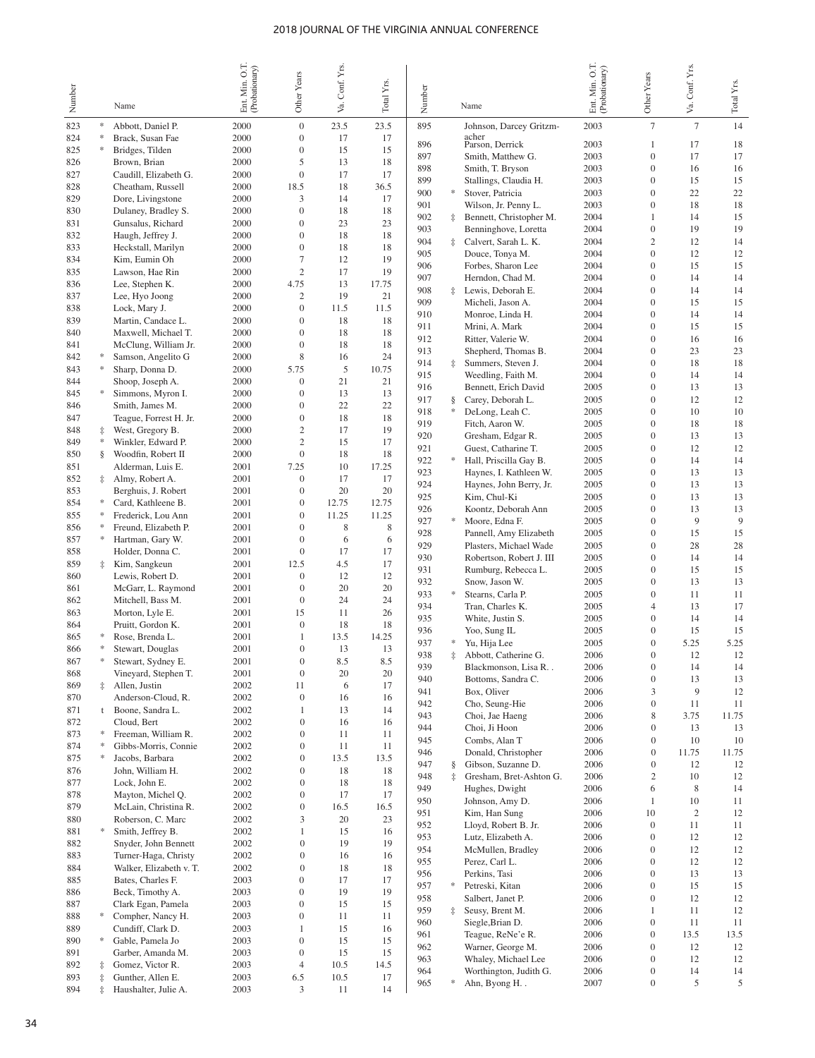| Number     |            | Name                                       | Ent Min. O.T.<br>(Probationary) | Other Years                          | Va. Conf. Yrs. | Total Yrs. | Number     |            | Name                                          | U.L<br>Ent. Min. O.T.<br>(Probationary) | Other Years                          | Va. Conf. Yrs.   | Total Yrs.  |
|------------|------------|--------------------------------------------|---------------------------------|--------------------------------------|----------------|------------|------------|------------|-----------------------------------------------|-----------------------------------------|--------------------------------------|------------------|-------------|
| 823        | *          | Abbott, Daniel P.                          | 2000                            | $\boldsymbol{0}$                     | 23.5           | 23.5       | 895        |            | Johnson, Darcey Gritzm-                       | 2003                                    | $\overline{7}$                       | $\overline{7}$   | 14          |
| 824        |            | Brack, Susan Fae                           | 2000                            | $\mathbf{0}$                         | 17             | 17         | 896        |            | acher                                         | 2003                                    | 1                                    | 17               | 18          |
| 825        | *          | Bridges, Tilden                            | 2000                            | $\boldsymbol{0}$                     | 15             | 15         | 897        |            | Parson, Derrick<br>Smith, Matthew G.          | 2003                                    | $\overline{0}$                       | 17               | 17          |
| 826        |            | Brown, Brian                               | 2000                            | 5                                    | 13             | 18         | 898        |            | Smith, T. Bryson                              | 2003                                    | $\overline{0}$                       | 16               | 16          |
| 827        |            | Caudill, Elizabeth G.                      | 2000                            | $\boldsymbol{0}$                     | 17             | 17         | 899        |            | Stallings, Claudia H.                         | 2003                                    | $\overline{0}$                       | 15               | 15          |
| 828<br>829 |            | Cheatham, Russell                          | 2000<br>2000                    | 18.5<br>3                            | 18<br>14       | 36.5<br>17 | 900        | *          | Stover, Patricia                              | 2003                                    | $\overline{0}$                       | 22               | 22          |
| 830        |            | Dore, Livingstone<br>Dulaney, Bradley S.   | 2000                            | $\boldsymbol{0}$                     | 18             | 18         | 901        |            | Wilson, Jr. Penny L.                          | 2003                                    | $\overline{0}$                       | 18               | 18          |
| 831        |            | Gunsalus, Richard                          | 2000                            | $\boldsymbol{0}$                     | 23             | 23         | 902        |            | Bennett, Christopher M.                       | 2004                                    | 1                                    | 14               | 15          |
| 832        |            | Haugh, Jeffrey J.                          | 2000                            | $\boldsymbol{0}$                     | 18             | 18         | 903        |            | Benninghove, Loretta                          | 2004                                    | $\overline{0}$                       | 19               | 19          |
| 833        |            | Heckstall, Marilyn                         | 2000                            | $\boldsymbol{0}$                     | 18             | 18         | 904<br>905 | İ.         | Calvert, Sarah L. K.<br>Douce, Tonya M.       | 2004<br>2004                            | $\mathbf{2}$<br>$\mathbf{0}$         | 12<br>12         | 14<br>12    |
| 834        |            | Kim, Eumin Oh                              | 2000                            | 7                                    | 12             | 19         | 906        |            | Forbes, Sharon Lee                            | 2004                                    | $\overline{0}$                       | 15               | 15          |
| 835        |            | Lawson, Hae Rin                            | 2000                            | $\mathbf{2}$                         | 17             | 19         | 907        |            | Herndon, Chad M.                              | 2004                                    | $\overline{0}$                       | 14               | 14          |
| 836        |            | Lee, Stephen K.                            | 2000                            | 4.75<br>$\overline{c}$               | 13<br>19       | 17.75      | 908        | İ          | Lewis, Deborah E.                             | 2004                                    | $\overline{0}$                       | 14               | 14          |
| 837<br>838 |            | Lee, Hyo Joong<br>Lock, Mary J.            | 2000<br>2000                    | $\boldsymbol{0}$                     | 11.5           | 21<br>11.5 | 909        |            | Micheli, Jason A.                             | 2004                                    | $\overline{0}$                       | 15               | 15          |
| 839        |            | Martin, Candace L.                         | 2000                            | $\boldsymbol{0}$                     | 18             | 18         | 910        |            | Monroe, Linda H.                              | 2004                                    | $\overline{0}$                       | 14               | 14          |
| 840        |            | Maxwell, Michael T.                        | 2000                            | $\boldsymbol{0}$                     | 18             | 18         | 911        |            | Mrini, A. Mark                                | 2004                                    | $\overline{0}$                       | 15               | 15          |
| 841        |            | McClung, William Jr.                       | 2000                            | $\boldsymbol{0}$                     | 18             | 18         | 912<br>913 |            | Ritter, Valerie W.                            | 2004                                    | $\overline{0}$<br>$\overline{0}$     | 16<br>23         | 16          |
| 842        | ∗          | Samson, Angelito G                         | 2000                            | $\,$ 8 $\,$                          | 16             | 24         | 914        | ŧ          | Shepherd, Thomas B.<br>Summers, Steven J.     | 2004<br>2004                            | $\overline{0}$                       | 18               | 23<br>18    |
| 843        | ∗          | Sharp, Donna D.                            | 2000                            | 5.75                                 | 5              | 10.75      | 915        |            | Weedling, Faith M.                            | 2004                                    | $\overline{0}$                       | 14               | 14          |
| 844        |            | Shoop, Joseph A.                           | 2000                            | $\mathbf{0}$                         | 21             | 21         | 916        |            | Bennett, Erich David                          | 2005                                    | $\overline{0}$                       | 13               | 13          |
| 845        | *          | Simmons, Myron I.                          | 2000                            | $\boldsymbol{0}$                     | 13             | 13         | 917        | ş          | Carey, Deborah L.                             | 2005                                    | $\overline{0}$                       | 12               | 12          |
| 846        |            | Smith, James M.                            | 2000                            | $\boldsymbol{0}$                     | 22             | 22         | 918        | *          | DeLong, Leah C.                               | 2005                                    | $\overline{0}$                       | 10               | $10\,$      |
| 847<br>848 | ŧ          | Teague, Forrest H. Jr.<br>West, Gregory B. | 2000<br>2000                    | $\boldsymbol{0}$<br>2                | 18<br>17       | 18<br>19   | 919        |            | Fitch, Aaron W.                               | 2005                                    | $\mathbf{0}$                         | 18               | 18          |
| 849        | $\ast$     | Winkler, Edward P.                         | 2000                            | $\overline{c}$                       | 15             | 17         | 920        |            | Gresham, Edgar R.                             | 2005                                    | $\mathbf{0}$                         | 13               | 13          |
| 850        | §.         | Woodfin, Robert II                         | 2000                            | $\mathbf{0}$                         | 18             | 18         | 921        |            | Guest, Catharine T.                           | 2005                                    | $\mathbf{0}$                         | 12               | 12          |
| 851        |            | Alderman, Luis E.                          | 2001                            | 7.25                                 | 10             | 17.25      | 922        | ∗          | Hall, Priscilla Gay B.                        | 2005                                    | $\mathbf{0}$                         | 14               | 14          |
| 852        | ‡.         | Almy, Robert A.                            | 2001                            | 0                                    | 17             | 17         | 923<br>924 |            | Haynes, I. Kathleen W.                        | 2005                                    | $\mathbf{0}$<br>$\mathbf{0}$         | 13<br>13         | 13<br>13    |
| 853        |            | Berghuis, J. Robert                        | 2001                            | $\boldsymbol{0}$                     | 20             | 20         | 925        |            | Haynes, John Berry, Jr.<br>Kim, Chul-Ki       | 2005<br>2005                            | $\mathbf{0}$                         | 13               | 13          |
| 854        |            | Card, Kathleene B.                         | 2001                            | $\boldsymbol{0}$                     | 12.75          | 12.75      | 926        |            | Koontz, Deborah Ann                           | 2005                                    | $\mathbf{0}$                         | 13               | 13          |
| 855        | ∗          | Frederick, Lou Ann                         | 2001                            | $\boldsymbol{0}$                     | 11.25          | 11.25      | 927        | *          | Moore, Edna F.                                | 2005                                    | $\mathbf{0}$                         | 9                | 9           |
| 856        |            | Freund, Elizabeth P.                       | 2001                            | $\boldsymbol{0}$                     | 8              | 8          | 928        |            | Pannell, Amy Elizabeth                        | 2005                                    | $\mathbf{0}$                         | 15               | 15          |
| 857        | *          | Hartman, Gary W.                           | 2001                            | $\boldsymbol{0}$<br>$\boldsymbol{0}$ | 6<br>17        | 6<br>17    | 929        |            | Plasters, Michael Wade                        | 2005                                    | $\mathbf{0}$                         | 28               | 28          |
| 858<br>859 | ‡.         | Holder, Donna C.<br>Kim, Sangkeun          | 2001<br>2001                    | 12.5                                 | 4.5            | 17         | 930        |            | Robertson, Robert J. III                      | 2005                                    | $\mathbf{0}$                         | 14               | 14          |
| 860        |            | Lewis, Robert D.                           | 2001                            | 0                                    | 12             | 12         | 931        |            | Rumburg, Rebecca L.                           | 2005                                    | $\mathbf{0}$                         | 15               | 15          |
| 861        |            | McGarr, L. Raymond                         | 2001                            | $\mathbf{0}$                         | 20             | 20         | 932        |            | Snow, Jason W.                                | 2005                                    | $\mathbf{0}$                         | 13               | 13          |
| 862        |            | Mitchell, Bass M.                          | 2001                            | $\boldsymbol{0}$                     | 24             | 24         | 933        | $\ast$     | Stearns, Carla P.                             | 2005                                    | $\mathbf{0}$<br>$\overline{4}$       | 11               | 11<br>17    |
| 863        |            | Morton, Lyle E.                            | 2001                            | 15                                   | 11             | 26         | 934<br>935 |            | Tran, Charles K.<br>White, Justin S.          | 2005<br>2005                            | $\overline{0}$                       | 13<br>14         | 14          |
| 864        |            | Pruitt, Gordon K.                          | 2001                            | $\boldsymbol{0}$                     | 18             | 18         | 936        |            | Yoo, Sung IL                                  | 2005                                    | $\boldsymbol{0}$                     | 15               | 15          |
| 865        |            | Rose, Brenda L.                            | 2001                            | $\mathbf{1}$                         | 13.5           | 14.25      | 937        | ∗          | Yu, Hija Lee                                  | 2005                                    | $\mathbf{0}$                         | 5.25             | 5.25        |
| 866        | *          | Stewart, Douglas                           | 2001                            | $\overline{0}$<br>$\Omega$           | 13             | 13         | 938        | İ          | Abbott, Catherine G.                          | 2006                                    | $\mathbf{0}$                         | 12               | 12          |
| 867<br>868 |            | Stewart, Sydney E.<br>Vineyard, Stephen T. | 2001<br>2001                    | $\boldsymbol{0}$                     | 8.5<br>20      | 8.5<br>20  | 939        |            | Blackmonson, Lisa R. .                        | 2006                                    | $\boldsymbol{0}$                     | 14               | 14          |
| 869        | $\ddagger$ | Allen, Justin                              | 2002                            | 11                                   | 6              | 17         | 940        |            | Bottoms, Sandra C.                            | 2006                                    | $\boldsymbol{0}$                     | 13               | 13          |
| 870        |            | Anderson-Cloud, R.                         | 2002                            | $\boldsymbol{0}$                     | 16             | 16         | 941        |            | Box, Oliver                                   | 2006                                    | 3                                    | 9                | 12          |
| 871        | t          | Boone, Sandra L.                           | 2002                            | $\mathbf{1}$                         | 13             | 14         | 942        |            | Cho, Seung-Hie                                | 2006                                    | $\boldsymbol{0}$                     | 11               | 11          |
| 872        |            | Cloud, Bert                                | 2002                            | $\boldsymbol{0}$                     | 16             | 16         | 943<br>944 |            | Choi, Jae Haeng<br>Choi, Ji Hoon              | 2006<br>2006                            | 8<br>$\boldsymbol{0}$                | 3.75<br>13       | 11.75<br>13 |
| 873        | ∗          | Freeman, William R.                        | 2002                            | $\boldsymbol{0}$                     | 11             | 11         | 945        |            | Combs, Alan T                                 | 2006                                    | $\boldsymbol{0}$                     | 10               | 10          |
| 874        | *          | Gibbs-Morris, Connie                       | 2002                            | 0                                    | 11             | 11         | 946        |            | Donald, Christopher                           | 2006                                    | $\boldsymbol{0}$                     | 11.75            | 11.75       |
| 875        | ∗          | Jacobs, Barbara                            | 2002                            | $\boldsymbol{0}$                     | 13.5           | 13.5       | 947        | ş          | Gibson, Suzanne D.                            | 2006                                    | $\boldsymbol{0}$                     | 12               | 12          |
| 876<br>877 |            | John, William H.<br>Lock, John E.          | 2002<br>2002                    | 0<br>$\boldsymbol{0}$                | 18<br>18       | 18<br>18   | 948        | $\ddagger$ | Gresham, Bret-Ashton G.                       | 2006                                    | $\overline{c}$                       | 10               | 12          |
| 878        |            | Mayton, Michel Q.                          | 2002                            | 0                                    | 17             | 17         | 949        |            | Hughes, Dwight                                | 2006                                    | 6                                    | 8                | 14          |
| 879        |            | McLain, Christina R.                       | 2002                            | $\boldsymbol{0}$                     | 16.5           | 16.5       | 950        |            | Johnson, Amy D.                               | 2006                                    | $\mathbf{1}$                         | 10               | 11          |
| 880        |            | Roberson, C. Marc                          | 2002                            | 3                                    | 20             | 23         | 951        |            | Kim, Han Sung                                 | 2006                                    | 10                                   | $\boldsymbol{2}$ | 12          |
| 881        | ∗          | Smith, Jeffrey B.                          | 2002                            | 1                                    | 15             | 16         | 952        |            | Lloyd, Robert B. Jr.                          | 2006                                    | $\boldsymbol{0}$<br>$\boldsymbol{0}$ | 11               | 11          |
| 882        |            | Snyder, John Bennett                       | 2002                            | 0                                    | 19             | 19         | 953<br>954 |            | Lutz, Elizabeth A.<br>McMullen, Bradley       | 2006<br>2006                            | 0                                    | 12<br>12         | 12<br>12    |
| 883        |            | Turner-Haga, Christy                       | 2002                            | $\boldsymbol{0}$                     | 16             | 16         | 955        |            | Perez, Carl L.                                | 2006                                    | 0                                    | 12               | 12          |
| 884        |            | Walker, Elizabeth v. T.                    | 2002                            | 0                                    | 18             | 18         | 956        |            | Perkins, Tasi                                 | 2006                                    | 0                                    | 13               | 13          |
| 885        |            | Bates, Charles F.                          | 2003                            | $\boldsymbol{0}$                     | 17             | 17         | 957        | $\ast$     | Petreski, Kitan                               | 2006                                    | $\boldsymbol{0}$                     | 15               | 15          |
| 886<br>887 |            | Beck, Timothy A.<br>Clark Egan, Pamela     | 2003<br>2003                    | $\boldsymbol{0}$<br>$\boldsymbol{0}$ | 19<br>15       | 19<br>15   | 958        |            | Salbert, Janet P.                             | 2006                                    | $\boldsymbol{0}$                     | 12               | 12          |
| 888        | *          | Compher, Nancy H.                          | 2003                            | $\boldsymbol{0}$                     | 11             | 11         | 959        | $\ddagger$ | Seusy, Brent M.                               | 2006                                    | 1                                    | 11               | 12          |
| 889        |            | Cundiff, Clark D.                          | 2003                            | 1                                    | 15             | 16         | 960        |            | Siegle, Brian D.                              | 2006                                    | $\boldsymbol{0}$                     | 11               | 11          |
| 890        | *          | Gable, Pamela Jo                           | 2003                            | $\boldsymbol{0}$                     | 15             | 15         | 961        |            | Teague, ReNe'e R.                             | 2006                                    | $\boldsymbol{0}$                     | 13.5             | 13.5        |
| 891        |            | Garber, Amanda M.                          | 2003                            | $\boldsymbol{0}$                     | 15             | 15         | 962        |            | Warner, George M.                             | 2006                                    | $\boldsymbol{0}$                     | 12               | 12          |
| 892        | ‡          | Gomez, Victor R.                           | 2003                            | 4                                    | 10.5           | 14.5       | 963<br>964 |            | Whaley, Michael Lee<br>Worthington, Judith G. | 2006<br>2006                            | $\boldsymbol{0}$<br>$\boldsymbol{0}$ | 12<br>14         | 12<br>14    |
| 893        | $\ddagger$ | Gunther, Allen E.                          | 2003                            | 6.5                                  | 10.5           | 17         | 965        | ∗          | Ahn, Byong H                                  | 2007                                    | $\boldsymbol{0}$                     | 5                | 5           |
| 894        | $\ddagger$ | Haushalter, Julie A.                       | 2003                            | 3                                    | 11             | 14         |            |            |                                               |                                         |                                      |                  |             |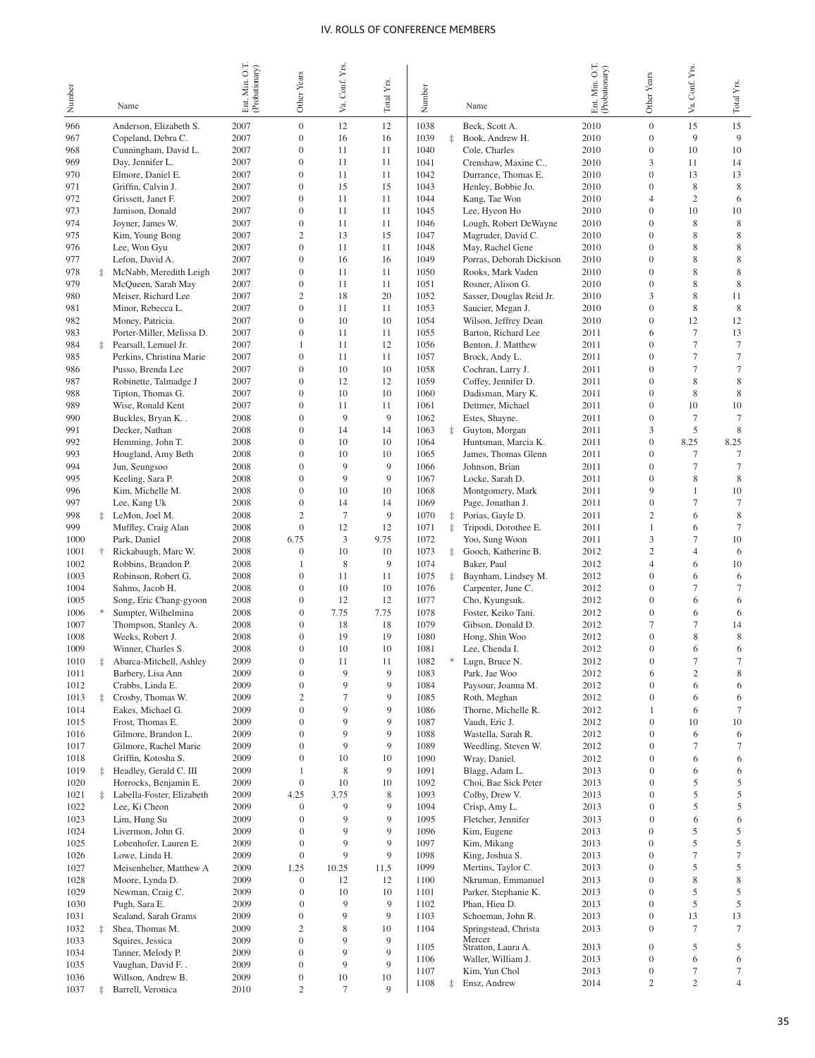|              |            |                                              |                                  |                                      | Conf. Yrs.      |            |              |            |                                        | Min. O.T.      |                                      |                      |                   |
|--------------|------------|----------------------------------------------|----------------------------------|--------------------------------------|-----------------|------------|--------------|------------|----------------------------------------|----------------|--------------------------------------|----------------------|-------------------|
| Number       |            |                                              | Ent. Min. O.T.<br>(Probationary) | Other Years                          |                 | Total Yrs. | Number       |            |                                        | (Probationary) | Other Years                          | Va. Conf. Yrs.       | Total Yrs.        |
|              |            | Name                                         |                                  |                                      | ya.             |            |              |            | Name                                   | Ent.           |                                      |                      |                   |
| 966          |            | Anderson, Elizabeth S.                       | 2007                             | $\mathbf{0}$                         | 12              | 12         | 1038         |            | Beck, Scott A.                         | 2010           | $\mathbf{0}$                         | 15                   | 15                |
| 967          |            | Copeland, Debra C.                           | 2007                             | $\boldsymbol{0}$                     | 16              | 16         | 1039         | $\ddagger$ | Book, Andrew H.                        | 2010           | $\mathbf{0}$                         | 9                    | 9                 |
| 968          |            | Cunningham, David L.                         | 2007                             | $\mathbf{0}$                         | 11              | 11         | 1040         |            | Cole, Charles                          | 2010           | $\mathbf{0}$                         | 10                   | 10                |
| 969          |            | Day, Jennifer L.                             | 2007                             | $\mathbf{0}$                         | 11              | 11         | 1041         |            | Crenshaw, Maxine C                     | 2010           | 3                                    | 11                   | 14                |
| 970          |            | Elmore, Daniel E.                            | 2007                             | $\boldsymbol{0}$                     | 11              | 11         | 1042         |            | Durrance, Thomas E.                    | 2010           | $\mathbf{0}$                         | 13                   | 13                |
| 971          |            | Griffin, Calvin J.                           | 2007                             | $\mathbf{0}$                         | 15              | 15         | 1043         |            | Henley, Bobbie Jo.                     | 2010           | $\mathbf{0}$                         | 8                    | 8                 |
| 972          |            | Grissett, Janet F.<br>Jamison, Donald        | 2007<br>2007                     | $\mathbf{0}$<br>$\boldsymbol{0}$     | 11<br>11        | 11         | 1044<br>1045 |            | Kang, Tae Won                          | 2010<br>2010   | 4<br>$\mathbf{0}$                    | $\overline{c}$<br>10 | 6                 |
| 973<br>974   |            | Joyner, James W.                             | 2007                             | $\mathbf{0}$                         | 11              | 11<br>11   | 1046         |            | Lee, Hyeon Ho<br>Lough, Robert DeWayne | 2010           | $\mathbf{0}$                         | 8                    | 10<br>$\,$ 8 $\,$ |
| 975          |            | Kim, Young Bong                              | 2007                             | $\mathfrak{2}$                       | 13              | 15         | 1047         |            | Magruder, David C.                     | 2010           | $\overline{0}$                       | 8                    | 8                 |
| 976          |            | Lee, Won Gyu                                 | 2007                             | $\boldsymbol{0}$                     | 11              | 11         | 1048         |            | May, Rachel Gene                       | 2010           | $\mathbf{0}$                         | 8                    | $\,$ 8 $\,$       |
| 977          |            | Lefon, David A.                              | 2007                             | $\mathbf{0}$                         | 16              | 16         | 1049         |            | Porras, Deborah Dickison               | 2010           | $\mathbf{0}$                         | 8                    | 8                 |
| 978          |            | McNabb, Meredith Leigh                       | 2007                             | $\mathbf{0}$                         | 11              | 11         | 1050         |            | Rooks, Mark Vaden                      | 2010           | $\mathbf{0}$                         | 8                    | $\,$ 8 $\,$       |
| 979          |            | McQueen, Sarah May                           | 2007                             | $\mathbf{0}$                         | 11              | 11         | 1051         |            | Rosner, Alison G.                      | 2010           | $\mathbf{0}$                         | 8                    | $\,$ 8 $\,$       |
| 980          |            | Meiser, Richard Lee                          | 2007                             | $\mathfrak{2}$                       | 18              | 20         | 1052         |            | Sasser, Douglas Reid Jr.               | 2010           | 3                                    | 8                    | 11                |
| 981          |            | Minor, Rebecca L.                            | 2007                             | $\overline{0}$                       | 11              | 11         | 1053         |            | Saucier, Megan J.                      | 2010           | $\mathbf{0}$                         | 8                    | 8                 |
| 982          |            | Money, Patricia.                             | 2007                             | $\overline{0}$                       | 10              | 10         | 1054         |            | Wilson, Jeffrey Dean                   | 2010           | $\mathbf{0}$                         | 12                   | 12                |
| 983          |            | Porter-Miller, Melissa D.                    | 2007                             | $\overline{0}$                       | 11              | 11         | 1055         |            | Barton, Richard Lee                    | 2011           | 6                                    | 7                    | 13                |
| 984          | $\ddagger$ | Pearsall, Lemuel Jr.                         | 2007                             | 1                                    | 11              | 12         | 1056         |            | Benton, J. Matthew                     | 2011           | $\mathbf{0}$                         | 7                    | $\tau$            |
| 985          |            | Perkins, Christina Marie                     | 2007                             | $\overline{0}$                       | 11              | 11         | 1057         |            | Brock, Andy L.                         | 2011           | $\mathbf{0}$                         | 7                    | $\tau$            |
| 986          |            | Pusso, Brenda Lee                            | 2007                             | $\overline{0}$                       | 10              | 10         | 1058         |            | Cochran, Larry J.                      | 2011           | $\mathbf{0}$                         | 7                    | $\tau$            |
| 987          |            | Robinette, Talmadge J                        | 2007                             | $\overline{0}$                       | 12              | 12         | 1059         |            | Coffey, Jennifer D.                    | 2011           | $\mathbf{0}$                         | 8                    | 8                 |
| 988          |            | Tipton, Thomas G.                            | 2007                             | $\overline{0}$                       | 10              | 10         | 1060         |            | Dadisman, Mary K.                      | 2011           | $\mathbf{0}$                         | 8                    | 8                 |
| 989          |            | Wise, Ronald Kent                            | 2007                             | $\overline{0}$                       | 11              | 11         | 1061         |            | Dettmer, Michael                       | 2011           | $\mathbf{0}$                         | 10                   | 10                |
| 990          |            | Buckles, Bryan K                             | 2008                             | $\overline{0}$                       | 9               | 9          | 1062         |            | Estes, Shayne.                         | 2011           | $\mathbf{0}$                         | 7                    | $\tau$            |
| 991          |            | Decker, Nathan                               | 2008                             | $\overline{0}$                       | 14              | 14         | 1063         | ‡.         | Guyton, Morgan                         | 2011           | 3                                    | 5                    | 8                 |
| 992          |            | Hemming, John T.                             | 2008                             | $\overline{0}$                       | 10              | 10         | 1064         |            | Huntsman, Marcia K.                    | 2011           | $\mathbf{0}$                         | 8.25                 | 8.25              |
| 993          |            | Hougland, Amy Beth                           | 2008                             | $\overline{0}$                       | 10              | 10         | 1065         |            | James, Thomas Glenn                    | 2011           | $\mathbf{0}$                         | 7                    | $\tau$            |
| 994          |            | Jun, Seungsoo                                | 2008                             | $\overline{0}$<br>$\overline{0}$     | 9<br>9          | 9<br>9     | 1066         |            | Johnson, Brian                         | 2011           | $\mathbf{0}$                         | 7                    | $\tau$            |
| 995          |            | Keeling, Sara P.                             | 2008<br>2008                     | $\overline{0}$                       | 10              | 10         | 1067<br>1068 |            | Locke, Sarah D.                        | 2011<br>2011   | $\mathbf{0}$<br>9                    | 8<br>1               | 8<br>10           |
| 996<br>997   |            | Kim, Michelle M.<br>Lee, Kang Uk             | 2008                             | $\overline{0}$                       | 14              | 14         | 1069         |            | Montgomery, Mark<br>Page, Jonathan J.  | 2011           | $\boldsymbol{0}$                     | 7                    | $\tau$            |
| 998          | ‡.         | LeMon, Joel M.                               | 2008                             | $\overline{c}$                       | $7\phantom{.0}$ | 9          | 1070         | ‡.         | Porias, Gayle D.                       | 2011           | $\overline{c}$                       | 6                    | $\,$ 8 $\,$       |
| 999          |            | Muffley, Craig Alan                          | 2008                             | $\mathbf{0}$                         | 12              | 12         | 1071         | $\ddagger$ | Tripodi, Dorothee E.                   | 2011           | 1                                    | 6                    | $\tau$            |
| 1000         |            | Park, Daniel                                 | 2008                             | 6.75                                 | 3               | 9.75       | 1072         |            | Yoo, Sung Woon                         | 2011           | 3                                    | 7                    | 10                |
| 1001         | ÷          | Rickabaugh, Marc W.                          | 2008                             | $\mathbf{0}$                         | 10              | 10         | 1073         | ‡.         | Gooch, Katherine B.                    | 2012           | $\mathfrak{2}$                       | $\overline{4}$       | 6                 |
| 1002         |            | Robbins, Brandon P.                          | 2008                             | 1                                    | 8               | 9          | 1074         |            | Baker, Paul                            | 2012           | $\overline{4}$                       | 6                    | 10                |
| 1003         |            | Robinson, Robert G.                          | 2008                             | $\overline{0}$                       | 11              | 11         | 1075         | ‡.         | Baynham, Lindsey M.                    | 2012           | $\boldsymbol{0}$                     | 6                    | 6                 |
| 1004         |            | Sahms, Jacob H.                              | 2008                             | $\overline{0}$                       | 10              | 10         | 1076         |            | Carpenter, June C.                     | 2012           | $\boldsymbol{0}$                     | 7                    | $\tau$            |
| 1005         |            | Song, Eric Chang-gyoon                       | 2008                             | $\mathbf{0}$                         | 12              | 12         | 1077         |            | Cho, Kyungsuk.                         | 2012           | $\boldsymbol{0}$                     | 6                    | 6                 |
| 1006         |            | Sumpter, Wilhelmina                          | 2008                             | $\mathbf{0}$                         | 7.75            | 7.75       | 1078         |            | Foster, Keiko Tani.                    | 2012           | $\boldsymbol{0}$                     | 6                    | 6                 |
| 1007         |            | Thompson, Stanley A.                         | 2008                             | $\overline{0}$                       | 18              | 18         | 1079         |            | Gibson, Donald D.                      | 2012           | 7                                    | $\tau$               | 14                |
| 1008         |            | Weeks, Robert J.                             | 2008                             | $\mathbf{0}$                         | 19              | 19         | 1080         |            | Hong, Shin Woo                         | 2012           | $\boldsymbol{0}$                     | 8                    | $\,$ 8 $\,$       |
| 1009         |            | Winner, Charles S.                           | 2008                             | $\overline{0}$                       | 10              | 10         | 1081         |            | Lee, Chenda I.                         | 2012           | $\mathbf{0}$                         | 6                    | 6                 |
| 1010         | İ.         | Abarca-Mitchell, Ashley                      | 2009                             | $\overline{0}$                       | 11              | 11         | 1082         | *          | Lugn, Bruce N.                         | 2012           | $\overline{0}$                       | $\tau$               | $\overline{7}$    |
| 1011         |            | Barbery, Lisa Ann                            | 2009                             | $\boldsymbol{0}$                     | 9               | 9          | 1083         |            | Park, Jae Woo                          | 2012           | 6                                    | $\mathfrak{2}$       | 8                 |
| 1012         |            | Crabbs, Linda E.                             | 2009                             | $\boldsymbol{0}$                     | 9               | 9          | 1084         |            | Paysour, Joanna M.                     | 2012           | $\boldsymbol{0}$                     | 6                    | 6                 |
| 1013         | 圭          | Crosby, Thomas W.                            | 2009                             | $\mathbf{2}$                         | 7               | 9          | 1085         |            | Roth, Meghan                           | 2012           | $\boldsymbol{0}$                     | 6                    | 6                 |
| 1014         |            | Eakes, Michael G.                            | 2009                             | $\boldsymbol{0}$                     | 9               | 9          | 1086         |            | Thorne, Michelle R.                    | 2012           | $\mathbf{1}$                         | 6                    | $\tau$            |
| 1015         |            | Frost, Thomas E.                             | 2009                             | $\boldsymbol{0}$                     | 9               | 9          | 1087         |            | Vaudt, Eric J.                         | 2012           | $\boldsymbol{0}$                     | 10                   | 10                |
| 1016         |            | Gilmore, Brandon L.                          | 2009                             | $\boldsymbol{0}$                     | 9               | 9<br>9     | 1088         |            | Wastella, Sarah R.                     | 2012           | $\boldsymbol{0}$                     | 6                    | 6                 |
| 1017<br>1018 |            | Gilmore, Rachel Marie<br>Griffin, Kotosha S. | 2009<br>2009                     | $\boldsymbol{0}$<br>$\boldsymbol{0}$ | 9<br>10         | 10         | 1089<br>1090 |            | Weedling, Steven W.<br>Wray, Daniel.   | 2012<br>2012   | $\boldsymbol{0}$<br>$\boldsymbol{0}$ | $\tau$<br>6          | $\tau$<br>6       |
| 1019         | ‡.         | Headley, Gerald C. III                       | 2009                             | 1                                    | 8               | 9          | 1091         |            | Blagg, Adam L.                         | 2013           | $\boldsymbol{0}$                     | 6                    | 6                 |
| 1020         |            | Horrocks, Benjamin E.                        | 2009                             | $\mathbf{0}$                         | 10              | 10         | 1092         |            | Choi, Bae Sick Peter                   | 2013           | $\boldsymbol{0}$                     | 5                    | 5                 |
| 1021         | $\ddagger$ | Labella-Foster, Elizabeth                    | 2009                             | 4.25                                 | 3.75            | 8          | 1093         |            | Colby, Drew V.                         | 2013           | $\boldsymbol{0}$                     | 5                    | 5                 |
| 1022         |            | Lee, Ki Cheon                                | 2009                             | $\boldsymbol{0}$                     | 9               | 9          | 1094         |            | Crisp, Amy L.                          | 2013           | $\boldsymbol{0}$                     | 5                    | 5                 |
| 1023         |            | Lim, Hung Su                                 | 2009                             | $\boldsymbol{0}$                     | 9               | 9          | 1095         |            | Fletcher, Jennifer                     | 2013           | $\boldsymbol{0}$                     | 6                    | 6                 |
| 1024         |            | Livermon, John G.                            | 2009                             | $\boldsymbol{0}$                     | 9               | 9          | 1096         |            | Kim, Eugene                            | 2013           | $\boldsymbol{0}$                     | 5                    | 5                 |
| 1025         |            | Lobenhofer, Lauren E.                        | 2009                             | $\mathbf{0}$                         | 9               | 9          | 1097         |            | Kim, Mikang                            | 2013           | $\boldsymbol{0}$                     | 5                    | 5                 |
| 1026         |            | Lowe, Linda H.                               | 2009                             | $\mathbf{0}$                         | 9               | 9          | 1098         |            | King, Joshua S.                        | 2013           | $\mathbf{0}$                         | $\tau$               | $\boldsymbol{7}$  |
| 1027         |            | Meisenhelter, Matthew A                      | 2009                             | 1.25                                 | 10.25           | 11.5       | 1099         |            | Mertins, Taylor C.                     | 2013           | $\mathbf{0}$                         | 5                    | 5                 |
| 1028         |            | Moore, Lynda D.                              | 2009                             | $\boldsymbol{0}$                     | 12              | 12         | 1100         |            | Nkruman, Emmanuel                      | 2013           | $\mathbf{0}$                         | 8                    | 8                 |
| 1029         |            | Newman, Craig C.                             | 2009                             | $\mathbf{0}$                         | 10              | 10         | 1101         |            | Parker, Stephanie K.                   | 2013           | $\mathbf{0}$                         | 5                    | 5                 |
| 1030         |            | Pugh, Sara E.                                | 2009                             | $\mathbf{0}$                         | 9               | 9          | 1102         |            | Phan, Hieu D.                          | 2013           | $\mathbf{0}$                         | 5                    | 5                 |
| 1031         |            | Sealand, Sarah Grams                         | 2009                             | $\boldsymbol{0}$                     | 9               | 9          | 1103         |            | Schoeman, John R.                      | 2013           | $\boldsymbol{0}$                     | 13                   | 13                |
| 1032         | İ          | Shea, Thomas M.                              | 2009                             | $\overline{c}$                       | 8               | 10         | 1104         |            | Springstead, Christa                   | 2013           | $\mathbf{0}$                         | $\tau$               | $\tau$            |
| 1033         |            | Squires, Jessica                             | 2009                             | $\boldsymbol{0}$                     | 9               | 9          | 1105         |            | Mercer<br>Stratton, Laura A.           | 2013           | $\mathbf{0}$                         | 5                    | 5                 |
| 1034         |            | Tanner, Melody P.                            | 2009                             | $\boldsymbol{0}$                     | 9               | 9          | 1106         |            | Waller, William J.                     | 2013           | $\mathbf{0}$                         | 6                    | 6                 |
| 1035         |            | Vaughan, David F. .                          | 2009                             | $\boldsymbol{0}$                     | 9               | 9          | 1107         |            | Kim, Yun Chol                          | 2013           | $\boldsymbol{0}$                     | 7                    | 7                 |
| 1036         |            | Willson, Andrew B.                           | 2009                             | $\boldsymbol{0}$                     | 10              | 10         | 1108         | $\ddagger$ | Ensz, Andrew                           | 2014           | $\overline{c}$                       | $\overline{c}$       | $\overline{4}$    |
| 1037         | ‡.         | Barrell, Veronica                            | 2010                             | $\boldsymbol{2}$                     | $\tau$          | 9          |              |            |                                        |                |                                      |                      |                   |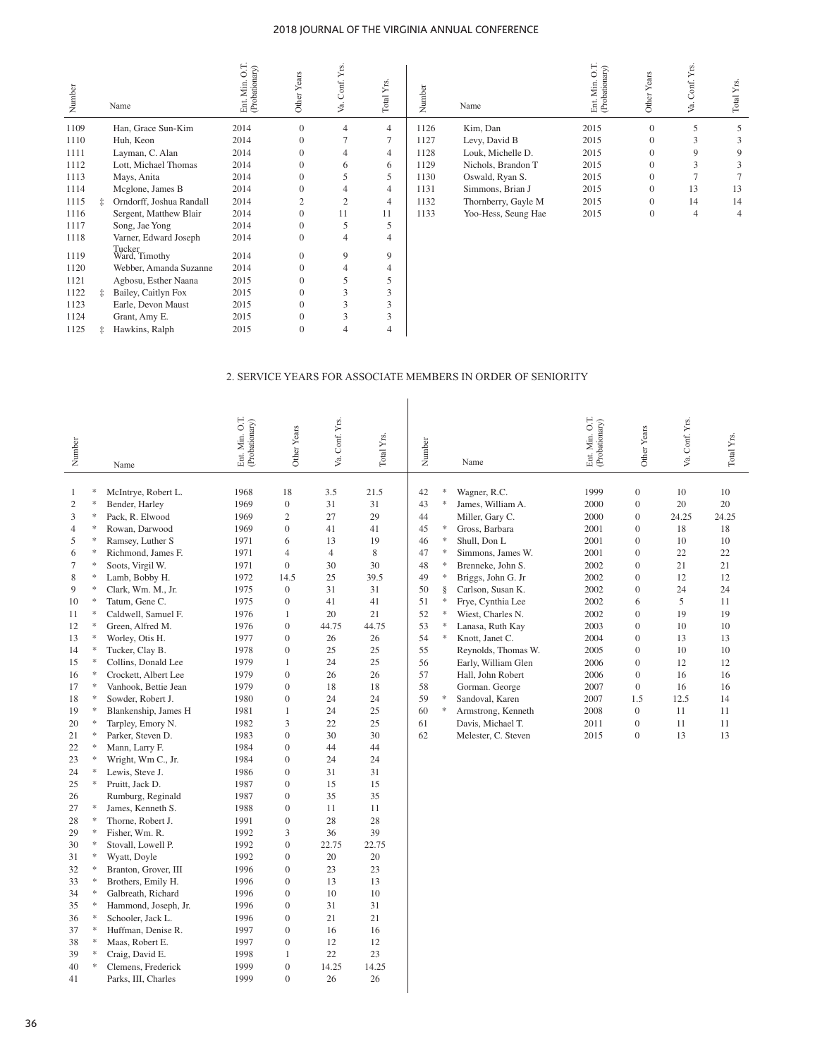| Number |            | Name                     | Ent. Min. O.T.<br>(Probationary) | Other Years      | Va. Conf. Yrs  | Total Yrs.     | Number | Name                                                         | Ent. Min. O.T.<br>(Probationary) | Other Years      | Conf. Yrs<br>Š. | Total Yrs.     |
|--------|------------|--------------------------|----------------------------------|------------------|----------------|----------------|--------|--------------------------------------------------------------|----------------------------------|------------------|-----------------|----------------|
| 1109   |            | Han, Grace Sun-Kim       | 2014                             | $\boldsymbol{0}$ | 4              | $\overline{4}$ | 1126   | Kim, Dan                                                     | 2015                             | $\overline{0}$   | 5               | 5              |
| 1110   |            | Huh, Keon                | 2014                             | $\overline{0}$   | 7              | 7              | 1127   | Levy, David B                                                | 2015                             | $\overline{0}$   | 3               | 3              |
| 1111   |            | Layman, C. Alan          | 2014                             | $\mathbf{0}$     | 4              | $\overline{4}$ | 1128   | Louk, Michelle D.                                            | 2015                             | $\Omega$         | 9               | 9              |
| 1112   |            | Lott, Michael Thomas     | 2014                             | $\mathbf{0}$     | 6              | 6              | 1129   | Nichols, Brandon T                                           | 2015                             | $\Omega$         | 3               | 3              |
| 1113   |            | Mays, Anita              | 2014                             | $\mathbf{0}$     | 5              | 5              | 1130   | Oswald, Ryan S.                                              | 2015                             | $\mathbf{0}$     | $\overline{7}$  | $\overline{7}$ |
| 1114   |            | Mcglone, James B         | 2014                             | $\overline{0}$   | 4              | $\overline{4}$ | 1131   | Simmons, Brian J                                             | 2015                             | $\boldsymbol{0}$ | 13              | 13             |
| 1115   | İ.         | Orndorff, Joshua Randall | 2014                             | $\overline{2}$   | $\overline{c}$ | $\overline{4}$ | 1132   | Thornberry, Gayle M                                          | 2015                             | $\mathbf{0}$     | 14              | 14             |
| 1116   |            | Sergent, Matthew Blair   | 2014                             | $\overline{0}$   | 11             | 11             | 1133   | Yoo-Hess, Seung Hae                                          | 2015                             | $\boldsymbol{0}$ | $\overline{4}$  | $\overline{4}$ |
| 1117   |            | Song, Jae Yong           | 2014                             | $\mathbf{0}$     | 5              | 5              |        |                                                              |                                  |                  |                 |                |
| 1118   |            | Varner, Edward Joseph    | 2014                             | $\overline{0}$   | $\overline{4}$ | $\overline{4}$ |        |                                                              |                                  |                  |                 |                |
| 1119   |            | Tucker<br>Ward, Timothy  | 2014                             | $\overline{0}$   | 9              | 9              |        |                                                              |                                  |                  |                 |                |
| 1120   |            | Webber, Amanda Suzanne   | 2014                             | $\overline{0}$   | 4              | 4              |        |                                                              |                                  |                  |                 |                |
| 1121   |            | Agbosu, Esther Naana     | 2015                             | $\mathbf{0}$     | 5              | 5              |        |                                                              |                                  |                  |                 |                |
| 1122   | $\ddagger$ | Bailey, Caitlyn Fox      | 2015                             | $\overline{0}$   | 3              | 3              |        |                                                              |                                  |                  |                 |                |
| 1123   |            | Earle, Devon Maust       | 2015                             | $\mathbf{0}$     | 3              | 3              |        |                                                              |                                  |                  |                 |                |
| 1124   |            | Grant, Amy E.            | 2015                             | $\boldsymbol{0}$ | 3              | 3              |        |                                                              |                                  |                  |                 |                |
| 1125   | $\ddagger$ | Hawkins, Ralph           | 2015                             | $\overline{0}$   | $\overline{4}$ | $\overline{4}$ |        |                                                              |                                  |                  |                 |                |
|        |            |                          |                                  |                  |                |                |        | 2. SERVICE YEARS FOR ASSOCIATE MEMBERS IN ORDER OF SENIORITY |                                  |                  |                 |                |

| Number                                                                                                                                                                                                                                                             |                                                                                                                                                                                                                                                     | Name                                                                                                                                                                                                                                                                                                                                                                                                                                                                                                                                                                                                                                                                                                                                                                                                                                                      | Ent. Min. O.T.<br>(Probationary)                                                                                                                                                                                                                                                                                             | Other Years                                                                                                                                                                                                                                                                                                                                                                                                                                                                                                                                                                                                                                                                       | Va. Conf. Yrs.                                                                                                                                                                                                                                                     | Total Yrs.                                                                                                                                                                                                                                               | Number                                                                                                                     |                                                                                                                                                    | Name                                                                                                                                                                                                                                                                                                                                                                                                                                   | Ent. Min. O.T.<br>(Probationary)                                                                                                                                     | Other Years                                                                                                                                                                                                                                                                                                                                                                          | Conf. Yrs.<br>Уa.                                                                                                              | Total Yrs.                                                                                                                    |
|--------------------------------------------------------------------------------------------------------------------------------------------------------------------------------------------------------------------------------------------------------------------|-----------------------------------------------------------------------------------------------------------------------------------------------------------------------------------------------------------------------------------------------------|-----------------------------------------------------------------------------------------------------------------------------------------------------------------------------------------------------------------------------------------------------------------------------------------------------------------------------------------------------------------------------------------------------------------------------------------------------------------------------------------------------------------------------------------------------------------------------------------------------------------------------------------------------------------------------------------------------------------------------------------------------------------------------------------------------------------------------------------------------------|------------------------------------------------------------------------------------------------------------------------------------------------------------------------------------------------------------------------------------------------------------------------------------------------------------------------------|-----------------------------------------------------------------------------------------------------------------------------------------------------------------------------------------------------------------------------------------------------------------------------------------------------------------------------------------------------------------------------------------------------------------------------------------------------------------------------------------------------------------------------------------------------------------------------------------------------------------------------------------------------------------------------------|--------------------------------------------------------------------------------------------------------------------------------------------------------------------------------------------------------------------------------------------------------------------|----------------------------------------------------------------------------------------------------------------------------------------------------------------------------------------------------------------------------------------------------------|----------------------------------------------------------------------------------------------------------------------------|----------------------------------------------------------------------------------------------------------------------------------------------------|----------------------------------------------------------------------------------------------------------------------------------------------------------------------------------------------------------------------------------------------------------------------------------------------------------------------------------------------------------------------------------------------------------------------------------------|----------------------------------------------------------------------------------------------------------------------------------------------------------------------|--------------------------------------------------------------------------------------------------------------------------------------------------------------------------------------------------------------------------------------------------------------------------------------------------------------------------------------------------------------------------------------|--------------------------------------------------------------------------------------------------------------------------------|-------------------------------------------------------------------------------------------------------------------------------|
| 1<br>$\mathfrak{2}$<br>3<br>$\overline{4}$<br>5<br>6<br>$\tau$<br>8<br>9<br>10<br>11<br>12<br>13<br>14<br>15<br>16<br>17<br>18<br>19<br>20<br>21<br>22<br>23<br>24<br>25<br>26<br>27<br>28<br>29<br>30<br>31<br>32<br>33<br>34<br>35<br>36<br>37<br>38<br>39<br>40 | *<br>*<br>*<br>*<br>$\frac{1}{2}$<br>*<br>*<br>*<br>*<br>*<br>$\frac{d\mathbf{r}}{d\mathbf{r}}$<br>*<br>*<br>*<br>×.<br>*<br>*<br>*<br>*<br>*<br>*<br>$\ast$<br>*<br>*<br>*<br>*<br>×.<br>*<br>*<br>*<br>*<br>∗<br>∗<br>*<br>*<br>$\ast$<br>×,<br>∗ | McIntrye, Robert L.<br>Bender, Harley<br>Pack, R. Elwood<br>Rowan, Darwood<br>Ramsey, Luther S<br>Richmond, James F.<br>Soots, Virgil W.<br>Lamb, Bobby H.<br>Clark, Wm. M., Jr.<br>Tatum, Gene C.<br>Caldwell, Samuel F.<br>Green, Alfred M.<br>Worley, Otis H.<br>Tucker, Clay B.<br>Collins, Donald Lee<br>Crockett, Albert Lee<br>Vanhook, Bettie Jean<br>Sowder, Robert J.<br>Blankenship, James H<br>Tarpley, Emory N.<br>Parker, Steven D.<br>Mann, Larry F.<br>Wright, Wm C., Jr.<br>Lewis, Steve J.<br>Pruitt, Jack D.<br>Rumburg, Reginald<br>James, Kenneth S.<br>Thorne, Robert J.<br>Fisher, Wm. R.<br>Stovall, Lowell P.<br>Wyatt, Doyle<br>Branton, Grover, III<br>Brothers, Emily H.<br>Galbreath, Richard<br>Hammond, Joseph, Jr.<br>Schooler, Jack L.<br>Huffman, Denise R.<br>Maas, Robert E.<br>Craig, David E.<br>Clemens, Frederick | 1968<br>1969<br>1969<br>1969<br>1971<br>1971<br>1971<br>1972<br>1975<br>1975<br>1976<br>1976<br>1977<br>1978<br>1979<br>1979<br>1979<br>1980<br>1981<br>1982<br>1983<br>1984<br>1984<br>1986<br>1987<br>1987<br>1988<br>1991<br>1992<br>1992<br>1992<br>1996<br>1996<br>1996<br>1996<br>1996<br>1997<br>1997<br>1998<br>1999 | 18<br>$\boldsymbol{0}$<br>$\mathfrak{2}$<br>$\overline{0}$<br>6<br>$\overline{4}$<br>$\mathbf{0}$<br>14.5<br>$\mathbf{0}$<br>$\boldsymbol{0}$<br>$\mathbf{1}$<br>$\boldsymbol{0}$<br>$\boldsymbol{0}$<br>$\boldsymbol{0}$<br>$\mathbf{1}$<br>$\mathbf{0}$<br>$\boldsymbol{0}$<br>$\mathbf{0}$<br>$\mathbf{1}$<br>3<br>$\boldsymbol{0}$<br>$\overline{0}$<br>$\boldsymbol{0}$<br>$\mathbf{0}$<br>$\mathbf{0}$<br>$\mathbf{0}$<br>$\boldsymbol{0}$<br>$\boldsymbol{0}$<br>3<br>$\boldsymbol{0}$<br>$\boldsymbol{0}$<br>$\mathbf{0}$<br>$\boldsymbol{0}$<br>$\mathbf{0}$<br>$\boldsymbol{0}$<br>$\boldsymbol{0}$<br>$\boldsymbol{0}$<br>$\mathbf{0}$<br>$\mathbf{1}$<br>$\mathbf{0}$ | 3.5<br>31<br>27<br>41<br>13<br>$\overline{4}$<br>30<br>25<br>31<br>41<br>20<br>44.75<br>26<br>25<br>24<br>26<br>18<br>24<br>24<br>22<br>30<br>44<br>24<br>31<br>15<br>35<br>11<br>28<br>36<br>22.75<br>20<br>23<br>13<br>10<br>31<br>21<br>16<br>12<br>22<br>14.25 | 21.5<br>31<br>29<br>41<br>19<br>8<br>30<br>39.5<br>31<br>41<br>21<br>44.75<br>26<br>25<br>25<br>26<br>18<br>24<br>25<br>25<br>30<br>44<br>24<br>31<br>15<br>35<br>11<br>28<br>39<br>22.75<br>20<br>23<br>13<br>10<br>31<br>21<br>16<br>12<br>23<br>14.25 | 42<br>43<br>44<br>45<br>46<br>47<br>48<br>49<br>50<br>51<br>52<br>53<br>54<br>55<br>56<br>57<br>58<br>59<br>60<br>61<br>62 | $\frac{1}{2}$<br>$\approx$<br>$\approx$<br>$\ast$<br>$\ast$<br>$\ast$<br>×<br>ş<br>$\ast$<br>$\approx$<br>$\approx$<br>$\frac{1}{2} \xi$<br>*<br>∗ | Wagner, R.C.<br>James, William A.<br>Miller, Gary C.<br>Gross, Barbara<br>Shull, Don L<br>Simmons, James W.<br>Brenneke, John S.<br>Briggs, John G. Jr<br>Carlson, Susan K.<br>Frye, Cynthia Lee<br>Wiest, Charles N.<br>Lanasa, Ruth Kay<br>Knott, Janet C.<br>Reynolds, Thomas W.<br>Early, William Glen<br>Hall, John Robert<br>Gorman. George<br>Sandoval, Karen<br>Armstrong, Kenneth<br>Davis, Michael T.<br>Melester, C. Steven | 1999<br>2000<br>2000<br>2001<br>2001<br>2001<br>2002<br>2002<br>2002<br>2002<br>2002<br>2003<br>2004<br>2005<br>2006<br>2006<br>2007<br>2007<br>2008<br>2011<br>2015 | $\boldsymbol{0}$<br>$\boldsymbol{0}$<br>$\boldsymbol{0}$<br>$\boldsymbol{0}$<br>$\boldsymbol{0}$<br>$\boldsymbol{0}$<br>$\boldsymbol{0}$<br>$\boldsymbol{0}$<br>$\boldsymbol{0}$<br>6<br>$\boldsymbol{0}$<br>$\mathbf{0}$<br>$\mathbf{0}$<br>$\mathbf{0}$<br>$\boldsymbol{0}$<br>$\mathbf{0}$<br>$\boldsymbol{0}$<br>1.5<br>$\boldsymbol{0}$<br>$\boldsymbol{0}$<br>$\boldsymbol{0}$ | 10<br>20<br>24.25<br>18<br>10<br>22<br>21<br>12<br>24<br>5<br>19<br>10<br>13<br>10<br>12<br>16<br>16<br>12.5<br>11<br>11<br>13 | 10<br>20<br>24.25<br>18<br>10<br>22<br>21<br>12<br>24<br>11<br>19<br>10<br>13<br>10<br>12<br>16<br>16<br>14<br>11<br>11<br>13 |
| 41                                                                                                                                                                                                                                                                 |                                                                                                                                                                                                                                                     | Parks, III, Charles                                                                                                                                                                                                                                                                                                                                                                                                                                                                                                                                                                                                                                                                                                                                                                                                                                       | 1999                                                                                                                                                                                                                                                                                                                         | $\mathbf{0}$                                                                                                                                                                                                                                                                                                                                                                                                                                                                                                                                                                                                                                                                      | 26                                                                                                                                                                                                                                                                 | 26                                                                                                                                                                                                                                                       |                                                                                                                            |                                                                                                                                                    |                                                                                                                                                                                                                                                                                                                                                                                                                                        |                                                                                                                                                                      |                                                                                                                                                                                                                                                                                                                                                                                      |                                                                                                                                |                                                                                                                               |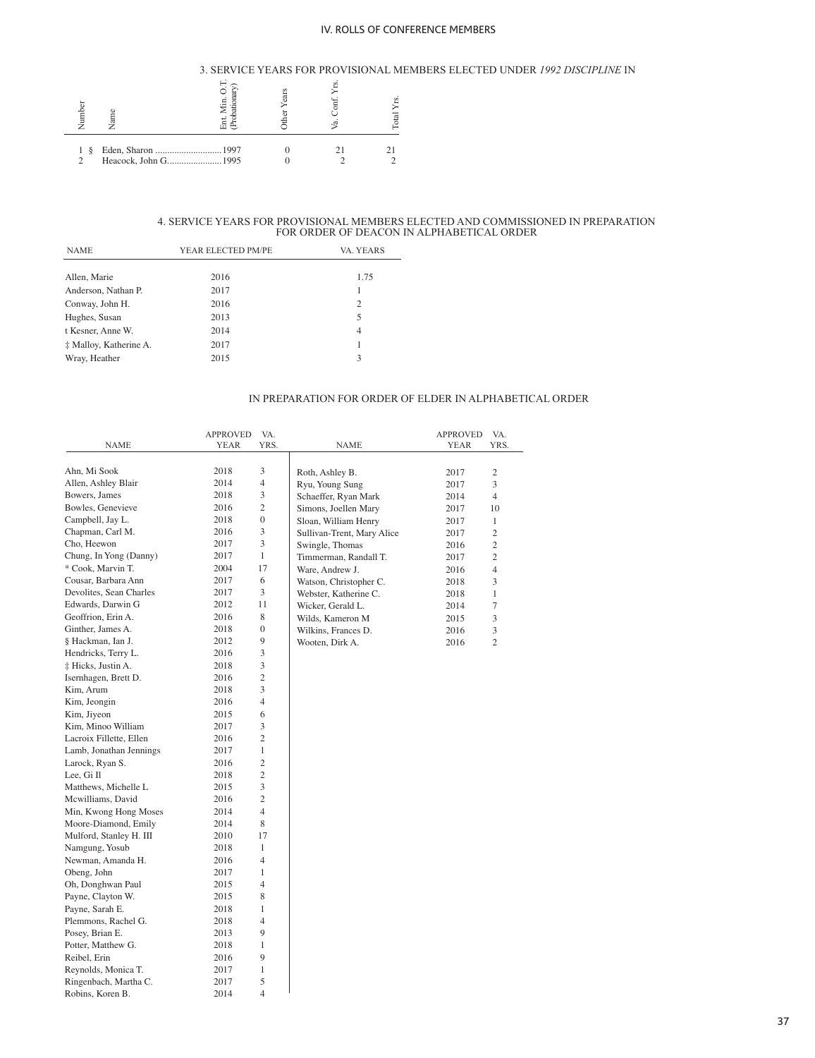### 3. SERVICE YEARS FOR PROVISIONAL MEMBERS ELECTED UNDER *1992 DISCIPLINE* IN

| ⊟      | Jam                  |  | ₫ |
|--------|----------------------|--|---|
| š<br>っ | Heacock, John G 1995 |  |   |

# 4. SERVICE YEARS FOR PROVISIONAL MEMBERS ELECTED AND COMMISSIONED IN PREPARATION FOR ORDER OF DEACON IN ALPHABETICAL ORDER

| <b>NAME</b>            | YEAR ELECTED PM/PE | VA. YEARS      |
|------------------------|--------------------|----------------|
|                        |                    |                |
| Allen, Marie           | 2016               | 1.75           |
| Anderson, Nathan P.    | 2017               |                |
| Conway, John H.        | 2016               | $\overline{c}$ |
| Hughes, Susan          | 2013               | 5              |
| t Kesner, Anne W.      | 2014               | $\overline{4}$ |
| ‡ Malloy, Katherine A. | 2017               | 1              |
| Wray, Heather          | 2015               | 3              |
|                        |                    |                |

### IN PREPARATION FOR ORDER OF ELDER IN ALPHABETICAL ORDER

|                         | <b>APPROVED</b> | VA.                     |                            | <b>APPROVED</b> | VA.            |
|-------------------------|-----------------|-------------------------|----------------------------|-----------------|----------------|
| <b>NAME</b>             | YEAR            | YRS.                    | NAME                       | YEAR            | YRS.           |
|                         |                 |                         |                            |                 |                |
| Ahn, Mi Sook            | 2018            | 3                       | Roth, Ashley B.            | 2017            | $\mathfrak{2}$ |
| Allen, Ashley Blair     | 2014            | $\overline{4}$          | Ryu, Young Sung            | 2017            | 3              |
| Bowers, James           | 2018            | 3                       | Schaeffer, Ryan Mark       | 2014            | $\overline{4}$ |
| Bowles, Genevieve       | 2016            | $\overline{c}$          | Simons, Joellen Mary       | 2017            | 10             |
| Campbell, Jay L.        | 2018            | $\boldsymbol{0}$        | Sloan, William Henry       | 2017            | 1              |
| Chapman, Carl M.        | 2016            | 3                       | Sullivan-Trent, Mary Alice | 2017            | $\overline{c}$ |
| Cho, Heewon             | 2017            | 3                       | Swingle, Thomas            | 2016            | $\overline{c}$ |
| Chung, In Yong (Danny)  | 2017            | $\mathbf{1}$            | Timmerman, Randall T.      | 2017            | 2              |
| * Cook, Marvin T.       | 2004            | 17                      | Ware, Andrew J.            | 2016            | $\overline{4}$ |
| Cousar, Barbara Ann     | 2017            | 6                       | Watson, Christopher C.     | 2018            | 3              |
| Devolites, Sean Charles | 2017            | 3                       | Webster, Katherine C.      | 2018            | $\mathbf{1}$   |
| Edwards, Darwin G       | 2012            | 11                      | Wicker, Gerald L.          | 2014            | $\tau$         |
| Geoffrion, Erin A.      | 2016            | 8                       | Wilds, Kameron M           | 2015            | 3              |
| Ginther, James A.       | 2018            | $\boldsymbol{0}$        | Wilkins, Frances D.        | 2016            | 3              |
| § Hackman, Ian J.       | 2012            | 9                       | Wooten, Dirk A.            | 2016            | $\overline{c}$ |
| Hendricks, Terry L.     | 2016            | 3                       |                            |                 |                |
| ‡ Hicks, Justin A.      | 2018            | 3                       |                            |                 |                |
| Isernhagen, Brett D.    | 2016            | $\overline{c}$          |                            |                 |                |
| Kim, Arum               | 2018            | 3                       |                            |                 |                |
| Kim, Jeongin            | 2016            | $\overline{4}$          |                            |                 |                |
| Kim, Jiyeon             | 2015            | 6                       |                            |                 |                |
| Kim, Minoo William      | 2017            | 3                       |                            |                 |                |
| Lacroix Fillette, Ellen | 2016            | $\overline{c}$          |                            |                 |                |
| Lamb, Jonathan Jennings | 2017            | $\mathbf{1}$            |                            |                 |                |
| Larock, Ryan S.         | 2016            | $\overline{\mathbf{c}}$ |                            |                 |                |
| Lee, Gi Il              | 2018            | $\overline{c}$          |                            |                 |                |
| Matthews, Michelle L    | 2015            | 3                       |                            |                 |                |
| Mcwilliams, David       | 2016            | $\overline{c}$          |                            |                 |                |
| Min, Kwong Hong Moses   | 2014            | $\overline{4}$          |                            |                 |                |
| Moore-Diamond, Emily    | 2014            | 8                       |                            |                 |                |
| Mulford, Stanley H. III | 2010            | 17                      |                            |                 |                |
| Namgung, Yosub          | 2018            | 1                       |                            |                 |                |
| Newman, Amanda H.       | 2016            | $\overline{4}$          |                            |                 |                |
| Obeng, John             | 2017            | 1                       |                            |                 |                |
| Oh, Donghwan Paul       | 2015            | $\overline{4}$          |                            |                 |                |
| Payne, Clayton W.       | 2015            | 8                       |                            |                 |                |
| Payne, Sarah E.         | 2018            | 1                       |                            |                 |                |
| Plemmons, Rachel G.     | 2018            | $\overline{4}$          |                            |                 |                |
| Posey, Brian E.         | 2013            | 9                       |                            |                 |                |
| Potter, Matthew G.      | 2018            | 1                       |                            |                 |                |
| Reibel, Erin            | 2016            | 9                       |                            |                 |                |
| Reynolds, Monica T.     | 2017            | 1                       |                            |                 |                |
| Ringenbach, Martha C.   | 2017            | 5                       |                            |                 |                |
| Robins, Koren B.        | 2014            | $\overline{4}$          |                            |                 |                |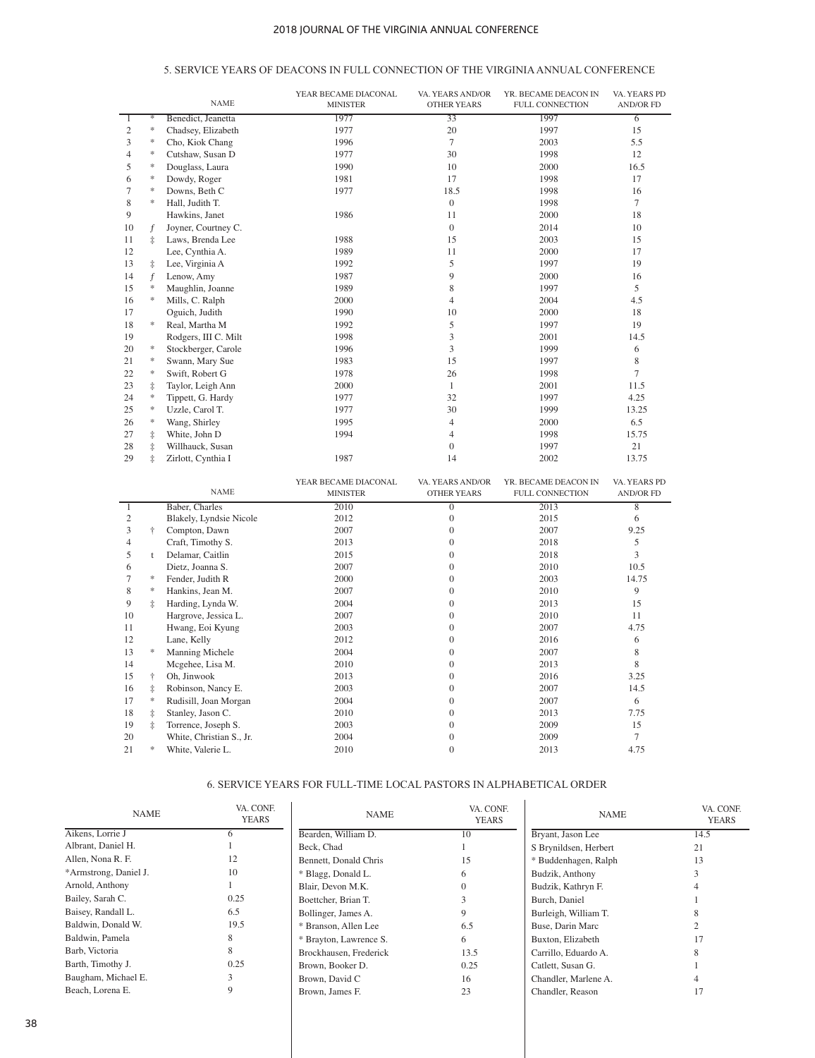# 5. SERVICE YEARS OF DEACONS IN FULL CONNECTION OF THE VIRGINIA ANNUAL CONFERENCE

|                |                                   | <b>NAME</b>          | YEAR BECAME DIACONAL<br><b>MINISTER</b> | VA. YEARS AND/OR<br><b>OTHER YEARS</b> | YR. BECAME DEACON IN<br><b>FULL CONNECTION</b> | VA. YEARS PD<br><b>AND/OR FD</b> |
|----------------|-----------------------------------|----------------------|-----------------------------------------|----------------------------------------|------------------------------------------------|----------------------------------|
|                | $\frac{1}{2}$                     | Benedict, Jeanetta   | 1977                                    | $\overline{33}$                        | 1997                                           | $\overline{6}$                   |
| $\overline{c}$ | $\ast$                            | Chadsey, Elizabeth   | 1977                                    | 20                                     | 1997                                           | 15                               |
| 3              | $\ast$                            | Cho, Kiok Chang      | 1996                                    | 7                                      | 2003                                           | 5.5                              |
| $\overline{4}$ | $\ast$                            | Cutshaw, Susan D     | 1977                                    | 30                                     | 1998                                           | 12                               |
| 5              | $\ast$                            | Douglass, Laura      | 1990                                    | 10                                     | 2000                                           | 16.5                             |
| 6              | $\ast$                            | Dowdy, Roger         | 1981                                    | 17                                     | 1998                                           | 17                               |
| 7              | $\frac{1}{2}$                     | Downs, Beth C        | 1977                                    | 18.5                                   | 1998                                           | 16                               |
| 8              | $\frac{1}{2}$                     | Hall, Judith T.      |                                         | $\overline{0}$                         | 1998                                           | 7                                |
| 9              |                                   | Hawkins, Janet       | 1986                                    | 11                                     | 2000                                           | 18                               |
| 10             | f                                 | Joyner, Courtney C.  |                                         | $\theta$                               | 2014                                           | 10                               |
| 11             | İ                                 | Laws, Brenda Lee     | 1988                                    | 15                                     | 2003                                           | 15                               |
| 12             |                                   | Lee, Cynthia A.      | 1989                                    | 11                                     | 2000                                           | 17                               |
| 13             | $\ddagger$                        | Lee, Virginia A      | 1992                                    | 5                                      | 1997                                           | 19                               |
| 14             | $\mathbf f$                       | Lenow, Amy           | 1987                                    | 9                                      | 2000                                           | 16                               |
| 15             | $\ast$                            | Maughlin, Joanne     | 1989                                    | 8                                      | 1997                                           | 5                                |
| 16             | $\frac{d\mathbf{r}}{d\mathbf{x}}$ | Mills, C. Ralph      | 2000                                    | 4                                      | 2004                                           | 4.5                              |
| 17             |                                   | Oguich, Judith       | 1990                                    | 10                                     | 2000                                           | 18                               |
| 18             | *                                 | Real, Martha M       | 1992                                    | 5                                      | 1997                                           | 19                               |
| 19             |                                   | Rodgers, III C. Milt | 1998                                    | 3                                      | 2001                                           | 14.5                             |
| 20             | $\ast$                            | Stockberger, Carole  | 1996                                    | 3                                      | 1999                                           | 6                                |
| 21             | $\ast$                            | Swann, Mary Sue      | 1983                                    | 15                                     | 1997                                           | 8                                |
| 22             | $\ast$                            | Swift, Robert G      | 1978                                    | 26                                     | 1998                                           | $\overline{7}$                   |
| 23             | $\ddagger$                        | Taylor, Leigh Ann    | 2000                                    | 1                                      | 2001                                           | 11.5                             |
| 24             | $\ast$                            | Tippett, G. Hardy    | 1977                                    | 32                                     | 1997                                           | 4.25                             |
| 25             | $\ast$                            | Uzzle, Carol T.      | 1977                                    | 30                                     | 1999                                           | 13.25                            |
| 26             | $\ast$                            | Wang, Shirley        | 1995                                    | $\overline{4}$                         | 2000                                           | 6.5                              |
| 27             | $\ddagger$                        | White, John D        | 1994                                    | 4                                      | 1998                                           | 15.75                            |
| 28             | $\ddagger$                        | Willhauck, Susan     |                                         | $\Omega$                               | 1997                                           | 21                               |
| 29             | İ                                 | Zirlott, Cynthia I   | 1987                                    | 14                                     | 2002                                           | 13.75                            |
|                |                                   | <b>NAME</b>          | YEAR BECAME DIACONAL<br><b>MINISTER</b> | VA. YEARS AND/OR<br><b>OTHER YEARS</b> | YR. BECAME DEACON IN<br><b>FULL CONNECTION</b> | VA. YEARS PD<br><b>AND/OR FD</b> |

|    |            | <b>NAME</b>              | <b>MINISTER</b> | <b>OTHER YEARS</b> | <b>FULL CONNECTION</b> | <b>AND/OR FD</b> |
|----|------------|--------------------------|-----------------|--------------------|------------------------|------------------|
|    |            | Baber, Charles           | 2010            | 0                  | 2013                   | 8                |
|    |            | Blakely, Lyndsie Nicole  | 2012            |                    | 2015                   | 6                |
| 3  | ÷          | Compton, Dawn            | 2007            |                    | 2007                   | 9.25             |
| 4  |            | Craft, Timothy S.        | 2013            | $\Omega$           | 2018                   | 5                |
| 5  | t          | Delamar, Caitlin         | 2015            |                    | 2018                   | 3                |
| 6  |            | Dietz, Joanna S.         | 2007            |                    | 2010                   | 10.5             |
|    | *          | Fender, Judith R         | 2000            | $\Omega$           | 2003                   | 14.75            |
| 8  | $\ast$     | Hankins, Jean M.         | 2007            |                    | 2010                   | 9                |
| 9  | İ          | Harding, Lynda W.        | 2004            | $^{(1)}$           | 2013                   | 15               |
| 10 |            | Hargrove, Jessica L.     | 2007            |                    | 2010                   | 11               |
| 11 |            | Hwang, Eoi Kyung         | 2003            |                    | 2007                   | 4.75             |
| 12 |            | Lane, Kelly              | 2012            | $\Omega$           | 2016                   | 6                |
| 13 | *          | Manning Michele          | 2004            |                    | 2007                   | 8                |
| 14 |            | Mcgehee, Lisa M.         | 2010            | $^{(1)}$           | 2013                   | 8                |
| 15 | $\ddagger$ | Oh, Jinwook              | 2013            |                    | 2016                   | 3.25             |
| 16 | ŧ          | Robinson, Nancy E.       | 2003            |                    | 2007                   | 14.5             |
| 17 | *          | Rudisill, Joan Morgan    | 2004            | $\Omega$           | 2007                   | 6                |
| 18 | $\ddagger$ | Stanley, Jason C.        | 2010            |                    | 2013                   | 7.75             |
| 19 | ŧ          | Torrence, Joseph S.      | 2003            | $^{(1)}$           | 2009                   | 15               |
| 20 |            | White, Christian S., Jr. | 2004            |                    | 2009                   |                  |
| 21 | *          | White, Valerie L.        | 2010            | $\Omega$           | 2013                   | 4.75             |

# 6. SERVICE YEARS FOR FULL-TIME LOCAL PASTORS IN ALPHABETICAL ORDER

 $\mathcal{A}$ 

| <b>NAME</b>           | VA. CONF.<br><b>YEARS</b> | <b>NAME</b>            | VA. CONF.<br><b>YEARS</b> | <b>NAME</b>           | VA. CONF.<br><b>YEARS</b> |
|-----------------------|---------------------------|------------------------|---------------------------|-----------------------|---------------------------|
| Aikens, Lorrie J      |                           | Bearden, William D.    | 10                        | Bryant, Jason Lee     | 14.5                      |
| Albrant, Daniel H.    |                           | Beck, Chad             |                           | S Brynildsen, Herbert | 21                        |
| Allen, Nona R. F.     | 12                        | Bennett, Donald Chris  | 15                        | * Buddenhagen, Ralph  | 13                        |
| *Armstrong, Daniel J. | 10                        | * Blagg, Donald L.     |                           | Budzik, Anthony       |                           |
| Arnold, Anthony       |                           | Blair, Devon M.K.      |                           | Budzik, Kathryn F.    |                           |
| Bailey, Sarah C.      | 0.25                      | Boettcher, Brian T.    |                           | Burch, Daniel         |                           |
| Baisey, Randall L.    | 6.5                       | Bollinger, James A.    |                           | Burleigh, William T.  |                           |
| Baldwin, Donald W.    | 19.5                      | * Branson, Allen Lee   | 6.5                       | Buse, Darin Marc      |                           |
| Baldwin, Pamela       |                           | * Brayton, Lawrence S. | 6                         | Buxton, Elizabeth     |                           |
| Barb, Victoria        |                           | Brockhausen, Frederick | 13.5                      | Carrillo, Eduardo A.  |                           |
| Barth, Timothy J.     | 0.25                      | Brown, Booker D.       | 0.25                      | Catlett, Susan G.     |                           |
| Baugham, Michael E.   |                           | Brown, David C         | 16                        | Chandler, Marlene A.  |                           |
| Beach, Lorena E.      |                           | Brown, James F.        | 23                        | Chandler, Reason      |                           |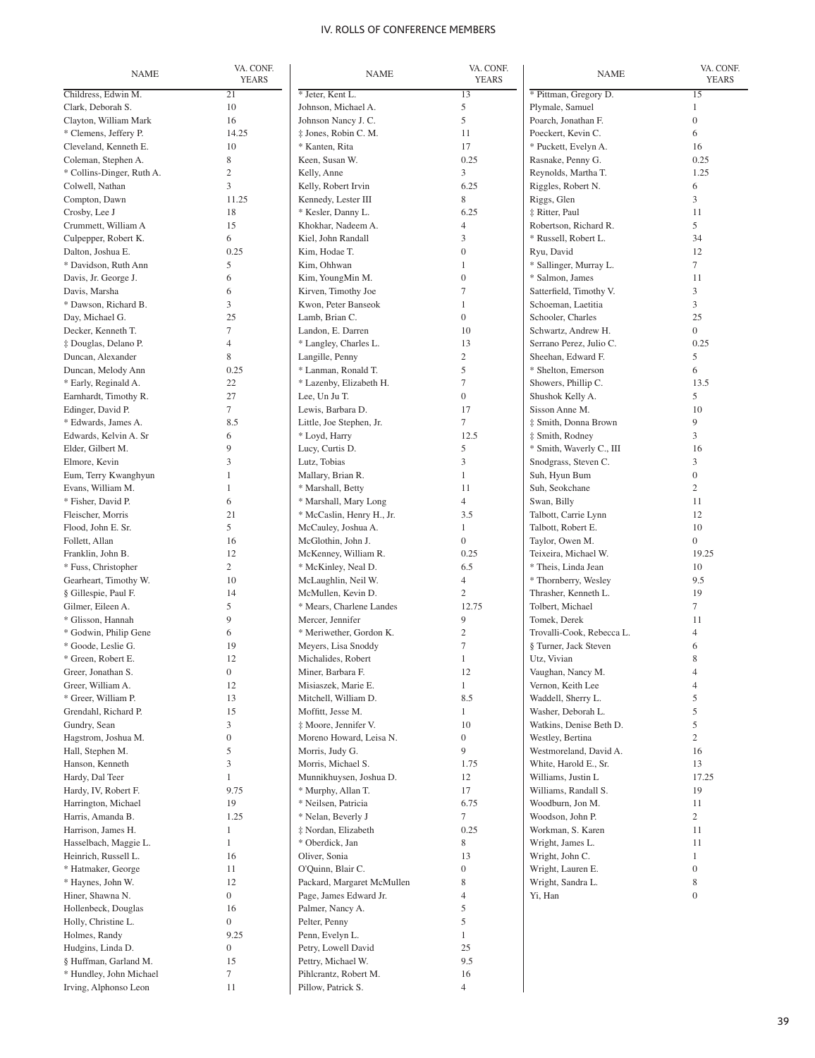| <b>NAME</b>                             | VA. CONF.              | <b>NAME</b>                                 | VA. CONF.          | <b>NAME</b>                            | VA. CONF.           |
|-----------------------------------------|------------------------|---------------------------------------------|--------------------|----------------------------------------|---------------------|
|                                         | <b>YEARS</b>           |                                             | <b>YEARS</b>       |                                        | <b>YEARS</b>        |
| Childress, Edwin M.                     | $\overline{21}$        | * Jeter, Kent L.                            | 13                 | * Pittman, Gregory D.                  | $\overline{15}$     |
| Clark, Deborah S.                       | 10                     | Johnson, Michael A.                         | 5                  | Plymale, Samuel                        | 1                   |
| Clayton, William Mark                   | 16                     | Johnson Nancy J. C.                         | 5                  | Poarch, Jonathan F.                    | $\overline{0}$      |
| * Clemens, Jeffery P.                   | 14.25                  | $\ddagger$ Jones, Robin C. M.               | 11                 | Poeckert, Kevin C.                     | 6                   |
| Cleveland, Kenneth E.                   | 10                     | * Kanten, Rita                              | 17                 | * Puckett, Evelyn A.                   | 16                  |
| Coleman, Stephen A.                     | 8                      | Keen, Susan W.                              | 0.25               | Rasnake, Penny G.                      | 0.25                |
| * Collins-Dinger, Ruth A.               | $\mathbf{2}$           | Kelly, Anne                                 | 3                  | Reynolds, Martha T.                    | 1.25                |
| Colwell, Nathan                         | 3                      | Kelly, Robert Irvin                         | 6.25               | Riggles, Robert N.                     | 6                   |
| Compton, Dawn<br>Crosby, Lee J          | 11.25<br>18            | Kennedy, Lester III                         | 8<br>6.25          | Riggs, Glen<br>‡ Ritter, Paul          | 3<br>11             |
| Crummett, William A                     | 15                     | * Kesler, Danny L.<br>Khokhar, Nadeem A.    | $\overline{4}$     | Robertson, Richard R.                  | 5                   |
| Culpepper, Robert K.                    | 6                      | Kiel, John Randall                          | 3                  | * Russell, Robert L.                   | 34                  |
| Dalton, Joshua E.                       | 0.25                   | Kim, Hodae T.                               | $\boldsymbol{0}$   | Ryu, David                             | 12                  |
| * Davidson, Ruth Ann                    | 5                      | Kim, Ohhwan                                 | 1                  | * Sallinger, Murray L.                 | $\overline{7}$      |
| Davis, Jr. George J.                    | 6                      | Kim, YoungMin M.                            | $\boldsymbol{0}$   | * Salmon, James                        | 11                  |
| Davis, Marsha                           | 6                      | Kirven, Timothy Joe                         | $\tau$             | Satterfield, Timothy V.                | 3                   |
| * Dawson, Richard B.                    | 3                      | Kwon, Peter Banseok                         | $\mathbf{1}$       | Schoeman, Laetitia                     | $\overline{3}$      |
| Day, Michael G.                         | 25                     | Lamb, Brian C.                              | $\overline{0}$     | Schooler, Charles                      | 25                  |
| Decker, Kenneth T.                      | 7                      | Landon, E. Darren                           | 10                 | Schwartz, Andrew H.                    | $\overline{0}$      |
| ‡ Douglas, Delano P.                    | $\overline{4}$         | * Langley, Charles L.                       | 13                 | Serrano Perez. Julio C.                | 0.25                |
| Duncan, Alexander                       | 8                      | Langille, Penny                             | $\overline{2}$     | Sheehan, Edward F.                     | 5                   |
| Duncan, Melody Ann                      | 0.25                   | * Lanman, Ronald T.                         | 5                  | * Shelton, Emerson                     | 6                   |
| * Early, Reginald A.                    | 22                     | * Lazenby, Elizabeth H.                     | $\tau$             | Showers, Phillip C.                    | 13.5                |
| Earnhardt, Timothy R.                   | 27                     | Lee, Un Ju T.                               | $\boldsymbol{0}$   | Shushok Kelly A.                       | 5                   |
| Edinger, David P.                       | $\tau$                 | Lewis, Barbara D.                           | 17                 | Sisson Anne M.                         | 10                  |
| * Edwards, James A.                     | 8.5                    | Little, Joe Stephen, Jr.                    | $\tau$             | ‡ Smith, Donna Brown                   | 9                   |
| Edwards, Kelvin A. Sr                   | 6                      | * Loyd, Harry                               | 12.5               | ‡ Smith, Rodney                        | 3                   |
| Elder, Gilbert M.                       | 9                      | Lucy, Curtis D.                             | 5                  | * Smith, Waverly C., III               | 16                  |
| Elmore, Kevin                           | 3                      | Lutz, Tobias                                | 3                  | Snodgrass, Steven C.                   | 3                   |
| Eum, Terry Kwanghyun                    | $\mathbf{1}$           | Mallary, Brian R.                           | $\mathbf{1}$       | Suh, Hyun Bum                          | $\overline{0}$      |
| Evans, William M.                       | 1                      | * Marshall, Betty                           | 11                 | Suh, Seokchane                         | $\overline{2}$      |
| * Fisher, David P.                      | 6                      | * Marshall, Mary Long                       | 4                  | Swan, Billy                            | 11                  |
| Fleischer, Morris                       | 21                     | * McCaslin, Henry H., Jr.                   | 3.5                | Talbott, Carrie Lynn                   | 12                  |
| Flood, John E. Sr.                      | 5                      | McCauley, Joshua A.                         | $\mathbf{1}$       | Talbott, Robert E.                     | 10                  |
| Follett, Allan                          | 16                     | McGlothin, John J.                          | $\boldsymbol{0}$   | Taylor, Owen M.                        | $\overline{0}$      |
| Franklin, John B.                       | 12                     | McKenney, William R.                        | 0.25               | Teixeira, Michael W.                   | 19.25               |
| * Fuss, Christopher                     | $\mathfrak{2}$         | * McKinley, Neal D.                         | 6.5                | * Theis, Linda Jean                    | 10                  |
| Gearheart, Timothy W.                   | 10                     | McLaughlin, Neil W.                         | $\overline{4}$     | * Thornberry, Wesley                   | 9.5                 |
| § Gillespie, Paul F.                    | 14                     | McMullen, Kevin D.                          | $\sqrt{2}$         | Thrasher, Kenneth L.                   | 19                  |
| Gilmer, Eileen A.                       | 5                      | * Mears, Charlene Landes                    | 12.75              | Tolbert, Michael                       | $\tau$              |
| * Glisson, Hannah                       | 9                      | Mercer, Jennifer                            | 9                  | Tomek, Derek                           | 11                  |
| * Godwin, Philip Gene                   | 6                      | * Meriwether, Gordon K.                     | $\mathfrak{2}$     | Trovalli-Cook, Rebecca L.              | $\overline{4}$      |
| * Goode, Leslie G.                      | 19                     | Meyers, Lisa Snoddy                         | $\boldsymbol{7}$   | § Turner, Jack Steven                  | 6                   |
| * Green, Robert E.                      | 12                     | Michalides, Robert                          | $\mathbf{1}$       | Utz, Vivian                            | 8                   |
| Greer, Jonathan S.<br>Greer, William A. | $\boldsymbol{0}$<br>12 | Miner, Barbara F.                           | 12<br>$\mathbf{1}$ | Vaughan, Nancy M.<br>Vernon, Keith Lee | 4<br>$\overline{4}$ |
| * Greer, William P.                     | 13                     | Misiaszek, Marie E.<br>Mitchell, William D. | 8.5                | Waddell, Sherry L.                     | 5                   |
| Grendahl, Richard P.                    | 15                     | Moffitt, Jesse M.                           | $\mathbf{1}$       | Washer, Deborah L.                     | 5                   |
| Gundry, Sean                            | 3                      | ‡ Moore, Jennifer V.                        | 10                 | Watkins, Denise Beth D.                | 5                   |
| Hagstrom, Joshua M.                     | $\boldsymbol{0}$       | Moreno Howard, Leisa N.                     | $\boldsymbol{0}$   | Westley, Bertina                       | $\overline{c}$      |
| Hall, Stephen M.                        | 5                      | Morris, Judy G.                             | 9                  | Westmoreland, David A.                 | 16                  |
| Hanson, Kenneth                         | 3                      | Morris, Michael S.                          | 1.75               | White, Harold E., Sr.                  | 13                  |
| Hardy, Dal Teer                         | $\mathbf{1}$           | Munnikhuysen, Joshua D.                     | 12                 | Williams, Justin L                     | 17.25               |
| Hardy, IV, Robert F.                    | 9.75                   | * Murphy, Allan T.                          | 17                 | Williams, Randall S.                   | 19                  |
| Harrington, Michael                     | 19                     | * Neilsen, Patricia                         | 6.75               | Woodburn, Jon M.                       | 11                  |
| Harris, Amanda B.                       | 1.25                   | * Nelan, Beverly J                          | 7                  | Woodson, John P.                       | $\overline{c}$      |
| Harrison, James H.                      | $\mathbf{1}$           | ‡ Nordan, Elizabeth                         | 0.25               | Workman, S. Karen                      | 11                  |
| Hasselbach, Maggie L.                   | $\mathbf{1}$           | * Oberdick, Jan                             | 8                  | Wright, James L.                       | 11                  |
| Heinrich, Russell L.                    | 16                     | Oliver, Sonia                               | 13                 | Wright, John C.                        | $\mathbf{1}$        |
| * Hatmaker, George                      | 11                     | O'Quinn, Blair C.                           | $\boldsymbol{0}$   | Wright, Lauren E.                      | $\boldsymbol{0}$    |
| * Haynes, John W.                       | 12                     | Packard, Margaret McMullen                  | 8                  | Wright, Sandra L.                      | 8                   |
| Hiner, Shawna N.                        | $\boldsymbol{0}$       | Page, James Edward Jr.                      | $\overline{4}$     | Yi, Han                                | $\boldsymbol{0}$    |
| Hollenbeck, Douglas                     | 16                     | Palmer, Nancy A.                            | 5                  |                                        |                     |
| Holly, Christine L.                     | $\boldsymbol{0}$       | Pelter, Penny                               | 5                  |                                        |                     |
| Holmes, Randy                           | 9.25                   | Penn, Evelyn L.                             | $\mathbf{1}$       |                                        |                     |
| Hudgins, Linda D.                       | $\boldsymbol{0}$       | Petry, Lowell David                         | 25                 |                                        |                     |
| § Huffman, Garland M.                   | 15                     | Pettry, Michael W.                          | 9.5                |                                        |                     |
| * Hundley, John Michael                 | $\boldsymbol{7}$       | Pihlcrantz, Robert M.                       | 16                 |                                        |                     |
| Irving, Alphonso Leon                   | 11                     | Pillow, Patrick S.                          | $\overline{4}$     |                                        |                     |